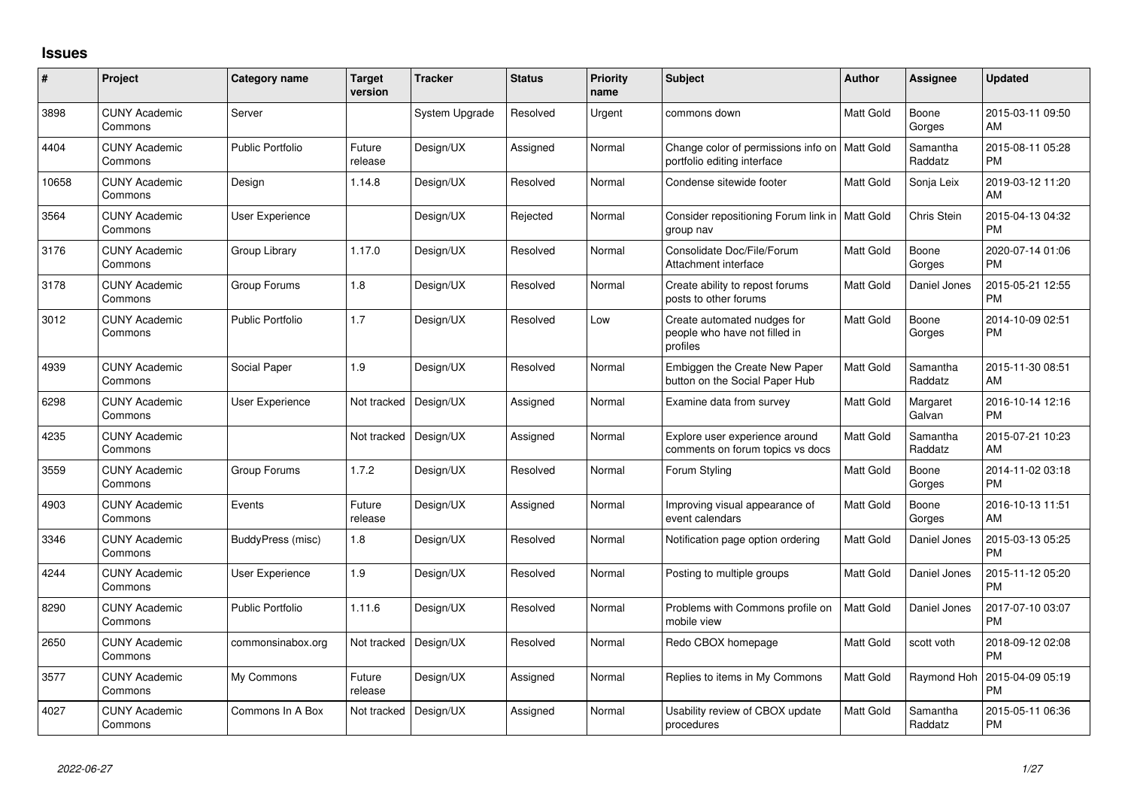## **Issues**

| $\pmb{\#}$ | Project                         | Category name           | <b>Target</b><br>version | <b>Tracker</b> | <b>Status</b> | <b>Priority</b><br>name | <b>Subject</b>                                                                 | Author           | <b>Assignee</b>     | <b>Updated</b>                |
|------------|---------------------------------|-------------------------|--------------------------|----------------|---------------|-------------------------|--------------------------------------------------------------------------------|------------------|---------------------|-------------------------------|
| 3898       | <b>CUNY Academic</b><br>Commons | Server                  |                          | System Upgrade | Resolved      | Urgent                  | commons down                                                                   | Matt Gold        | Boone<br>Gorges     | 2015-03-11 09:50<br>AM        |
| 4404       | <b>CUNY Academic</b><br>Commons | <b>Public Portfolio</b> | Future<br>release        | Design/UX      | Assigned      | Normal                  | Change color of permissions info on   Matt Gold<br>portfolio editing interface |                  | Samantha<br>Raddatz | 2015-08-11 05:28<br><b>PM</b> |
| 10658      | <b>CUNY Academic</b><br>Commons | Design                  | 1.14.8                   | Design/UX      | Resolved      | Normal                  | Condense sitewide footer                                                       | Matt Gold        | Sonja Leix          | 2019-03-12 11:20<br>AM        |
| 3564       | <b>CUNY Academic</b><br>Commons | User Experience         |                          | Design/UX      | Rejected      | Normal                  | Consider repositioning Forum link in   Matt Gold<br>group nav                  |                  | <b>Chris Stein</b>  | 2015-04-13 04:32<br><b>PM</b> |
| 3176       | <b>CUNY Academic</b><br>Commons | Group Library           | 1.17.0                   | Design/UX      | Resolved      | Normal                  | Consolidate Doc/File/Forum<br>Attachment interface                             | Matt Gold        | Boone<br>Gorges     | 2020-07-14 01:06<br><b>PM</b> |
| 3178       | <b>CUNY Academic</b><br>Commons | Group Forums            | 1.8                      | Design/UX      | Resolved      | Normal                  | Create ability to repost forums<br>posts to other forums                       | Matt Gold        | Daniel Jones        | 2015-05-21 12:55<br><b>PM</b> |
| 3012       | <b>CUNY Academic</b><br>Commons | <b>Public Portfolio</b> | 1.7                      | Design/UX      | Resolved      | Low                     | Create automated nudges for<br>people who have not filled in<br>profiles       | Matt Gold        | Boone<br>Gorges     | 2014-10-09 02:51<br><b>PM</b> |
| 4939       | <b>CUNY Academic</b><br>Commons | Social Paper            | 1.9                      | Design/UX      | Resolved      | Normal                  | Embiggen the Create New Paper<br>button on the Social Paper Hub                | <b>Matt Gold</b> | Samantha<br>Raddatz | 2015-11-30 08:51<br>AM        |
| 6298       | <b>CUNY Academic</b><br>Commons | <b>User Experience</b>  | Not tracked              | Design/UX      | Assigned      | Normal                  | Examine data from survey                                                       | Matt Gold        | Margaret<br>Galvan  | 2016-10-14 12:16<br><b>PM</b> |
| 4235       | <b>CUNY Academic</b><br>Commons |                         | Not tracked              | Design/UX      | Assigned      | Normal                  | Explore user experience around<br>comments on forum topics vs docs             | Matt Gold        | Samantha<br>Raddatz | 2015-07-21 10:23<br>AM        |
| 3559       | <b>CUNY Academic</b><br>Commons | Group Forums            | 1.7.2                    | Design/UX      | Resolved      | Normal                  | Forum Styling                                                                  | Matt Gold        | Boone<br>Gorges     | 2014-11-02 03:18<br><b>PM</b> |
| 4903       | <b>CUNY Academic</b><br>Commons | Events                  | Future<br>release        | Design/UX      | Assigned      | Normal                  | Improving visual appearance of<br>event calendars                              | Matt Gold        | Boone<br>Gorges     | 2016-10-13 11:51<br>AM        |
| 3346       | <b>CUNY Academic</b><br>Commons | BuddyPress (misc)       | 1.8                      | Design/UX      | Resolved      | Normal                  | Notification page option ordering                                              | <b>Matt Gold</b> | Daniel Jones        | 2015-03-13 05:25<br><b>PM</b> |
| 4244       | <b>CUNY Academic</b><br>Commons | User Experience         | 1.9                      | Design/UX      | Resolved      | Normal                  | Posting to multiple groups                                                     | Matt Gold        | Daniel Jones        | 2015-11-12 05:20<br><b>PM</b> |
| 8290       | <b>CUNY Academic</b><br>Commons | <b>Public Portfolio</b> | 1.11.6                   | Design/UX      | Resolved      | Normal                  | Problems with Commons profile on<br>mobile view                                | <b>Matt Gold</b> | Daniel Jones        | 2017-07-10 03:07<br><b>PM</b> |
| 2650       | <b>CUNY Academic</b><br>Commons | commonsinabox.org       | Not tracked              | Design/UX      | Resolved      | Normal                  | Redo CBOX homepage                                                             | Matt Gold        | scott voth          | 2018-09-12 02:08<br><b>PM</b> |
| 3577       | <b>CUNY Academic</b><br>Commons | My Commons              | Future<br>release        | Design/UX      | Assigned      | Normal                  | Replies to items in My Commons                                                 | Matt Gold        | Raymond Hoh         | 2015-04-09 05:19<br><b>PM</b> |
| 4027       | <b>CUNY Academic</b><br>Commons | Commons In A Box        | Not tracked              | Design/UX      | Assigned      | Normal                  | Usability review of CBOX update<br>procedures                                  | Matt Gold        | Samantha<br>Raddatz | 2015-05-11 06:36<br><b>PM</b> |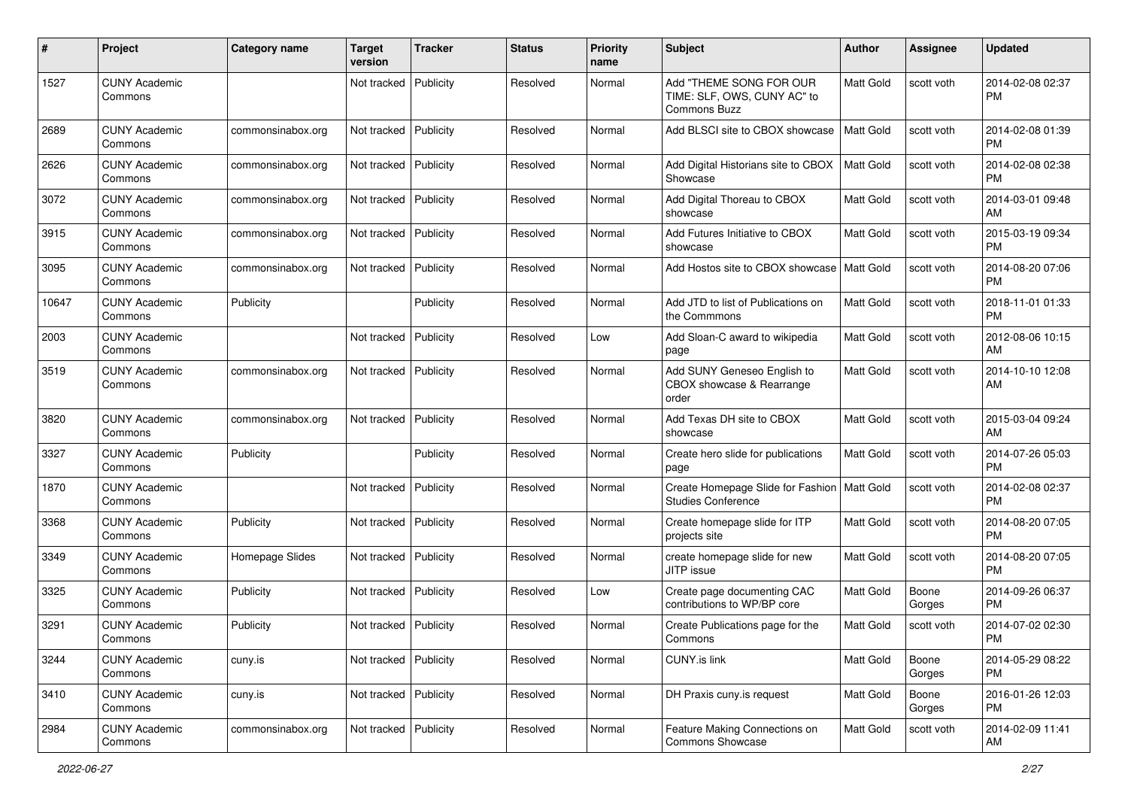| #     | Project                         | <b>Category name</b> | <b>Target</b><br>version | <b>Tracker</b> | <b>Status</b> | <b>Priority</b><br>name | Subject                                                                       | <b>Author</b> | Assignee        | <b>Updated</b>                |
|-------|---------------------------------|----------------------|--------------------------|----------------|---------------|-------------------------|-------------------------------------------------------------------------------|---------------|-----------------|-------------------------------|
| 1527  | <b>CUNY Academic</b><br>Commons |                      | Not tracked              | Publicity      | Resolved      | Normal                  | Add "THEME SONG FOR OUR<br>TIME: SLF, OWS, CUNY AC" to<br><b>Commons Buzz</b> | Matt Gold     | scott voth      | 2014-02-08 02:37<br><b>PM</b> |
| 2689  | <b>CUNY Academic</b><br>Commons | commonsinabox.org    | Not tracked              | Publicity      | Resolved      | Normal                  | Add BLSCI site to CBOX showcase                                               | Matt Gold     | scott voth      | 2014-02-08 01:39<br><b>PM</b> |
| 2626  | <b>CUNY Academic</b><br>Commons | commonsinabox.org    | Not tracked              | Publicity      | Resolved      | Normal                  | Add Digital Historians site to CBOX<br>Showcase                               | Matt Gold     | scott voth      | 2014-02-08 02:38<br><b>PM</b> |
| 3072  | CUNY Academic<br>Commons        | commonsinabox.org    | Not tracked              | Publicity      | Resolved      | Normal                  | Add Digital Thoreau to CBOX<br>showcase                                       | Matt Gold     | scott voth      | 2014-03-01 09:48<br>AM        |
| 3915  | <b>CUNY Academic</b><br>Commons | commonsinabox.org    | Not tracked              | Publicity      | Resolved      | Normal                  | Add Futures Initiative to CBOX<br>showcase                                    | Matt Gold     | scott voth      | 2015-03-19 09:34<br><b>PM</b> |
| 3095  | <b>CUNY Academic</b><br>Commons | commonsinabox.org    | Not tracked              | Publicity      | Resolved      | Normal                  | Add Hostos site to CBOX showcase                                              | Matt Gold     | scott voth      | 2014-08-20 07:06<br><b>PM</b> |
| 10647 | <b>CUNY Academic</b><br>Commons | Publicity            |                          | Publicity      | Resolved      | Normal                  | Add JTD to list of Publications on<br>the Commmons                            | Matt Gold     | scott voth      | 2018-11-01 01:33<br><b>PM</b> |
| 2003  | <b>CUNY Academic</b><br>Commons |                      | Not tracked              | Publicity      | Resolved      | Low                     | Add Sloan-C award to wikipedia<br>page                                        | Matt Gold     | scott voth      | 2012-08-06 10:15<br>AM        |
| 3519  | <b>CUNY Academic</b><br>Commons | commonsinabox.org    | Not tracked              | Publicity      | Resolved      | Normal                  | Add SUNY Geneseo English to<br>CBOX showcase & Rearrange<br>order             | Matt Gold     | scott voth      | 2014-10-10 12:08<br>AM        |
| 3820  | <b>CUNY Academic</b><br>Commons | commonsinabox.org    | Not tracked              | Publicity      | Resolved      | Normal                  | Add Texas DH site to CBOX<br>showcase                                         | Matt Gold     | scott voth      | 2015-03-04 09:24<br>AM        |
| 3327  | CUNY Academic<br>Commons        | Publicity            |                          | Publicity      | Resolved      | Normal                  | Create hero slide for publications<br>page                                    | Matt Gold     | scott voth      | 2014-07-26 05:03<br><b>PM</b> |
| 1870  | <b>CUNY Academic</b><br>Commons |                      | Not tracked              | Publicity      | Resolved      | Normal                  | Create Homepage Slide for Fashion<br><b>Studies Conference</b>                | Matt Gold     | scott voth      | 2014-02-08 02:37<br><b>PM</b> |
| 3368  | <b>CUNY Academic</b><br>Commons | Publicity            | Not tracked              | Publicity      | Resolved      | Normal                  | Create homepage slide for ITP<br>projects site                                | Matt Gold     | scott voth      | 2014-08-20 07:05<br><b>PM</b> |
| 3349  | <b>CUNY Academic</b><br>Commons | Homepage Slides      | Not tracked              | Publicity      | Resolved      | Normal                  | create homepage slide for new<br>JITP issue                                   | Matt Gold     | scott voth      | 2014-08-20 07:05<br><b>PM</b> |
| 3325  | <b>CUNY Academic</b><br>Commons | Publicity            | Not tracked   Publicity  |                | Resolved      | Low                     | Create page documenting CAC<br>contributions to WP/BP core                    | Matt Gold     | Boone<br>Gorges | 2014-09-26 06:37<br><b>PM</b> |
| 3291  | <b>CUNY Academic</b><br>Commons | Publicity            | Not tracked   Publicity  |                | Resolved      | Normal                  | Create Publications page for the<br>Commons                                   | Matt Gold     | scott voth      | 2014-07-02 02:30<br><b>PM</b> |
| 3244  | <b>CUNY Academic</b><br>Commons | cuny.is              | Not tracked              | Publicity      | Resolved      | Normal                  | CUNY.is link                                                                  | Matt Gold     | Boone<br>Gorges | 2014-05-29 08:22<br>PM        |
| 3410  | <b>CUNY Academic</b><br>Commons | cuny.is              | Not tracked   Publicity  |                | Resolved      | Normal                  | DH Praxis cuny.is request                                                     | Matt Gold     | Boone<br>Gorges | 2016-01-26 12:03<br><b>PM</b> |
| 2984  | <b>CUNY Academic</b><br>Commons | commonsinabox.org    | Not tracked   Publicity  |                | Resolved      | Normal                  | Feature Making Connections on<br>Commons Showcase                             | Matt Gold     | scott voth      | 2014-02-09 11:41<br>АM        |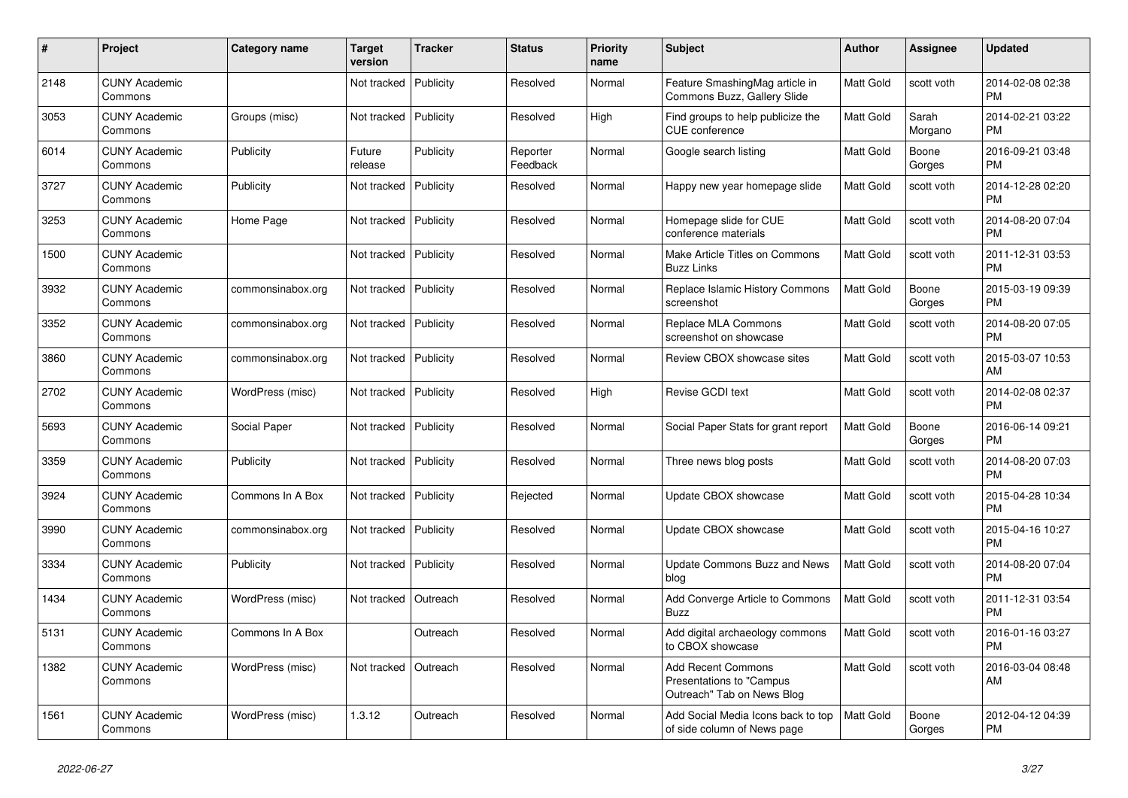| #    | Project                         | <b>Category name</b> | <b>Target</b><br>version | <b>Tracker</b> | <b>Status</b>        | <b>Priority</b><br>name | <b>Subject</b>                                                                      | <b>Author</b>    | <b>Assignee</b>  | <b>Updated</b>                |
|------|---------------------------------|----------------------|--------------------------|----------------|----------------------|-------------------------|-------------------------------------------------------------------------------------|------------------|------------------|-------------------------------|
| 2148 | <b>CUNY Academic</b><br>Commons |                      | Not tracked              | Publicity      | Resolved             | Normal                  | Feature SmashingMag article in<br>Commons Buzz, Gallery Slide                       | Matt Gold        | scott voth       | 2014-02-08 02:38<br><b>PM</b> |
| 3053 | <b>CUNY Academic</b><br>Commons | Groups (misc)        | Not tracked              | Publicity      | Resolved             | High                    | Find groups to help publicize the<br><b>CUE</b> conference                          | <b>Matt Gold</b> | Sarah<br>Morgano | 2014-02-21 03:22<br><b>PM</b> |
| 6014 | <b>CUNY Academic</b><br>Commons | Publicity            | Future<br>release        | Publicity      | Reporter<br>Feedback | Normal                  | Google search listing                                                               | Matt Gold        | Boone<br>Gorges  | 2016-09-21 03:48<br><b>PM</b> |
| 3727 | <b>CUNY Academic</b><br>Commons | Publicity            | Not tracked              | Publicity      | Resolved             | Normal                  | Happy new year homepage slide                                                       | Matt Gold        | scott voth       | 2014-12-28 02:20<br><b>PM</b> |
| 3253 | <b>CUNY Academic</b><br>Commons | Home Page            | Not tracked              | Publicity      | Resolved             | Normal                  | Homepage slide for CUE<br>conference materials                                      | Matt Gold        | scott voth       | 2014-08-20 07:04<br><b>PM</b> |
| 1500 | <b>CUNY Academic</b><br>Commons |                      | Not tracked              | Publicity      | Resolved             | Normal                  | Make Article Titles on Commons<br><b>Buzz Links</b>                                 | Matt Gold        | scott voth       | 2011-12-31 03:53<br><b>PM</b> |
| 3932 | <b>CUNY Academic</b><br>Commons | commonsinabox.org    | Not tracked              | Publicity      | Resolved             | Normal                  | Replace Islamic History Commons<br>screenshot                                       | Matt Gold        | Boone<br>Gorges  | 2015-03-19 09:39<br><b>PM</b> |
| 3352 | <b>CUNY Academic</b><br>Commons | commonsinabox.org    | Not tracked              | Publicity      | Resolved             | Normal                  | Replace MLA Commons<br>screenshot on showcase                                       | Matt Gold        | scott voth       | 2014-08-20 07:05<br><b>PM</b> |
| 3860 | <b>CUNY Academic</b><br>Commons | commonsinabox.org    | Not tracked              | Publicity      | Resolved             | Normal                  | Review CBOX showcase sites                                                          | Matt Gold        | scott voth       | 2015-03-07 10:53<br>AM        |
| 2702 | <b>CUNY Academic</b><br>Commons | WordPress (misc)     | Not tracked              | Publicity      | Resolved             | High                    | Revise GCDI text                                                                    | Matt Gold        | scott voth       | 2014-02-08 02:37<br><b>PM</b> |
| 5693 | <b>CUNY Academic</b><br>Commons | Social Paper         | Not tracked              | Publicity      | Resolved             | Normal                  | Social Paper Stats for grant report                                                 | Matt Gold        | Boone<br>Gorges  | 2016-06-14 09:21<br><b>PM</b> |
| 3359 | <b>CUNY Academic</b><br>Commons | Publicity            | Not tracked              | Publicity      | Resolved             | Normal                  | Three news blog posts                                                               | Matt Gold        | scott voth       | 2014-08-20 07:03<br><b>PM</b> |
| 3924 | <b>CUNY Academic</b><br>Commons | Commons In A Box     | Not tracked   Publicity  |                | Rejected             | Normal                  | Update CBOX showcase                                                                | Matt Gold        | scott voth       | 2015-04-28 10:34<br><b>PM</b> |
| 3990 | <b>CUNY Academic</b><br>Commons | commonsinabox.org    | Not tracked              | Publicity      | Resolved             | Normal                  | Update CBOX showcase                                                                | Matt Gold        | scott voth       | 2015-04-16 10:27<br><b>PM</b> |
| 3334 | <b>CUNY Academic</b><br>Commons | Publicity            | Not tracked              | Publicity      | Resolved             | Normal                  | <b>Update Commons Buzz and News</b><br>blog                                         | Matt Gold        | scott voth       | 2014-08-20 07:04<br><b>PM</b> |
| 1434 | <b>CUNY Academic</b><br>Commons | WordPress (misc)     | Not tracked              | Outreach       | Resolved             | Normal                  | Add Converge Article to Commons<br>Buzz                                             | Matt Gold        | scott voth       | 2011-12-31 03:54<br><b>PM</b> |
| 5131 | <b>CUNY Academic</b><br>Commons | Commons In A Box     |                          | Outreach       | Resolved             | Normal                  | Add digital archaeology commons<br>to CBOX showcase                                 | Matt Gold        | scott voth       | 2016-01-16 03:27<br><b>PM</b> |
| 1382 | <b>CUNY Academic</b><br>Commons | WordPress (misc)     | Not tracked              | Outreach       | Resolved             | Normal                  | <b>Add Recent Commons</b><br>Presentations to "Campus<br>Outreach" Tab on News Blog | Matt Gold        | scott voth       | 2016-03-04 08:48<br>AM        |
| 1561 | <b>CUNY Academic</b><br>Commons | WordPress (misc)     | 1.3.12                   | Outreach       | Resolved             | Normal                  | Add Social Media Icons back to top<br>of side column of News page                   | Matt Gold        | Boone<br>Gorges  | 2012-04-12 04:39<br><b>PM</b> |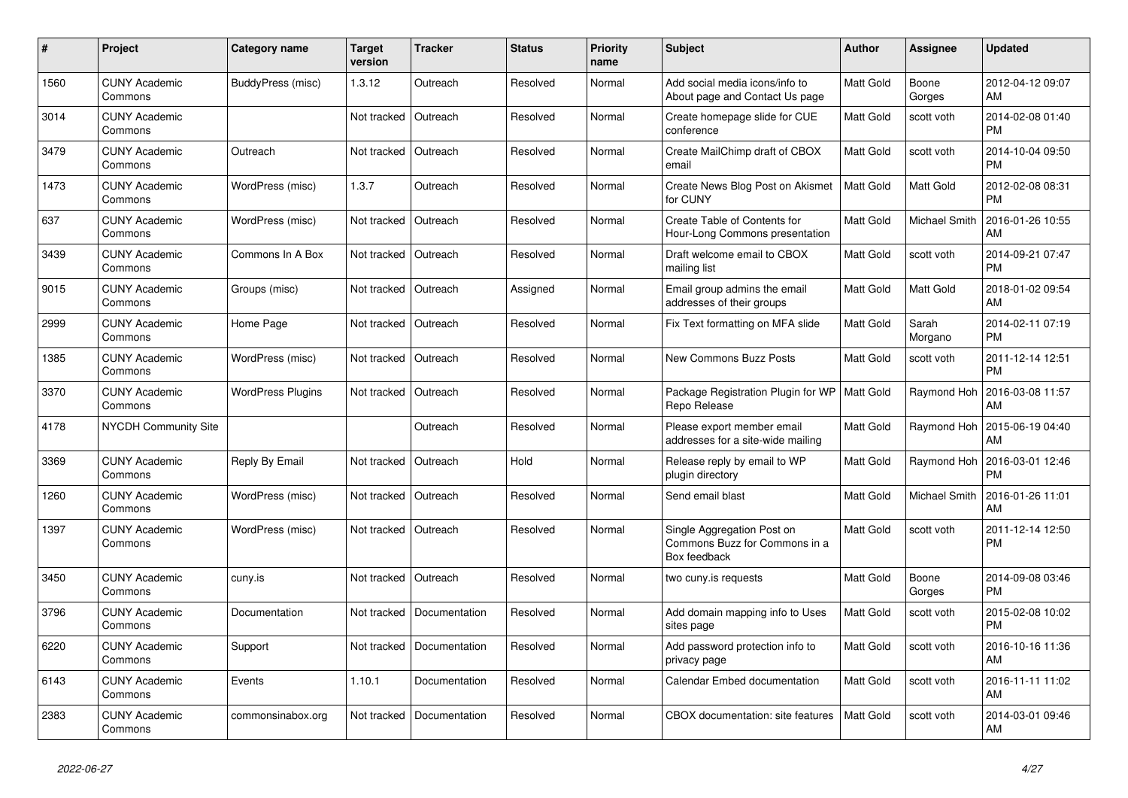| #    | Project                         | <b>Category name</b>     | <b>Target</b><br>version | <b>Tracker</b> | <b>Status</b> | <b>Priority</b><br>name | <b>Subject</b>                                                              | <b>Author</b> | Assignee         | <b>Updated</b>                |
|------|---------------------------------|--------------------------|--------------------------|----------------|---------------|-------------------------|-----------------------------------------------------------------------------|---------------|------------------|-------------------------------|
| 1560 | <b>CUNY Academic</b><br>Commons | BuddyPress (misc)        | 1.3.12                   | Outreach       | Resolved      | Normal                  | Add social media icons/info to<br>About page and Contact Us page            | Matt Gold     | Boone<br>Gorges  | 2012-04-12 09:07<br>AM        |
| 3014 | <b>CUNY Academic</b><br>Commons |                          | Not tracked              | Outreach       | Resolved      | Normal                  | Create homepage slide for CUE<br>conference                                 | Matt Gold     | scott voth       | 2014-02-08 01:40<br><b>PM</b> |
| 3479 | <b>CUNY Academic</b><br>Commons | Outreach                 | Not tracked              | Outreach       | Resolved      | Normal                  | Create MailChimp draft of CBOX<br>email                                     | Matt Gold     | scott voth       | 2014-10-04 09:50<br><b>PM</b> |
| 1473 | <b>CUNY Academic</b><br>Commons | WordPress (misc)         | 1.3.7                    | Outreach       | Resolved      | Normal                  | Create News Blog Post on Akismet<br>for CUNY                                | Matt Gold     | Matt Gold        | 2012-02-08 08:31<br><b>PM</b> |
| 637  | <b>CUNY Academic</b><br>Commons | WordPress (misc)         | Not tracked              | Outreach       | Resolved      | Normal                  | Create Table of Contents for<br>Hour-Long Commons presentation              | Matt Gold     | Michael Smith    | 2016-01-26 10:55<br>AM        |
| 3439 | <b>CUNY Academic</b><br>Commons | Commons In A Box         | Not tracked              | Outreach       | Resolved      | Normal                  | Draft welcome email to CBOX<br>mailing list                                 | Matt Gold     | scott voth       | 2014-09-21 07:47<br><b>PM</b> |
| 9015 | <b>CUNY Academic</b><br>Commons | Groups (misc)            | Not tracked              | Outreach       | Assigned      | Normal                  | Email group admins the email<br>addresses of their groups                   | Matt Gold     | Matt Gold        | 2018-01-02 09:54<br>AM        |
| 2999 | <b>CUNY Academic</b><br>Commons | Home Page                | Not tracked              | Outreach       | Resolved      | Normal                  | Fix Text formatting on MFA slide                                            | Matt Gold     | Sarah<br>Morgano | 2014-02-11 07:19<br><b>PM</b> |
| 1385 | <b>CUNY Academic</b><br>Commons | WordPress (misc)         | Not tracked              | Outreach       | Resolved      | Normal                  | New Commons Buzz Posts                                                      | Matt Gold     | scott voth       | 2011-12-14 12:51<br><b>PM</b> |
| 3370 | <b>CUNY Academic</b><br>Commons | <b>WordPress Plugins</b> | Not tracked              | Outreach       | Resolved      | Normal                  | Package Registration Plugin for WP<br>Repo Release                          | Matt Gold     | Raymond Hoh      | 2016-03-08 11:57<br>AM        |
| 4178 | <b>NYCDH Community Site</b>     |                          |                          | Outreach       | Resolved      | Normal                  | Please export member email<br>addresses for a site-wide mailing             | Matt Gold     | Raymond Hoh      | 2015-06-19 04:40<br>AM        |
| 3369 | <b>CUNY Academic</b><br>Commons | Reply By Email           | Not tracked              | Outreach       | Hold          | Normal                  | Release reply by email to WP<br>plugin directory                            | Matt Gold     | Raymond Hoh      | 2016-03-01 12:46<br><b>PM</b> |
| 1260 | <b>CUNY Academic</b><br>Commons | WordPress (misc)         | Not tracked              | Outreach       | Resolved      | Normal                  | Send email blast                                                            | Matt Gold     | Michael Smith    | 2016-01-26 11:01<br>AM        |
| 1397 | <b>CUNY Academic</b><br>Commons | WordPress (misc)         | Not tracked              | Outreach       | Resolved      | Normal                  | Single Aggregation Post on<br>Commons Buzz for Commons in a<br>Box feedback | Matt Gold     | scott voth       | 2011-12-14 12:50<br><b>PM</b> |
| 3450 | <b>CUNY Academic</b><br>Commons | cuny.is                  | Not tracked              | Outreach       | Resolved      | Normal                  | two cuny.is requests                                                        | Matt Gold     | Boone<br>Gorges  | 2014-09-08 03:46<br><b>PM</b> |
| 3796 | <b>CUNY Academic</b><br>Commons | Documentation            | Not tracked              | Documentation  | Resolved      | Normal                  | Add domain mapping info to Uses<br>sites page                               | Matt Gold     | scott voth       | 2015-02-08 10:02<br><b>PM</b> |
| 6220 | <b>CUNY Academic</b><br>Commons | Support                  | Not tracked              | Documentation  | Resolved      | Normal                  | Add password protection info to<br>privacy page                             | Matt Gold     | scott voth       | 2016-10-16 11:36<br>AM        |
| 6143 | <b>CUNY Academic</b><br>Commons | Events                   | 1.10.1                   | Documentation  | Resolved      | Normal                  | Calendar Embed documentation                                                | Matt Gold     | scott voth       | 2016-11-11 11:02<br>AM        |
| 2383 | <b>CUNY Academic</b><br>Commons | commonsinabox.org        | Not tracked              | Documentation  | Resolved      | Normal                  | CBOX documentation: site features                                           | Matt Gold     | scott voth       | 2014-03-01 09:46<br>AM        |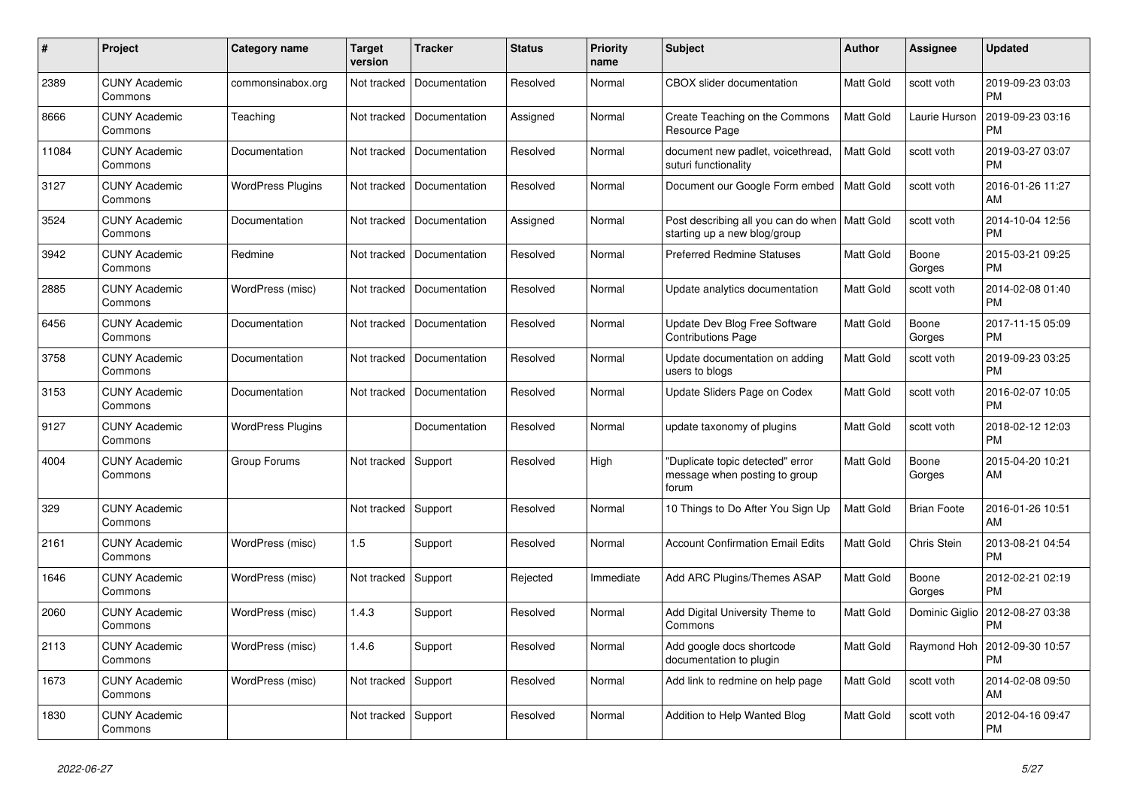| #     | Project                         | Category name            | <b>Target</b><br>version | <b>Tracker</b> | <b>Status</b> | <b>Priority</b><br>name | <b>Subject</b>                                                                  | <b>Author</b>    | Assignee           | <b>Updated</b>                |
|-------|---------------------------------|--------------------------|--------------------------|----------------|---------------|-------------------------|---------------------------------------------------------------------------------|------------------|--------------------|-------------------------------|
| 2389  | <b>CUNY Academic</b><br>Commons | commonsinabox.org        | Not tracked              | Documentation  | Resolved      | Normal                  | <b>CBOX</b> slider documentation                                                | Matt Gold        | scott voth         | 2019-09-23 03:03<br><b>PM</b> |
| 8666  | <b>CUNY Academic</b><br>Commons | Teaching                 | Not tracked              | Documentation  | Assigned      | Normal                  | Create Teaching on the Commons<br>Resource Page                                 | Matt Gold        | Laurie Hurson      | 2019-09-23 03:16<br>PM        |
| 11084 | <b>CUNY Academic</b><br>Commons | Documentation            | Not tracked              | Documentation  | Resolved      | Normal                  | document new padlet, voicethread,<br>suturi functionality                       | Matt Gold        | scott voth         | 2019-03-27 03:07<br><b>PM</b> |
| 3127  | <b>CUNY Academic</b><br>Commons | <b>WordPress Plugins</b> | Not tracked              | Documentation  | Resolved      | Normal                  | Document our Google Form embed                                                  | <b>Matt Gold</b> | scott voth         | 2016-01-26 11:27<br>AM        |
| 3524  | <b>CUNY Academic</b><br>Commons | Documentation            | Not tracked              | Documentation  | Assigned      | Normal                  | Post describing all you can do when   Matt Gold<br>starting up a new blog/group |                  | scott voth         | 2014-10-04 12:56<br><b>PM</b> |
| 3942  | <b>CUNY Academic</b><br>Commons | Redmine                  | Not tracked              | Documentation  | Resolved      | Normal                  | <b>Preferred Redmine Statuses</b>                                               | Matt Gold        | Boone<br>Gorges    | 2015-03-21 09:25<br><b>PM</b> |
| 2885  | <b>CUNY Academic</b><br>Commons | WordPress (misc)         | Not tracked              | Documentation  | Resolved      | Normal                  | Update analytics documentation                                                  | Matt Gold        | scott voth         | 2014-02-08 01:40<br><b>PM</b> |
| 6456  | <b>CUNY Academic</b><br>Commons | Documentation            | Not tracked              | Documentation  | Resolved      | Normal                  | Update Dev Blog Free Software<br><b>Contributions Page</b>                      | Matt Gold        | Boone<br>Gorges    | 2017-11-15 05:09<br><b>PM</b> |
| 3758  | <b>CUNY Academic</b><br>Commons | Documentation            | Not tracked              | Documentation  | Resolved      | Normal                  | Update documentation on adding<br>users to blogs                                | Matt Gold        | scott voth         | 2019-09-23 03:25<br><b>PM</b> |
| 3153  | <b>CUNY Academic</b><br>Commons | Documentation            | Not tracked              | Documentation  | Resolved      | Normal                  | Update Sliders Page on Codex                                                    | Matt Gold        | scott voth         | 2016-02-07 10:05<br><b>PM</b> |
| 9127  | <b>CUNY Academic</b><br>Commons | <b>WordPress Plugins</b> |                          | Documentation  | Resolved      | Normal                  | update taxonomy of plugins                                                      | Matt Gold        | scott voth         | 2018-02-12 12:03<br><b>PM</b> |
| 4004  | <b>CUNY Academic</b><br>Commons | Group Forums             | Not tracked              | Support        | Resolved      | High                    | "Duplicate topic detected" error<br>message when posting to group<br>forum      | Matt Gold        | Boone<br>Gorges    | 2015-04-20 10:21<br>AM        |
| 329   | <b>CUNY Academic</b><br>Commons |                          | Not tracked              | Support        | Resolved      | Normal                  | 10 Things to Do After You Sign Up                                               | Matt Gold        | <b>Brian Foote</b> | 2016-01-26 10:51<br>AM        |
| 2161  | <b>CUNY Academic</b><br>Commons | WordPress (misc)         | 1.5                      | Support        | Resolved      | Normal                  | <b>Account Confirmation Email Edits</b>                                         | Matt Gold        | Chris Stein        | 2013-08-21 04:54<br><b>PM</b> |
| 1646  | <b>CUNY Academic</b><br>Commons | WordPress (misc)         | Not tracked              | Support        | Rejected      | Immediate               | Add ARC Plugins/Themes ASAP                                                     | Matt Gold        | Boone<br>Gorges    | 2012-02-21 02:19<br><b>PM</b> |
| 2060  | <b>CUNY Academic</b><br>Commons | WordPress (misc)         | 1.4.3                    | Support        | Resolved      | Normal                  | Add Digital University Theme to<br>Commons                                      | Matt Gold        | Dominic Giglio     | 2012-08-27 03:38<br>PM        |
| 2113  | <b>CUNY Academic</b><br>Commons | WordPress (misc)         | 1.4.6                    | Support        | Resolved      | Normal                  | Add google docs shortcode<br>documentation to plugin                            | Matt Gold        | Raymond Hoh        | 2012-09-30 10:57<br><b>PM</b> |
| 1673  | <b>CUNY Academic</b><br>Commons | WordPress (misc)         | Not tracked              | Support        | Resolved      | Normal                  | Add link to redmine on help page                                                | Matt Gold        | scott voth         | 2014-02-08 09:50<br>AM        |
| 1830  | <b>CUNY Academic</b><br>Commons |                          | Not tracked              | Support        | Resolved      | Normal                  | Addition to Help Wanted Blog                                                    | Matt Gold        | scott voth         | 2012-04-16 09:47<br><b>PM</b> |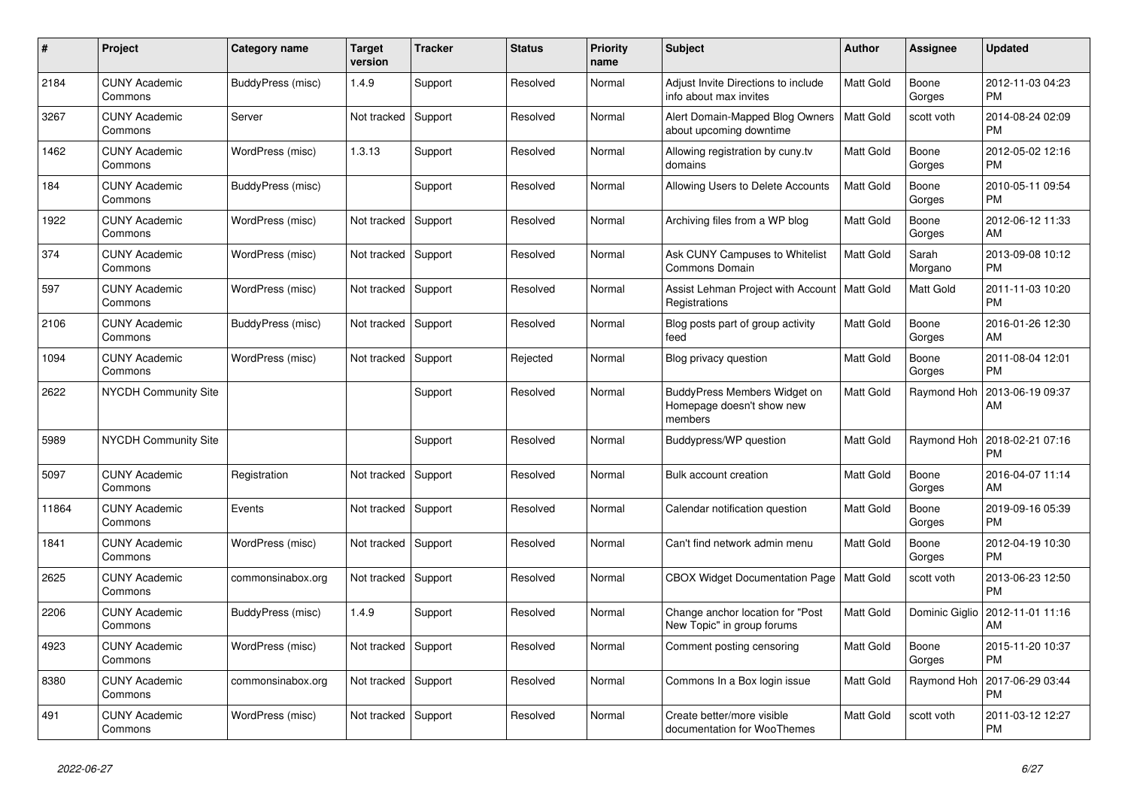| #     | Project                         | <b>Category name</b> | <b>Target</b><br>version | <b>Tracker</b> | <b>Status</b> | <b>Priority</b><br>name | <b>Subject</b>                                                       | <b>Author</b>    | Assignee         | <b>Updated</b>                |
|-------|---------------------------------|----------------------|--------------------------|----------------|---------------|-------------------------|----------------------------------------------------------------------|------------------|------------------|-------------------------------|
| 2184  | <b>CUNY Academic</b><br>Commons | BuddyPress (misc)    | 1.4.9                    | Support        | Resolved      | Normal                  | Adjust Invite Directions to include<br>info about max invites        | Matt Gold        | Boone<br>Gorges  | 2012-11-03 04:23<br><b>PM</b> |
| 3267  | <b>CUNY Academic</b><br>Commons | Server               | Not tracked              | Support        | Resolved      | Normal                  | Alert Domain-Mapped Blog Owners<br>about upcoming downtime           | Matt Gold        | scott voth       | 2014-08-24 02:09<br><b>PM</b> |
| 1462  | <b>CUNY Academic</b><br>Commons | WordPress (misc)     | 1.3.13                   | Support        | Resolved      | Normal                  | Allowing registration by cuny.tv<br>domains                          | Matt Gold        | Boone<br>Gorges  | 2012-05-02 12:16<br><b>PM</b> |
| 184   | <b>CUNY Academic</b><br>Commons | BuddyPress (misc)    |                          | Support        | Resolved      | Normal                  | Allowing Users to Delete Accounts                                    | Matt Gold        | Boone<br>Gorges  | 2010-05-11 09:54<br><b>PM</b> |
| 1922  | <b>CUNY Academic</b><br>Commons | WordPress (misc)     | Not tracked              | Support        | Resolved      | Normal                  | Archiving files from a WP blog                                       | Matt Gold        | Boone<br>Gorges  | 2012-06-12 11:33<br>AM        |
| 374   | <b>CUNY Academic</b><br>Commons | WordPress (misc)     | Not tracked              | Support        | Resolved      | Normal                  | Ask CUNY Campuses to Whitelist<br>Commons Domain                     | Matt Gold        | Sarah<br>Morgano | 2013-09-08 10:12<br><b>PM</b> |
| 597   | <b>CUNY Academic</b><br>Commons | WordPress (misc)     | Not tracked              | Support        | Resolved      | Normal                  | Assist Lehman Project with Account   Matt Gold<br>Registrations      |                  | Matt Gold        | 2011-11-03 10:20<br><b>PM</b> |
| 2106  | <b>CUNY Academic</b><br>Commons | BuddyPress (misc)    | Not tracked              | Support        | Resolved      | Normal                  | Blog posts part of group activity<br>feed                            | Matt Gold        | Boone<br>Gorges  | 2016-01-26 12:30<br>AM        |
| 1094  | <b>CUNY Academic</b><br>Commons | WordPress (misc)     | Not tracked              | Support        | Rejected      | Normal                  | Blog privacy question                                                | Matt Gold        | Boone<br>Gorges  | 2011-08-04 12:01<br><b>PM</b> |
| 2622  | NYCDH Community Site            |                      |                          | Support        | Resolved      | Normal                  | BuddyPress Members Widget on<br>Homepage doesn't show new<br>members | <b>Matt Gold</b> | Raymond Hoh      | 2013-06-19 09:37<br>AM        |
| 5989  | <b>NYCDH Community Site</b>     |                      |                          | Support        | Resolved      | Normal                  | Buddypress/WP question                                               | Matt Gold        | Raymond Hoh      | 2018-02-21 07:16<br><b>PM</b> |
| 5097  | <b>CUNY Academic</b><br>Commons | Registration         | Not tracked              | Support        | Resolved      | Normal                  | Bulk account creation                                                | Matt Gold        | Boone<br>Gorges  | 2016-04-07 11:14<br>AM        |
| 11864 | <b>CUNY Academic</b><br>Commons | Events               | Not tracked              | Support        | Resolved      | Normal                  | Calendar notification question                                       | Matt Gold        | Boone<br>Gorges  | 2019-09-16 05:39<br><b>PM</b> |
| 1841  | <b>CUNY Academic</b><br>Commons | WordPress (misc)     | Not tracked              | Support        | Resolved      | Normal                  | Can't find network admin menu                                        | Matt Gold        | Boone<br>Gorges  | 2012-04-19 10:30<br><b>PM</b> |
| 2625  | <b>CUNY Academic</b><br>Commons | commonsinabox.org    | Not tracked   Support    |                | Resolved      | Normal                  | CBOX Widget Documentation Page                                       | <b>Matt Gold</b> | scott voth       | 2013-06-23 12:50<br><b>PM</b> |
| 2206  | <b>CUNY Academic</b><br>Commons | BuddyPress (misc)    | 1.4.9                    | Support        | Resolved      | Normal                  | Change anchor location for "Post<br>New Topic" in group forums       | <b>Matt Gold</b> | Dominic Giglio   | 2012-11-01 11:16<br>AM        |
| 4923  | <b>CUNY Academic</b><br>Commons | WordPress (misc)     | Not tracked              | Support        | Resolved      | Normal                  | Comment posting censoring                                            | Matt Gold        | Boone<br>Gorges  | 2015-11-20 10:37<br><b>PM</b> |
| 8380  | <b>CUNY Academic</b><br>Commons | commonsinabox.org    | Not tracked              | Support        | Resolved      | Normal                  | Commons In a Box login issue                                         | Matt Gold        | Raymond Hoh      | 2017-06-29 03:44<br><b>PM</b> |
| 491   | <b>CUNY Academic</b><br>Commons | WordPress (misc)     | Not tracked   Support    |                | Resolved      | Normal                  | Create better/more visible<br>documentation for WooThemes            | Matt Gold        | scott voth       | 2011-03-12 12:27<br><b>PM</b> |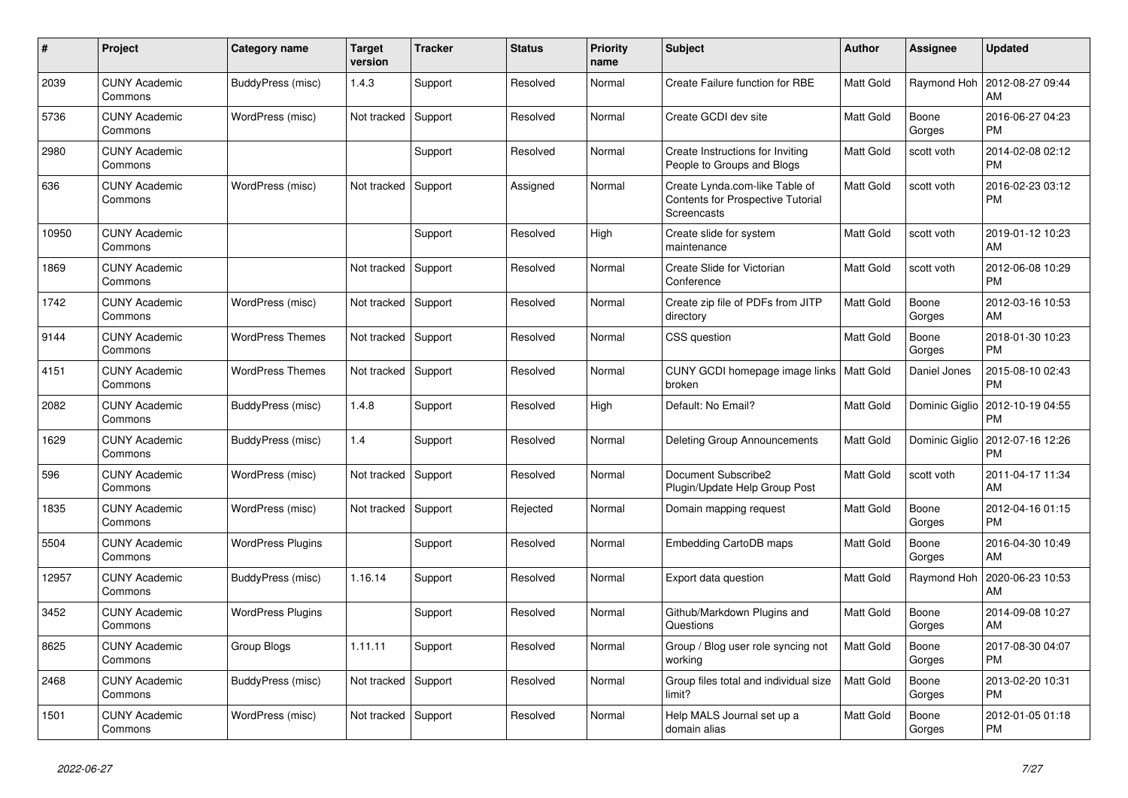| #     | Project                         | <b>Category name</b>     | <b>Target</b><br>version | <b>Tracker</b> | <b>Status</b> | Priority<br>name | <b>Subject</b>                                                                     | <b>Author</b>    | Assignee        | <b>Updated</b>                |
|-------|---------------------------------|--------------------------|--------------------------|----------------|---------------|------------------|------------------------------------------------------------------------------------|------------------|-----------------|-------------------------------|
| 2039  | <b>CUNY Academic</b><br>Commons | BuddyPress (misc)        | 1.4.3                    | Support        | Resolved      | Normal           | Create Failure function for RBE                                                    | Matt Gold        | Raymond Hoh     | 2012-08-27 09:44<br>AM        |
| 5736  | <b>CUNY Academic</b><br>Commons | WordPress (misc)         | Not tracked              | Support        | Resolved      | Normal           | Create GCDI dev site                                                               | Matt Gold        | Boone<br>Gorges | 2016-06-27 04:23<br>PM        |
| 2980  | <b>CUNY Academic</b><br>Commons |                          |                          | Support        | Resolved      | Normal           | Create Instructions for Inviting<br>People to Groups and Blogs                     | Matt Gold        | scott voth      | 2014-02-08 02:12<br><b>PM</b> |
| 636   | <b>CUNY Academic</b><br>Commons | WordPress (misc)         | Not tracked              | Support        | Assigned      | Normal           | Create Lynda.com-like Table of<br>Contents for Prospective Tutorial<br>Screencasts | Matt Gold        | scott voth      | 2016-02-23 03:12<br><b>PM</b> |
| 10950 | <b>CUNY Academic</b><br>Commons |                          |                          | Support        | Resolved      | High             | Create slide for system<br>maintenance                                             | Matt Gold        | scott voth      | 2019-01-12 10:23<br>AM        |
| 1869  | <b>CUNY Academic</b><br>Commons |                          | Not tracked              | Support        | Resolved      | Normal           | Create Slide for Victorian<br>Conference                                           | Matt Gold        | scott voth      | 2012-06-08 10:29<br><b>PM</b> |
| 1742  | <b>CUNY Academic</b><br>Commons | WordPress (misc)         | Not tracked              | Support        | Resolved      | Normal           | Create zip file of PDFs from JITP<br>directory                                     | Matt Gold        | Boone<br>Gorges | 2012-03-16 10:53<br>AM        |
| 9144  | <b>CUNY Academic</b><br>Commons | <b>WordPress Themes</b>  | Not tracked              | Support        | Resolved      | Normal           | CSS question                                                                       | Matt Gold        | Boone<br>Gorges | 2018-01-30 10:23<br><b>PM</b> |
| 4151  | <b>CUNY Academic</b><br>Commons | <b>WordPress Themes</b>  | Not tracked              | Support        | Resolved      | Normal           | CUNY GCDI homepage image links<br>broken                                           | <b>Matt Gold</b> | Daniel Jones    | 2015-08-10 02:43<br><b>PM</b> |
| 2082  | <b>CUNY Academic</b><br>Commons | BuddyPress (misc)        | 1.4.8                    | Support        | Resolved      | High             | Default: No Email?                                                                 | Matt Gold        | Dominic Giglio  | 2012-10-19 04:55<br><b>PM</b> |
| 1629  | <b>CUNY Academic</b><br>Commons | BuddyPress (misc)        | 1.4                      | Support        | Resolved      | Normal           | Deleting Group Announcements                                                       | Matt Gold        | Dominic Giglio  | 2012-07-16 12:26<br>PM        |
| 596   | <b>CUNY Academic</b><br>Commons | WordPress (misc)         | Not tracked              | Support        | Resolved      | Normal           | Document Subscribe2<br>Plugin/Update Help Group Post                               | Matt Gold        | scott voth      | 2011-04-17 11:34<br>AM        |
| 1835  | <b>CUNY Academic</b><br>Commons | WordPress (misc)         | Not tracked              | Support        | Rejected      | Normal           | Domain mapping request                                                             | Matt Gold        | Boone<br>Gorges | 2012-04-16 01:15<br>PM        |
| 5504  | <b>CUNY Academic</b><br>Commons | <b>WordPress Plugins</b> |                          | Support        | Resolved      | Normal           | Embedding CartoDB maps                                                             | Matt Gold        | Boone<br>Gorges | 2016-04-30 10:49<br>AM        |
| 12957 | <b>CUNY Academic</b><br>Commons | BuddyPress (misc)        | 1.16.14                  | Support        | Resolved      | Normal           | Export data question                                                               | Matt Gold        | Raymond Hoh     | 2020-06-23 10:53<br>AM        |
| 3452  | <b>CUNY Academic</b><br>Commons | <b>WordPress Plugins</b> |                          | Support        | Resolved      | Normal           | Github/Markdown Plugins and<br>Questions                                           | Matt Gold        | Boone<br>Gorges | 2014-09-08 10:27<br>AM        |
| 8625  | <b>CUNY Academic</b><br>Commons | Group Blogs              | 1.11.11                  | Support        | Resolved      | Normal           | Group / Blog user role syncing not<br>workina                                      | Matt Gold        | Boone<br>Gorges | 2017-08-30 04:07<br><b>PM</b> |
| 2468  | <b>CUNY Academic</b><br>Commons | BuddyPress (misc)        | Not tracked              | Support        | Resolved      | Normal           | Group files total and individual size<br>limit?                                    | Matt Gold        | Boone<br>Gorges | 2013-02-20 10:31<br><b>PM</b> |
| 1501  | <b>CUNY Academic</b><br>Commons | WordPress (misc)         | Not tracked              | Support        | Resolved      | Normal           | Help MALS Journal set up a<br>domain alias                                         | Matt Gold        | Boone<br>Gorges | 2012-01-05 01:18<br><b>PM</b> |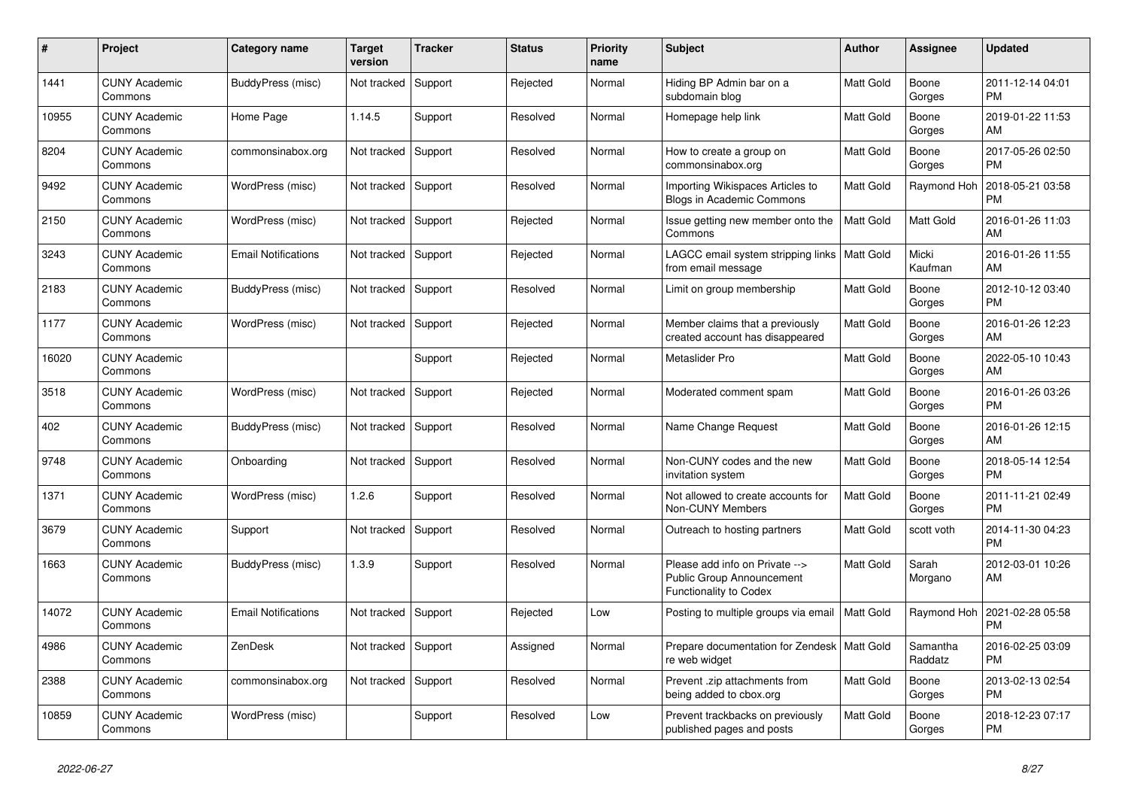| #     | Project                         | <b>Category name</b>       | <b>Target</b><br>version | <b>Tracker</b> | <b>Status</b> | <b>Priority</b><br>name | <b>Subject</b>                                                                               | <b>Author</b> | Assignee            | <b>Updated</b>                |
|-------|---------------------------------|----------------------------|--------------------------|----------------|---------------|-------------------------|----------------------------------------------------------------------------------------------|---------------|---------------------|-------------------------------|
| 1441  | <b>CUNY Academic</b><br>Commons | BuddyPress (misc)          | Not tracked              | Support        | Rejected      | Normal                  | Hiding BP Admin bar on a<br>subdomain blog                                                   | Matt Gold     | Boone<br>Gorges     | 2011-12-14 04:01<br><b>PM</b> |
| 10955 | <b>CUNY Academic</b><br>Commons | Home Page                  | 1.14.5                   | Support        | Resolved      | Normal                  | Homepage help link                                                                           | Matt Gold     | Boone<br>Gorges     | 2019-01-22 11:53<br>AM        |
| 8204  | <b>CUNY Academic</b><br>Commons | commonsinabox.org          | Not tracked              | Support        | Resolved      | Normal                  | How to create a group on<br>commonsinabox.org                                                | Matt Gold     | Boone<br>Gorges     | 2017-05-26 02:50<br><b>PM</b> |
| 9492  | <b>CUNY Academic</b><br>Commons | WordPress (misc)           | Not tracked              | Support        | Resolved      | Normal                  | Importing Wikispaces Articles to<br><b>Blogs in Academic Commons</b>                         | Matt Gold     | Raymond Hoh         | 2018-05-21 03:58<br><b>PM</b> |
| 2150  | <b>CUNY Academic</b><br>Commons | WordPress (misc)           | Not tracked              | Support        | Rejected      | Normal                  | Issue getting new member onto the<br>Commons                                                 | Matt Gold     | Matt Gold           | 2016-01-26 11:03<br>AM        |
| 3243  | <b>CUNY Academic</b><br>Commons | <b>Email Notifications</b> | Not tracked              | Support        | Rejected      | Normal                  | LAGCC email system stripping links   Matt Gold<br>from email message                         |               | Micki<br>Kaufman    | 2016-01-26 11:55<br>AM        |
| 2183  | <b>CUNY Academic</b><br>Commons | BuddyPress (misc)          | Not tracked              | Support        | Resolved      | Normal                  | Limit on group membership                                                                    | Matt Gold     | Boone<br>Gorges     | 2012-10-12 03:40<br><b>PM</b> |
| 1177  | <b>CUNY Academic</b><br>Commons | WordPress (misc)           | Not tracked              | Support        | Rejected      | Normal                  | Member claims that a previously<br>created account has disappeared                           | Matt Gold     | Boone<br>Gorges     | 2016-01-26 12:23<br>AM        |
| 16020 | <b>CUNY Academic</b><br>Commons |                            |                          | Support        | Rejected      | Normal                  | Metaslider Pro                                                                               | Matt Gold     | Boone<br>Gorges     | 2022-05-10 10:43<br>AM        |
| 3518  | <b>CUNY Academic</b><br>Commons | WordPress (misc)           | Not tracked              | Support        | Rejected      | Normal                  | Moderated comment spam                                                                       | Matt Gold     | Boone<br>Gorges     | 2016-01-26 03:26<br><b>PM</b> |
| 402   | <b>CUNY Academic</b><br>Commons | BuddyPress (misc)          | Not tracked              | Support        | Resolved      | Normal                  | Name Change Request                                                                          | Matt Gold     | Boone<br>Gorges     | 2016-01-26 12:15<br>AM        |
| 9748  | <b>CUNY Academic</b><br>Commons | Onboarding                 | Not tracked              | Support        | Resolved      | Normal                  | Non-CUNY codes and the new<br>invitation system                                              | Matt Gold     | Boone<br>Gorges     | 2018-05-14 12:54<br><b>PM</b> |
| 1371  | <b>CUNY Academic</b><br>Commons | WordPress (misc)           | 1.2.6                    | Support        | Resolved      | Normal                  | Not allowed to create accounts for<br>Non-CUNY Members                                       | Matt Gold     | Boone<br>Gorges     | 2011-11-21 02:49<br><b>PM</b> |
| 3679  | <b>CUNY Academic</b><br>Commons | Support                    | Not tracked              | Support        | Resolved      | Normal                  | Outreach to hosting partners                                                                 | Matt Gold     | scott voth          | 2014-11-30 04:23<br><b>PM</b> |
| 1663  | <b>CUNY Academic</b><br>Commons | BuddyPress (misc)          | 1.3.9                    | Support        | Resolved      | Normal                  | Please add info on Private --><br><b>Public Group Announcement</b><br>Functionality to Codex | Matt Gold     | Sarah<br>Morgano    | 2012-03-01 10:26<br>AM        |
| 14072 | <b>CUNY Academic</b><br>Commons | <b>Email Notifications</b> | Not tracked              | Support        | Rejected      | Low                     | Posting to multiple groups via email                                                         | Matt Gold     | Raymond Hoh         | 2021-02-28 05:58<br><b>PM</b> |
| 4986  | <b>CUNY Academic</b><br>Commons | ZenDesk                    | Not tracked              | Support        | Assigned      | Normal                  | Prepare documentation for Zendesk   Matt Gold<br>re web widget                               |               | Samantha<br>Raddatz | 2016-02-25 03:09<br><b>PM</b> |
| 2388  | <b>CUNY Academic</b><br>Commons | commonsinabox.org          | Not tracked              | Support        | Resolved      | Normal                  | Prevent .zip attachments from<br>being added to cbox.org                                     | Matt Gold     | Boone<br>Gorges     | 2013-02-13 02:54<br><b>PM</b> |
| 10859 | <b>CUNY Academic</b><br>Commons | WordPress (misc)           |                          | Support        | Resolved      | Low                     | Prevent trackbacks on previously<br>published pages and posts                                | Matt Gold     | Boone<br>Gorges     | 2018-12-23 07:17<br><b>PM</b> |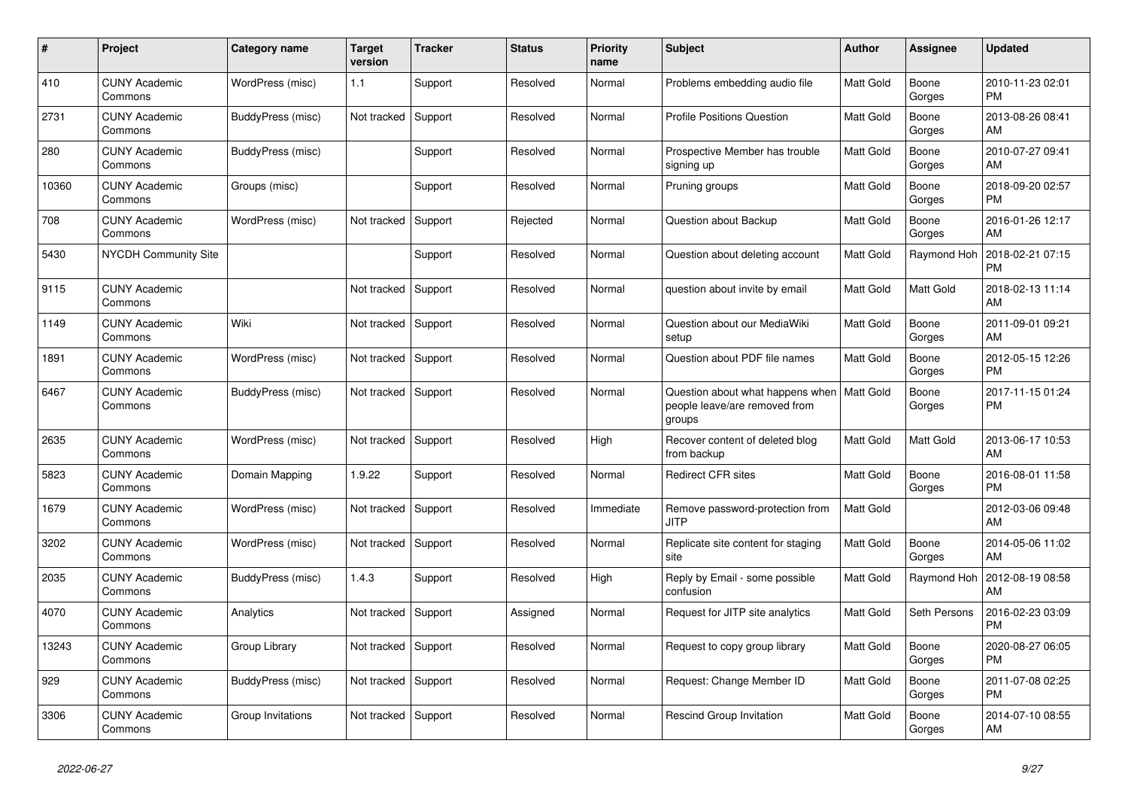| #     | Project                         | <b>Category name</b> | <b>Target</b><br>version | <b>Tracker</b> | <b>Status</b> | <b>Priority</b><br>name | <b>Subject</b>                                                                          | Author    | Assignee        | <b>Updated</b>                |
|-------|---------------------------------|----------------------|--------------------------|----------------|---------------|-------------------------|-----------------------------------------------------------------------------------------|-----------|-----------------|-------------------------------|
| 410   | <b>CUNY Academic</b><br>Commons | WordPress (misc)     | $1.1$                    | Support        | Resolved      | Normal                  | Problems embedding audio file                                                           | Matt Gold | Boone<br>Gorges | 2010-11-23 02:01<br><b>PM</b> |
| 2731  | <b>CUNY Academic</b><br>Commons | BuddyPress (misc)    | Not tracked              | Support        | Resolved      | Normal                  | <b>Profile Positions Question</b>                                                       | Matt Gold | Boone<br>Gorges | 2013-08-26 08:41<br>AM        |
| 280   | <b>CUNY Academic</b><br>Commons | BuddyPress (misc)    |                          | Support        | Resolved      | Normal                  | Prospective Member has trouble<br>signing up                                            | Matt Gold | Boone<br>Gorges | 2010-07-27 09:41<br>AM        |
| 10360 | <b>CUNY Academic</b><br>Commons | Groups (misc)        |                          | Support        | Resolved      | Normal                  | Pruning groups                                                                          | Matt Gold | Boone<br>Gorges | 2018-09-20 02:57<br><b>PM</b> |
| 708   | <b>CUNY Academic</b><br>Commons | WordPress (misc)     | Not tracked              | Support        | Rejected      | Normal                  | Question about Backup                                                                   | Matt Gold | Boone<br>Gorges | 2016-01-26 12:17<br>AM        |
| 5430  | <b>NYCDH Community Site</b>     |                      |                          | Support        | Resolved      | Normal                  | Question about deleting account                                                         | Matt Gold | Raymond Hoh     | 2018-02-21 07:15<br><b>PM</b> |
| 9115  | <b>CUNY Academic</b><br>Commons |                      | Not tracked              | Support        | Resolved      | Normal                  | question about invite by email                                                          | Matt Gold | Matt Gold       | 2018-02-13 11:14<br>AM        |
| 1149  | <b>CUNY Academic</b><br>Commons | Wiki                 | Not tracked              | Support        | Resolved      | Normal                  | Question about our MediaWiki<br>setup                                                   | Matt Gold | Boone<br>Gorges | 2011-09-01 09:21<br>AM        |
| 1891  | <b>CUNY Academic</b><br>Commons | WordPress (misc)     | Not tracked              | Support        | Resolved      | Normal                  | Question about PDF file names                                                           | Matt Gold | Boone<br>Gorges | 2012-05-15 12:26<br><b>PM</b> |
| 6467  | <b>CUNY Academic</b><br>Commons | BuddyPress (misc)    | Not tracked              | Support        | Resolved      | Normal                  | Question about what happens when   Matt Gold<br>people leave/are removed from<br>groups |           | Boone<br>Gorges | 2017-11-15 01:24<br><b>PM</b> |
| 2635  | <b>CUNY Academic</b><br>Commons | WordPress (misc)     | Not tracked              | Support        | Resolved      | High                    | Recover content of deleted blog<br>from backup                                          | Matt Gold | Matt Gold       | 2013-06-17 10:53<br>AM        |
| 5823  | <b>CUNY Academic</b><br>Commons | Domain Mapping       | 1.9.22                   | Support        | Resolved      | Normal                  | <b>Redirect CFR sites</b>                                                               | Matt Gold | Boone<br>Gorges | 2016-08-01 11:58<br><b>PM</b> |
| 1679  | <b>CUNY Academic</b><br>Commons | WordPress (misc)     | Not tracked              | Support        | Resolved      | Immediate               | Remove password-protection from<br><b>JITP</b>                                          | Matt Gold |                 | 2012-03-06 09:48<br>AM        |
| 3202  | <b>CUNY Academic</b><br>Commons | WordPress (misc)     | Not tracked              | Support        | Resolved      | Normal                  | Replicate site content for staging<br>site                                              | Matt Gold | Boone<br>Gorges | 2014-05-06 11:02<br>AM        |
| 2035  | <b>CUNY Academic</b><br>Commons | BuddyPress (misc)    | 1.4.3                    | Support        | Resolved      | High                    | Reply by Email - some possible<br>confusion                                             | Matt Gold | Raymond Hoh     | 2012-08-19 08:58<br>AM        |
| 4070  | <b>CUNY Academic</b><br>Commons | Analytics            | Not tracked              | Support        | Assigned      | Normal                  | Request for JITP site analytics                                                         | Matt Gold | Seth Persons    | 2016-02-23 03:09<br><b>PM</b> |
| 13243 | <b>CUNY Academic</b><br>Commons | Group Library        | Not tracked              | Support        | Resolved      | Normal                  | Request to copy group library                                                           | Matt Gold | Boone<br>Gorges | 2020-08-27 06:05<br><b>PM</b> |
| 929   | <b>CUNY Academic</b><br>Commons | BuddyPress (misc)    | Not tracked              | Support        | Resolved      | Normal                  | Request: Change Member ID                                                               | Matt Gold | Boone<br>Gorges | 2011-07-08 02:25<br><b>PM</b> |
| 3306  | <b>CUNY Academic</b><br>Commons | Group Invitations    | Not tracked              | Support        | Resolved      | Normal                  | Rescind Group Invitation                                                                | Matt Gold | Boone<br>Gorges | 2014-07-10 08:55<br>AM        |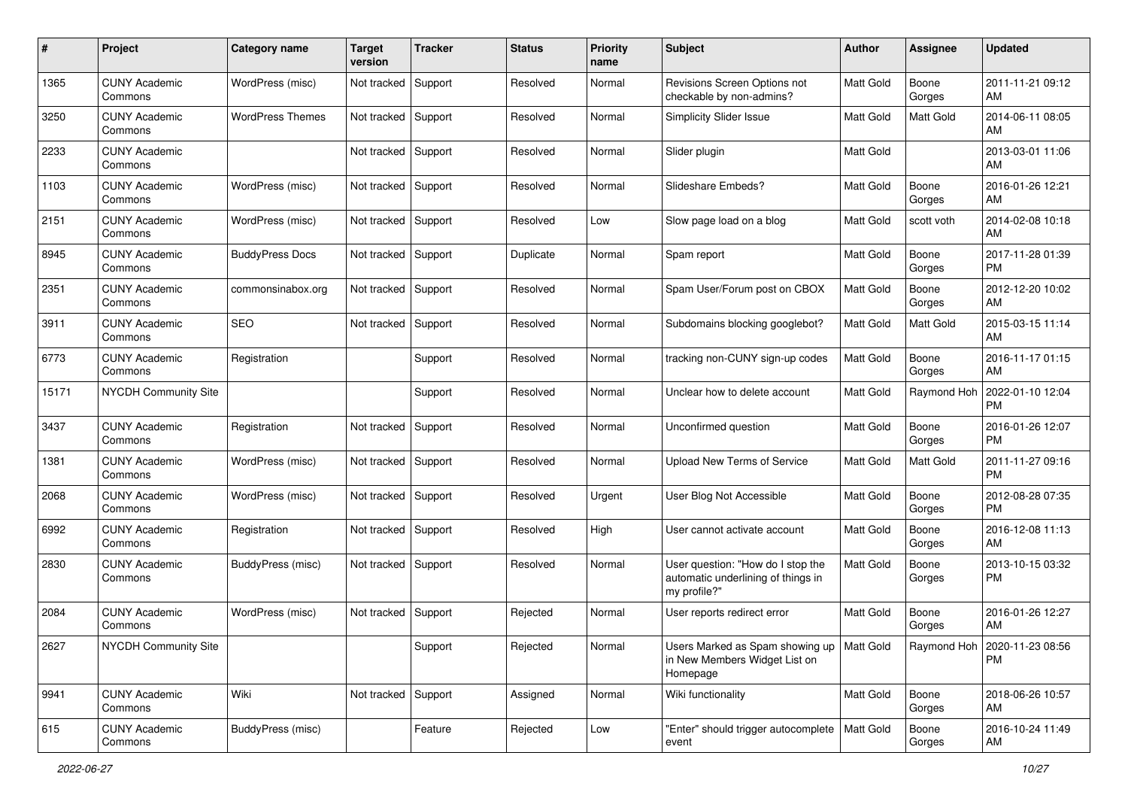| #     | Project                         | <b>Category name</b>    | <b>Target</b><br>version | <b>Tracker</b> | <b>Status</b> | <b>Priority</b><br>name | Subject                                                                                  | Author           | <b>Assignee</b>  | <b>Updated</b>                              |
|-------|---------------------------------|-------------------------|--------------------------|----------------|---------------|-------------------------|------------------------------------------------------------------------------------------|------------------|------------------|---------------------------------------------|
| 1365  | <b>CUNY Academic</b><br>Commons | WordPress (misc)        | Not tracked              | Support        | Resolved      | Normal                  | Revisions Screen Options not<br>checkable by non-admins?                                 | <b>Matt Gold</b> | Boone<br>Gorges  | 2011-11-21 09:12<br>AM                      |
| 3250  | <b>CUNY Academic</b><br>Commons | <b>WordPress Themes</b> | Not tracked              | Support        | Resolved      | Normal                  | <b>Simplicity Slider Issue</b>                                                           | Matt Gold        | <b>Matt Gold</b> | 2014-06-11 08:05<br>AM                      |
| 2233  | CUNY Academic<br>Commons        |                         | Not tracked              | Support        | Resolved      | Normal                  | Slider plugin                                                                            | <b>Matt Gold</b> |                  | 2013-03-01 11:06<br>AM                      |
| 1103  | <b>CUNY Academic</b><br>Commons | WordPress (misc)        | Not tracked              | Support        | Resolved      | Normal                  | Slideshare Embeds?                                                                       | <b>Matt Gold</b> | Boone<br>Gorges  | 2016-01-26 12:21<br>AM                      |
| 2151  | <b>CUNY Academic</b><br>Commons | WordPress (misc)        | Not tracked              | Support        | Resolved      | Low                     | Slow page load on a blog                                                                 | <b>Matt Gold</b> | scott voth       | 2014-02-08 10:18<br>AM                      |
| 8945  | <b>CUNY Academic</b><br>Commons | <b>BuddyPress Docs</b>  | Not tracked              | Support        | Duplicate     | Normal                  | Spam report                                                                              | Matt Gold        | Boone<br>Gorges  | 2017-11-28 01:39<br><b>PM</b>               |
| 2351  | <b>CUNY Academic</b><br>Commons | commonsinabox.org       | Not tracked              | Support        | Resolved      | Normal                  | Spam User/Forum post on CBOX                                                             | Matt Gold        | Boone<br>Gorges  | 2012-12-20 10:02<br>AM                      |
| 3911  | <b>CUNY Academic</b><br>Commons | SEO                     | Not tracked              | Support        | Resolved      | Normal                  | Subdomains blocking googlebot?                                                           | <b>Matt Gold</b> | <b>Matt Gold</b> | 2015-03-15 11:14<br>AM                      |
| 6773  | <b>CUNY Academic</b><br>Commons | Registration            |                          | Support        | Resolved      | Normal                  | tracking non-CUNY sign-up codes                                                          | Matt Gold        | Boone<br>Gorges  | 2016-11-17 01:15<br>AM                      |
| 15171 | NYCDH Community Site            |                         |                          | Support        | Resolved      | Normal                  | Unclear how to delete account                                                            | <b>Matt Gold</b> | Raymond Hor      | 2022-01-10 12:04<br><b>PM</b>               |
| 3437  | <b>CUNY Academic</b><br>Commons | Registration            | Not tracked              | Support        | Resolved      | Normal                  | Unconfirmed question                                                                     | Matt Gold        | Boone<br>Gorges  | 2016-01-26 12:07<br><b>PM</b>               |
| 1381  | <b>CUNY Academic</b><br>Commons | WordPress (misc)        | Not tracked              | Support        | Resolved      | Normal                  | <b>Upload New Terms of Service</b>                                                       | <b>Matt Gold</b> | <b>Matt Gold</b> | 2011-11-27 09:16<br><b>PM</b>               |
| 2068  | <b>CUNY Academic</b><br>Commons | WordPress (misc)        | Not tracked              | Support        | Resolved      | Urgent                  | User Blog Not Accessible                                                                 | Matt Gold        | Boone<br>Gorges  | 2012-08-28 07:35<br>PM                      |
| 6992  | <b>CUNY Academic</b><br>Commons | Registration            | Not tracked              | Support        | Resolved      | High                    | User cannot activate account                                                             | Matt Gold        | Boone<br>Gorges  | 2016-12-08 11:13<br>AM                      |
| 2830  | <b>CUNY Academic</b><br>Commons | BuddyPress (misc)       | Not tracked              | Support        | Resolved      | Normal                  | User question: "How do I stop the<br>automatic underlining of things in<br>my profile?"  | Matt Gold        | Boone<br>Gorges  | 2013-10-15 03:32<br><b>PM</b>               |
| 2084  | <b>CUNY Academic</b><br>Commons | WordPress (misc)        | Not tracked              | Support        | Rejected      | Normal                  | User reports redirect error                                                              | <b>Matt Gold</b> | Boone<br>Gorges  | 2016-01-26 12:27<br>AM                      |
| 2627  | <b>NYCDH Community Site</b>     |                         |                          | Support        | Rejected      | Normal                  | Users Marked as Spam showing up   Matt Gold<br>in New Members Widget List on<br>Homepage |                  |                  | Raymond Hoh   2020-11-23 08:56<br><b>PM</b> |
| 9941  | <b>CUNY Academic</b><br>Commons | Wiki                    | Not tracked              | Support        | Assigned      | Normal                  | Wiki functionality                                                                       | <b>Matt Gold</b> | Boone<br>Gorges  | 2018-06-26 10:57<br>AM                      |
| 615   | <b>CUNY Academic</b><br>Commons | BuddyPress (misc)       |                          | Feature        | Rejected      | Low                     | "Enter" should trigger autocomplete  <br>event                                           | Matt Gold        | Boone<br>Gorges  | 2016-10-24 11:49<br>AM                      |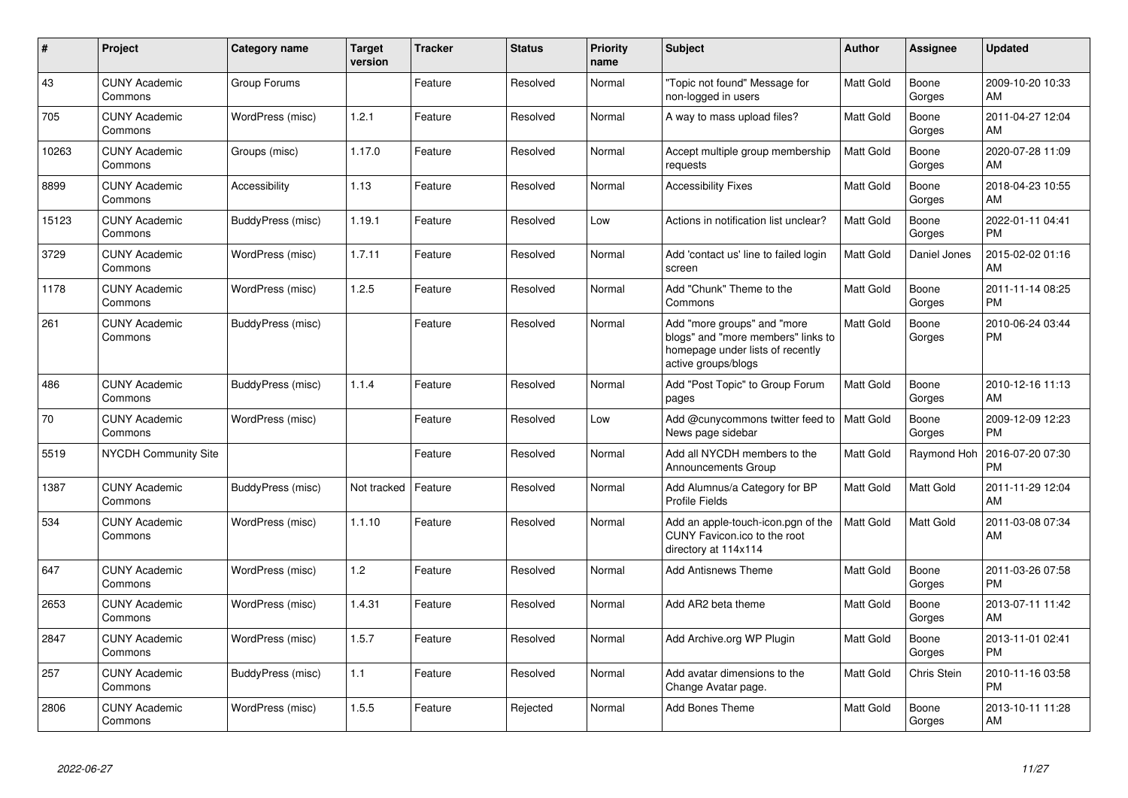| #     | <b>Project</b>                  | <b>Category name</b> | <b>Target</b><br>version | <b>Tracker</b> | <b>Status</b> | <b>Priority</b><br>name | <b>Subject</b>                                                                                                               | Author           | Assignee        | <b>Updated</b>                |
|-------|---------------------------------|----------------------|--------------------------|----------------|---------------|-------------------------|------------------------------------------------------------------------------------------------------------------------------|------------------|-----------------|-------------------------------|
| 43    | <b>CUNY Academic</b><br>Commons | Group Forums         |                          | Feature        | Resolved      | Normal                  | "Topic not found" Message for<br>non-logged in users                                                                         | Matt Gold        | Boone<br>Gorges | 2009-10-20 10:33<br>AM        |
| 705   | <b>CUNY Academic</b><br>Commons | WordPress (misc)     | 1.2.1                    | Feature        | Resolved      | Normal                  | A way to mass upload files?                                                                                                  | Matt Gold        | Boone<br>Gorges | 2011-04-27 12:04<br>AM        |
| 10263 | <b>CUNY Academic</b><br>Commons | Groups (misc)        | 1.17.0                   | Feature        | Resolved      | Normal                  | Accept multiple group membership<br>requests                                                                                 | Matt Gold        | Boone<br>Gorges | 2020-07-28 11:09<br>AM        |
| 8899  | <b>CUNY Academic</b><br>Commons | Accessibility        | 1.13                     | Feature        | Resolved      | Normal                  | <b>Accessibility Fixes</b>                                                                                                   | Matt Gold        | Boone<br>Gorges | 2018-04-23 10:55<br>AM        |
| 15123 | <b>CUNY Academic</b><br>Commons | BuddyPress (misc)    | 1.19.1                   | Feature        | Resolved      | Low                     | Actions in notification list unclear?                                                                                        | Matt Gold        | Boone<br>Gorges | 2022-01-11 04:41<br><b>PM</b> |
| 3729  | <b>CUNY Academic</b><br>Commons | WordPress (misc)     | 1.7.11                   | Feature        | Resolved      | Normal                  | Add 'contact us' line to failed login<br>screen                                                                              | Matt Gold        | Daniel Jones    | 2015-02-02 01:16<br>AM        |
| 1178  | <b>CUNY Academic</b><br>Commons | WordPress (misc)     | 1.2.5                    | Feature        | Resolved      | Normal                  | Add "Chunk" Theme to the<br>Commons                                                                                          | Matt Gold        | Boone<br>Gorges | 2011-11-14 08:25<br><b>PM</b> |
| 261   | <b>CUNY Academic</b><br>Commons | BuddyPress (misc)    |                          | Feature        | Resolved      | Normal                  | Add "more groups" and "more<br>blogs" and "more members" links to<br>homepage under lists of recently<br>active groups/blogs | <b>Matt Gold</b> | Boone<br>Gorges | 2010-06-24 03:44<br><b>PM</b> |
| 486   | <b>CUNY Academic</b><br>Commons | BuddyPress (misc)    | 1.1.4                    | Feature        | Resolved      | Normal                  | Add "Post Topic" to Group Forum<br>pages                                                                                     | Matt Gold        | Boone<br>Gorges | 2010-12-16 11:13<br>AM        |
| 70    | <b>CUNY Academic</b><br>Commons | WordPress (misc)     |                          | Feature        | Resolved      | Low                     | Add @cunycommons twitter feed to<br>News page sidebar                                                                        | <b>Matt Gold</b> | Boone<br>Gorges | 2009-12-09 12:23<br><b>PM</b> |
| 5519  | <b>NYCDH Community Site</b>     |                      |                          | Feature        | Resolved      | Normal                  | Add all NYCDH members to the<br>Announcements Group                                                                          | Matt Gold        | Raymond Hoh     | 2016-07-20 07:30<br><b>PM</b> |
| 1387  | <b>CUNY Academic</b><br>Commons | BuddyPress (misc)    | Not tracked              | Feature        | Resolved      | Normal                  | Add Alumnus/a Category for BP<br><b>Profile Fields</b>                                                                       | Matt Gold        | Matt Gold       | 2011-11-29 12:04<br>AM        |
| 534   | <b>CUNY Academic</b><br>Commons | WordPress (misc)     | 1.1.10                   | Feature        | Resolved      | Normal                  | Add an apple-touch-icon.pgn of the<br>CUNY Favicon.ico to the root<br>directory at 114x114                                   | Matt Gold        | Matt Gold       | 2011-03-08 07:34<br>AM        |
| 647   | <b>CUNY Academic</b><br>Commons | WordPress (misc)     | 1.2                      | Feature        | Resolved      | Normal                  | <b>Add Antisnews Theme</b>                                                                                                   | Matt Gold        | Boone<br>Gorges | 2011-03-26 07:58<br><b>PM</b> |
| 2653  | <b>CUNY Academic</b><br>Commons | WordPress (misc)     | 1.4.31                   | Feature        | Resolved      | Normal                  | Add AR2 beta theme                                                                                                           | Matt Gold        | Boone<br>Gorges | 2013-07-11 11:42<br>AM        |
| 2847  | <b>CUNY Academic</b><br>Commons | WordPress (misc)     | 1.5.7                    | Feature        | Resolved      | Normal                  | Add Archive.org WP Plugin                                                                                                    | Matt Gold        | Boone<br>Gorges | 2013-11-01 02:41<br><b>PM</b> |
| 257   | <b>CUNY Academic</b><br>Commons | BuddyPress (misc)    | 1.1                      | Feature        | Resolved      | Normal                  | Add avatar dimensions to the<br>Change Avatar page.                                                                          | Matt Gold        | Chris Stein     | 2010-11-16 03:58<br><b>PM</b> |
| 2806  | <b>CUNY Academic</b><br>Commons | WordPress (misc)     | 1.5.5                    | Feature        | Rejected      | Normal                  | <b>Add Bones Theme</b>                                                                                                       | Matt Gold        | Boone<br>Gorges | 2013-10-11 11:28<br>AM        |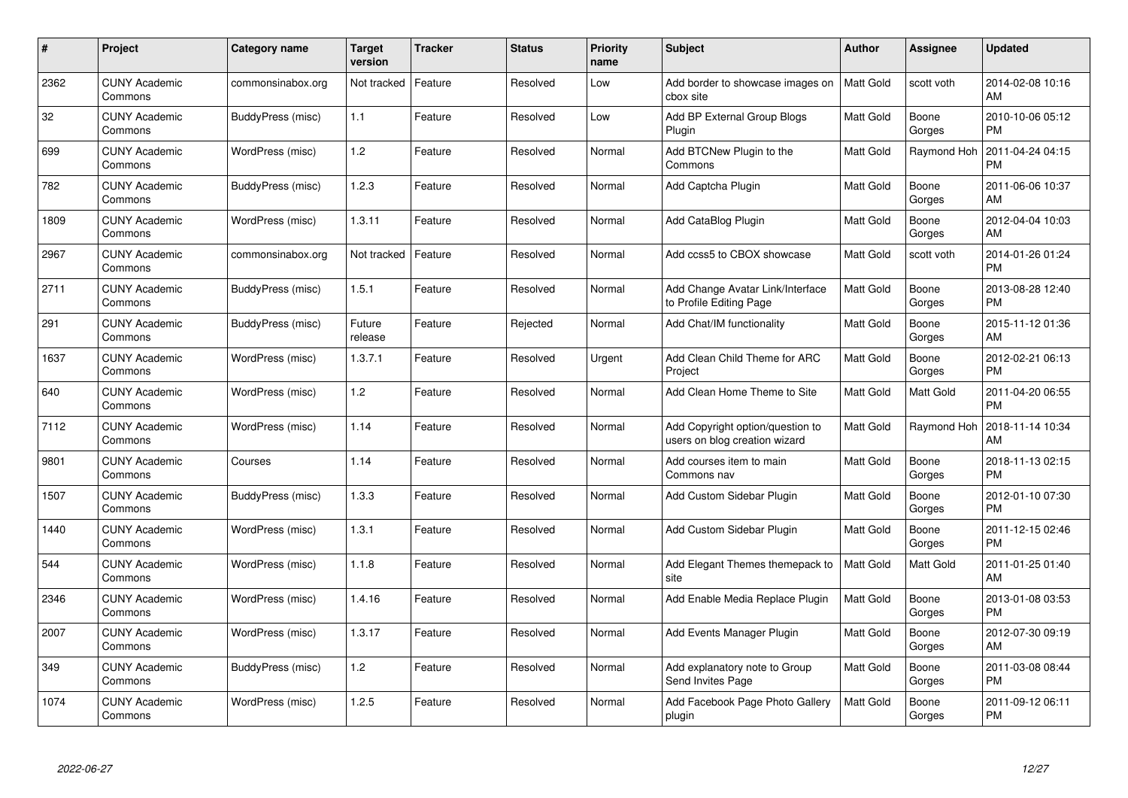| #    | <b>Project</b>                  | <b>Category name</b> | <b>Target</b><br>version | <b>Tracker</b> | <b>Status</b> | <b>Priority</b><br>name | <b>Subject</b>                                                    | <b>Author</b>    | Assignee        | <b>Updated</b>                |
|------|---------------------------------|----------------------|--------------------------|----------------|---------------|-------------------------|-------------------------------------------------------------------|------------------|-----------------|-------------------------------|
| 2362 | <b>CUNY Academic</b><br>Commons | commonsinabox.org    | Not tracked              | Feature        | Resolved      | Low                     | Add border to showcase images on<br>cbox site                     | <b>Matt Gold</b> | scott voth      | 2014-02-08 10:16<br>AM        |
| 32   | <b>CUNY Academic</b><br>Commons | BuddyPress (misc)    | 1.1                      | Feature        | Resolved      | Low                     | Add BP External Group Blogs<br>Plugin                             | Matt Gold        | Boone<br>Gorges | 2010-10-06 05:12<br><b>PM</b> |
| 699  | <b>CUNY Academic</b><br>Commons | WordPress (misc)     | 1.2                      | Feature        | Resolved      | Normal                  | Add BTCNew Plugin to the<br>Commons                               | Matt Gold        | Raymond Hol     | 2011-04-24 04:15<br><b>PM</b> |
| 782  | <b>CUNY Academic</b><br>Commons | BuddyPress (misc)    | 1.2.3                    | Feature        | Resolved      | Normal                  | Add Captcha Plugin                                                | Matt Gold        | Boone<br>Gorges | 2011-06-06 10:37<br>AM        |
| 1809 | <b>CUNY Academic</b><br>Commons | WordPress (misc)     | 1.3.11                   | Feature        | Resolved      | Normal                  | Add CataBlog Plugin                                               | <b>Matt Gold</b> | Boone<br>Gorges | 2012-04-04 10:03<br>AM        |
| 2967 | <b>CUNY Academic</b><br>Commons | commonsinabox.org    | Not tracked              | Feature        | Resolved      | Normal                  | Add ccss5 to CBOX showcase                                        | Matt Gold        | scott voth      | 2014-01-26 01:24<br><b>PM</b> |
| 2711 | <b>CUNY Academic</b><br>Commons | BuddyPress (misc)    | 1.5.1                    | Feature        | Resolved      | Normal                  | Add Change Avatar Link/Interface<br>to Profile Editing Page       | Matt Gold        | Boone<br>Gorges | 2013-08-28 12:40<br><b>PM</b> |
| 291  | <b>CUNY Academic</b><br>Commons | BuddyPress (misc)    | Future<br>release        | Feature        | Rejected      | Normal                  | Add Chat/IM functionality                                         | Matt Gold        | Boone<br>Gorges | 2015-11-12 01:36<br>AM        |
| 1637 | <b>CUNY Academic</b><br>Commons | WordPress (misc)     | 1.3.7.1                  | Feature        | Resolved      | Urgent                  | Add Clean Child Theme for ARC<br>Project                          | Matt Gold        | Boone<br>Gorges | 2012-02-21 06:13<br><b>PM</b> |
| 640  | <b>CUNY Academic</b><br>Commons | WordPress (misc)     | 1.2                      | Feature        | Resolved      | Normal                  | Add Clean Home Theme to Site                                      | Matt Gold        | Matt Gold       | 2011-04-20 06:55<br><b>PM</b> |
| 7112 | <b>CUNY Academic</b><br>Commons | WordPress (misc)     | 1.14                     | Feature        | Resolved      | Normal                  | Add Copyright option/question to<br>users on blog creation wizard | Matt Gold        | Raymond Hoh     | 2018-11-14 10:34<br>AM        |
| 9801 | <b>CUNY Academic</b><br>Commons | Courses              | 1.14                     | Feature        | Resolved      | Normal                  | Add courses item to main<br>Commons nav                           | Matt Gold        | Boone<br>Gorges | 2018-11-13 02:15<br><b>PM</b> |
| 1507 | <b>CUNY Academic</b><br>Commons | BuddyPress (misc)    | 1.3.3                    | Feature        | Resolved      | Normal                  | Add Custom Sidebar Plugin                                         | Matt Gold        | Boone<br>Gorges | 2012-01-10 07:30<br><b>PM</b> |
| 1440 | <b>CUNY Academic</b><br>Commons | WordPress (misc)     | 1.3.1                    | Feature        | Resolved      | Normal                  | Add Custom Sidebar Plugin                                         | Matt Gold        | Boone<br>Gorges | 2011-12-15 02:46<br><b>PM</b> |
| 544  | <b>CUNY Academic</b><br>Commons | WordPress (misc)     | 1.1.8                    | Feature        | Resolved      | Normal                  | Add Elegant Themes themepack to<br>site                           | Matt Gold        | Matt Gold       | 2011-01-25 01:40<br>AM        |
| 2346 | <b>CUNY Academic</b><br>Commons | WordPress (misc)     | 1.4.16                   | Feature        | Resolved      | Normal                  | Add Enable Media Replace Plugin                                   | Matt Gold        | Boone<br>Gorges | 2013-01-08 03:53<br><b>PM</b> |
| 2007 | <b>CUNY Academic</b><br>Commons | WordPress (misc)     | 1.3.17                   | Feature        | Resolved      | Normal                  | Add Events Manager Plugin                                         | Matt Gold        | Boone<br>Gorges | 2012-07-30 09:19<br>AM        |
| 349  | <b>CUNY Academic</b><br>Commons | BuddyPress (misc)    | $1.2$                    | Feature        | Resolved      | Normal                  | Add explanatory note to Group<br>Send Invites Page                | Matt Gold        | Boone<br>Gorges | 2011-03-08 08:44<br><b>PM</b> |
| 1074 | <b>CUNY Academic</b><br>Commons | WordPress (misc)     | 1.2.5                    | Feature        | Resolved      | Normal                  | Add Facebook Page Photo Gallery<br>plugin                         | Matt Gold        | Boone<br>Gorges | 2011-09-12 06:11<br><b>PM</b> |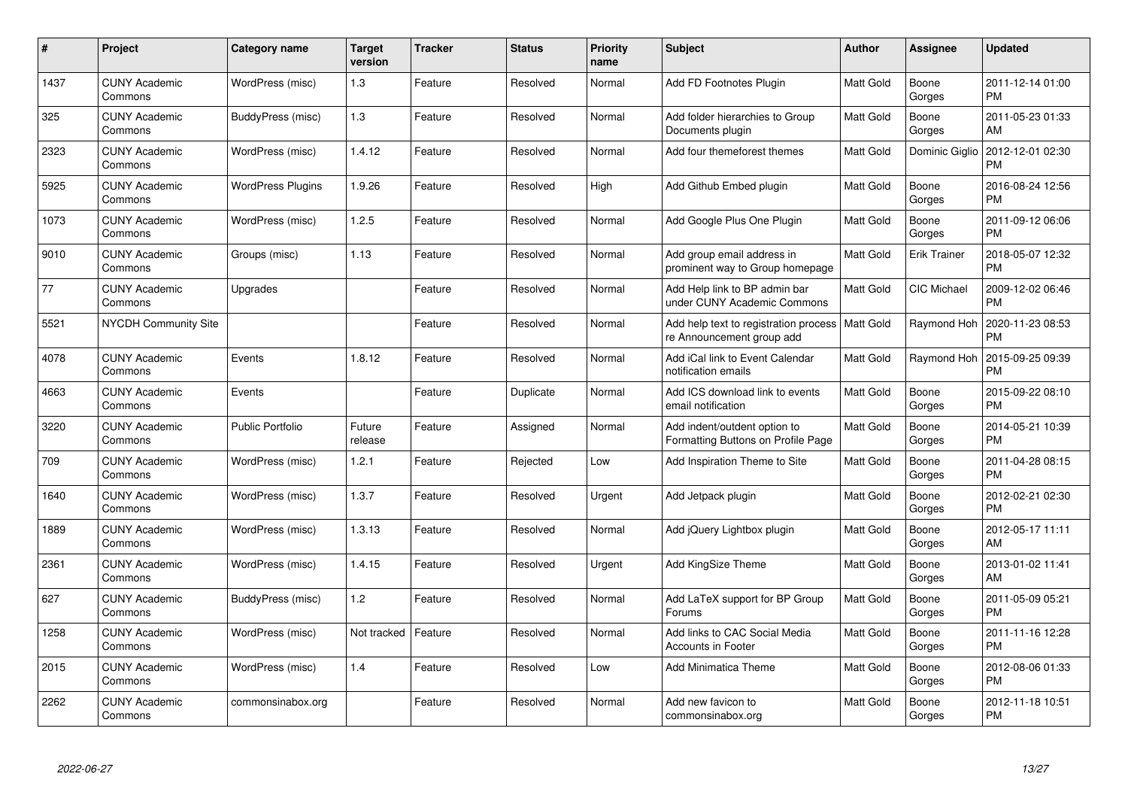| $\pmb{\#}$ | Project                         | Category name            | <b>Target</b><br>version | <b>Tracker</b> | <b>Status</b> | <b>Priority</b><br>name | <b>Subject</b>                                                                 | <b>Author</b>    | Assignee            | <b>Updated</b>                |
|------------|---------------------------------|--------------------------|--------------------------|----------------|---------------|-------------------------|--------------------------------------------------------------------------------|------------------|---------------------|-------------------------------|
| 1437       | <b>CUNY Academic</b><br>Commons | WordPress (misc)         | 1.3                      | Feature        | Resolved      | Normal                  | Add FD Footnotes Plugin                                                        | <b>Matt Gold</b> | Boone<br>Gorges     | 2011-12-14 01:00<br><b>PM</b> |
| 325        | <b>CUNY Academic</b><br>Commons | BuddyPress (misc)        | 1.3                      | Feature        | Resolved      | Normal                  | Add folder hierarchies to Group<br>Documents plugin                            | <b>Matt Gold</b> | Boone<br>Gorges     | 2011-05-23 01:33<br>AM        |
| 2323       | <b>CUNY Academic</b><br>Commons | WordPress (misc)         | 1.4.12                   | Feature        | Resolved      | Normal                  | Add four themeforest themes                                                    | Matt Gold        | Dominic Giglio      | 2012-12-01 02:30<br><b>PM</b> |
| 5925       | <b>CUNY Academic</b><br>Commons | <b>WordPress Plugins</b> | 1.9.26                   | Feature        | Resolved      | High                    | Add Github Embed plugin                                                        | Matt Gold        | Boone<br>Gorges     | 2016-08-24 12:56<br><b>PM</b> |
| 1073       | <b>CUNY Academic</b><br>Commons | WordPress (misc)         | 1.2.5                    | Feature        | Resolved      | Normal                  | Add Google Plus One Plugin                                                     | Matt Gold        | Boone<br>Gorges     | 2011-09-12 06:06<br><b>PM</b> |
| 9010       | <b>CUNY Academic</b><br>Commons | Groups (misc)            | 1.13                     | Feature        | Resolved      | Normal                  | Add group email address in<br>prominent way to Group homepage                  | Matt Gold        | <b>Erik Trainer</b> | 2018-05-07 12:32<br><b>PM</b> |
| 77         | <b>CUNY Academic</b><br>Commons | Upgrades                 |                          | Feature        | Resolved      | Normal                  | Add Help link to BP admin bar<br>under CUNY Academic Commons                   | Matt Gold        | <b>CIC Michael</b>  | 2009-12-02 06:46<br><b>PM</b> |
| 5521       | NYCDH Community Site            |                          |                          | Feature        | Resolved      | Normal                  | Add help text to registration process   Matt Gold<br>re Announcement group add |                  | Raymond Hoh         | 2020-11-23 08:53<br><b>PM</b> |
| 4078       | <b>CUNY Academic</b><br>Commons | Events                   | 1.8.12                   | Feature        | Resolved      | Normal                  | Add iCal link to Event Calendar<br>notification emails                         | Matt Gold        | Raymond Hoh         | 2015-09-25 09:39<br><b>PM</b> |
| 4663       | <b>CUNY Academic</b><br>Commons | Events                   |                          | Feature        | Duplicate     | Normal                  | Add ICS download link to events<br>email notification                          | Matt Gold        | Boone<br>Gorges     | 2015-09-22 08:10<br><b>PM</b> |
| 3220       | <b>CUNY Academic</b><br>Commons | <b>Public Portfolio</b>  | Future<br>release        | Feature        | Assigned      | Normal                  | Add indent/outdent option to<br>Formatting Buttons on Profile Page             | Matt Gold        | Boone<br>Gorges     | 2014-05-21 10:39<br><b>PM</b> |
| 709        | <b>CUNY Academic</b><br>Commons | WordPress (misc)         | 1.2.1                    | Feature        | Rejected      | Low                     | Add Inspiration Theme to Site                                                  | Matt Gold        | Boone<br>Gorges     | 2011-04-28 08:15<br><b>PM</b> |
| 1640       | <b>CUNY Academic</b><br>Commons | WordPress (misc)         | 1.3.7                    | Feature        | Resolved      | Urgent                  | Add Jetpack plugin                                                             | Matt Gold        | Boone<br>Gorges     | 2012-02-21 02:30<br><b>PM</b> |
| 1889       | <b>CUNY Academic</b><br>Commons | WordPress (misc)         | 1.3.13                   | Feature        | Resolved      | Normal                  | Add jQuery Lightbox plugin                                                     | Matt Gold        | Boone<br>Gorges     | 2012-05-17 11:11<br>AM        |
| 2361       | <b>CUNY Academic</b><br>Commons | WordPress (misc)         | 1.4.15                   | Feature        | Resolved      | Urgent                  | <b>Add KingSize Theme</b>                                                      | Matt Gold        | Boone<br>Gorges     | 2013-01-02 11:41<br>AM        |
| 627        | <b>CUNY Academic</b><br>Commons | BuddyPress (misc)        | 1.2                      | Feature        | Resolved      | Normal                  | Add LaTeX support for BP Group<br>Forums                                       | Matt Gold        | Boone<br>Gorges     | 2011-05-09 05:21<br><b>PM</b> |
| 1258       | <b>CUNY Academic</b><br>Commons | WordPress (misc)         | Not tracked              | Feature        | Resolved      | Normal                  | Add links to CAC Social Media<br>Accounts in Footer                            | Matt Gold        | Boone<br>Gorges     | 2011-11-16 12:28<br><b>PM</b> |
| 2015       | <b>CUNY Academic</b><br>Commons | WordPress (misc)         | 1.4                      | Feature        | Resolved      | Low                     | <b>Add Minimatica Theme</b>                                                    | Matt Gold        | Boone<br>Gorges     | 2012-08-06 01:33<br><b>PM</b> |
| 2262       | CUNY Academic<br>Commons        | commonsinabox.org        |                          | Feature        | Resolved      | Normal                  | Add new favicon to<br>commonsinabox.org                                        | Matt Gold        | Boone<br>Gorges     | 2012-11-18 10:51<br><b>PM</b> |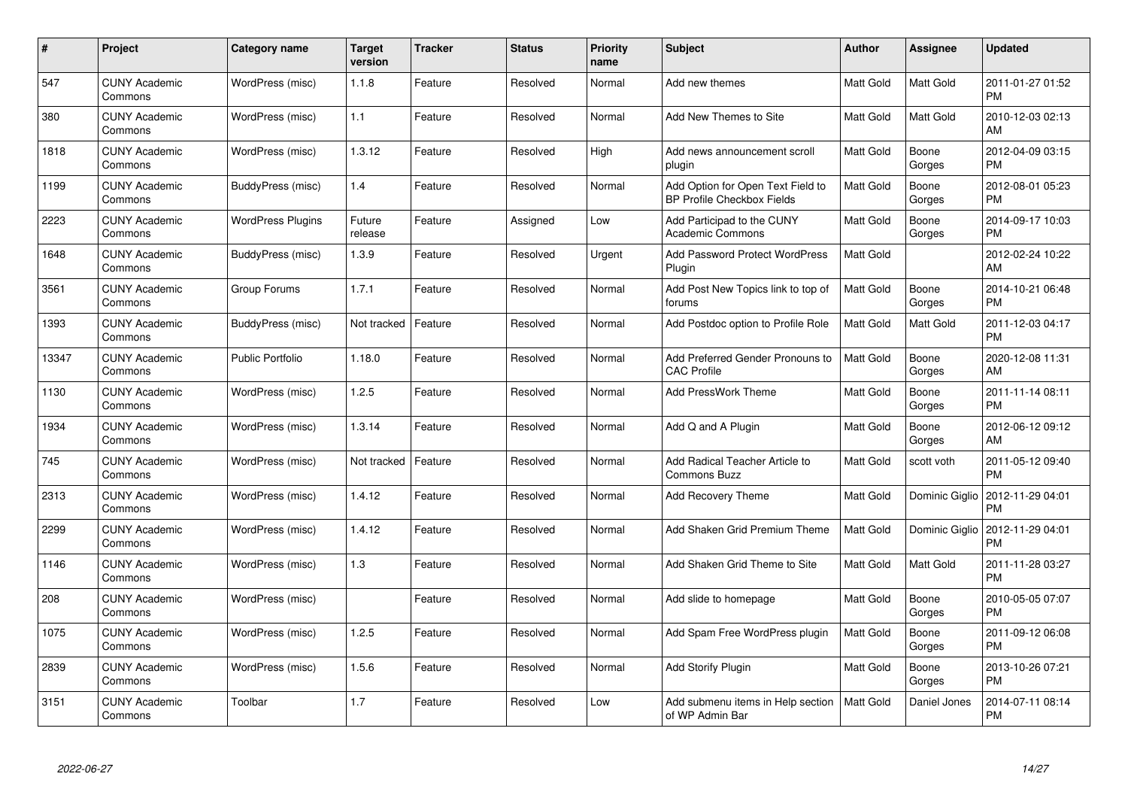| #     | Project                         | Category name            | <b>Target</b><br>version | <b>Tracker</b> | <b>Status</b> | <b>Priority</b><br>name | <b>Subject</b>                                                         | <b>Author</b> | Assignee        | <b>Updated</b>                |
|-------|---------------------------------|--------------------------|--------------------------|----------------|---------------|-------------------------|------------------------------------------------------------------------|---------------|-----------------|-------------------------------|
| 547   | <b>CUNY Academic</b><br>Commons | WordPress (misc)         | 1.1.8                    | Feature        | Resolved      | Normal                  | Add new themes                                                         | Matt Gold     | Matt Gold       | 2011-01-27 01:52<br><b>PM</b> |
| 380   | <b>CUNY Academic</b><br>Commons | WordPress (misc)         | 1.1                      | Feature        | Resolved      | Normal                  | Add New Themes to Site                                                 | Matt Gold     | Matt Gold       | 2010-12-03 02:13<br>AM        |
| 1818  | <b>CUNY Academic</b><br>Commons | WordPress (misc)         | 1.3.12                   | Feature        | Resolved      | High                    | Add news announcement scroll<br>plugin                                 | Matt Gold     | Boone<br>Gorges | 2012-04-09 03:15<br><b>PM</b> |
| 1199  | <b>CUNY Academic</b><br>Commons | BuddyPress (misc)        | 1.4                      | Feature        | Resolved      | Normal                  | Add Option for Open Text Field to<br><b>BP Profile Checkbox Fields</b> | Matt Gold     | Boone<br>Gorges | 2012-08-01 05:23<br><b>PM</b> |
| 2223  | <b>CUNY Academic</b><br>Commons | <b>WordPress Plugins</b> | Future<br>release        | Feature        | Assigned      | Low                     | Add Participad to the CUNY<br>Academic Commons                         | Matt Gold     | Boone<br>Gorges | 2014-09-17 10:03<br><b>PM</b> |
| 1648  | <b>CUNY Academic</b><br>Commons | BuddyPress (misc)        | 1.3.9                    | Feature        | Resolved      | Urgent                  | <b>Add Password Protect WordPress</b><br>Plugin                        | Matt Gold     |                 | 2012-02-24 10:22<br>AM        |
| 3561  | <b>CUNY Academic</b><br>Commons | Group Forums             | 1.7.1                    | Feature        | Resolved      | Normal                  | Add Post New Topics link to top of<br>forums                           | Matt Gold     | Boone<br>Gorges | 2014-10-21 06:48<br><b>PM</b> |
| 1393  | <b>CUNY Academic</b><br>Commons | BuddyPress (misc)        | Not tracked              | Feature        | Resolved      | Normal                  | Add Postdoc option to Profile Role                                     | Matt Gold     | Matt Gold       | 2011-12-03 04:17<br><b>PM</b> |
| 13347 | <b>CUNY Academic</b><br>Commons | <b>Public Portfolio</b>  | 1.18.0                   | Feature        | Resolved      | Normal                  | Add Preferred Gender Pronouns to<br><b>CAC Profile</b>                 | Matt Gold     | Boone<br>Gorges | 2020-12-08 11:31<br>AM        |
| 1130  | <b>CUNY Academic</b><br>Commons | WordPress (misc)         | 1.2.5                    | Feature        | Resolved      | Normal                  | <b>Add PressWork Theme</b>                                             | Matt Gold     | Boone<br>Gorges | 2011-11-14 08:11<br><b>PM</b> |
| 1934  | <b>CUNY Academic</b><br>Commons | WordPress (misc)         | 1.3.14                   | Feature        | Resolved      | Normal                  | Add Q and A Plugin                                                     | Matt Gold     | Boone<br>Gorges | 2012-06-12 09:12<br>AM        |
| 745   | <b>CUNY Academic</b><br>Commons | WordPress (misc)         | Not tracked              | Feature        | Resolved      | Normal                  | Add Radical Teacher Article to<br><b>Commons Buzz</b>                  | Matt Gold     | scott voth      | 2011-05-12 09:40<br><b>PM</b> |
| 2313  | <b>CUNY Academic</b><br>Commons | WordPress (misc)         | 1.4.12                   | Feature        | Resolved      | Normal                  | Add Recovery Theme                                                     | Matt Gold     | Dominic Giglio  | 2012-11-29 04:01<br><b>PM</b> |
| 2299  | <b>CUNY Academic</b><br>Commons | WordPress (misc)         | 1.4.12                   | Feature        | Resolved      | Normal                  | Add Shaken Grid Premium Theme                                          | Matt Gold     | Dominic Giglio  | 2012-11-29 04:01<br><b>PM</b> |
| 1146  | <b>CUNY Academic</b><br>Commons | WordPress (misc)         | 1.3                      | Feature        | Resolved      | Normal                  | Add Shaken Grid Theme to Site                                          | Matt Gold     | Matt Gold       | 2011-11-28 03:27<br><b>PM</b> |
| 208   | <b>CUNY Academic</b><br>Commons | WordPress (misc)         |                          | Feature        | Resolved      | Normal                  | Add slide to homepage                                                  | Matt Gold     | Boone<br>Gorges | 2010-05-05 07:07<br><b>PM</b> |
| 1075  | <b>CUNY Academic</b><br>Commons | WordPress (misc)         | 1.2.5                    | Feature        | Resolved      | Normal                  | Add Spam Free WordPress plugin                                         | Matt Gold     | Boone<br>Gorges | 2011-09-12 06:08<br><b>PM</b> |
| 2839  | <b>CUNY Academic</b><br>Commons | WordPress (misc)         | 1.5.6                    | Feature        | Resolved      | Normal                  | Add Storify Plugin                                                     | Matt Gold     | Boone<br>Gorges | 2013-10-26 07:21<br><b>PM</b> |
| 3151  | <b>CUNY Academic</b><br>Commons | Toolbar                  | 1.7                      | Feature        | Resolved      | Low                     | Add submenu items in Help section<br>of WP Admin Bar                   | Matt Gold     | Daniel Jones    | 2014-07-11 08:14<br>PM        |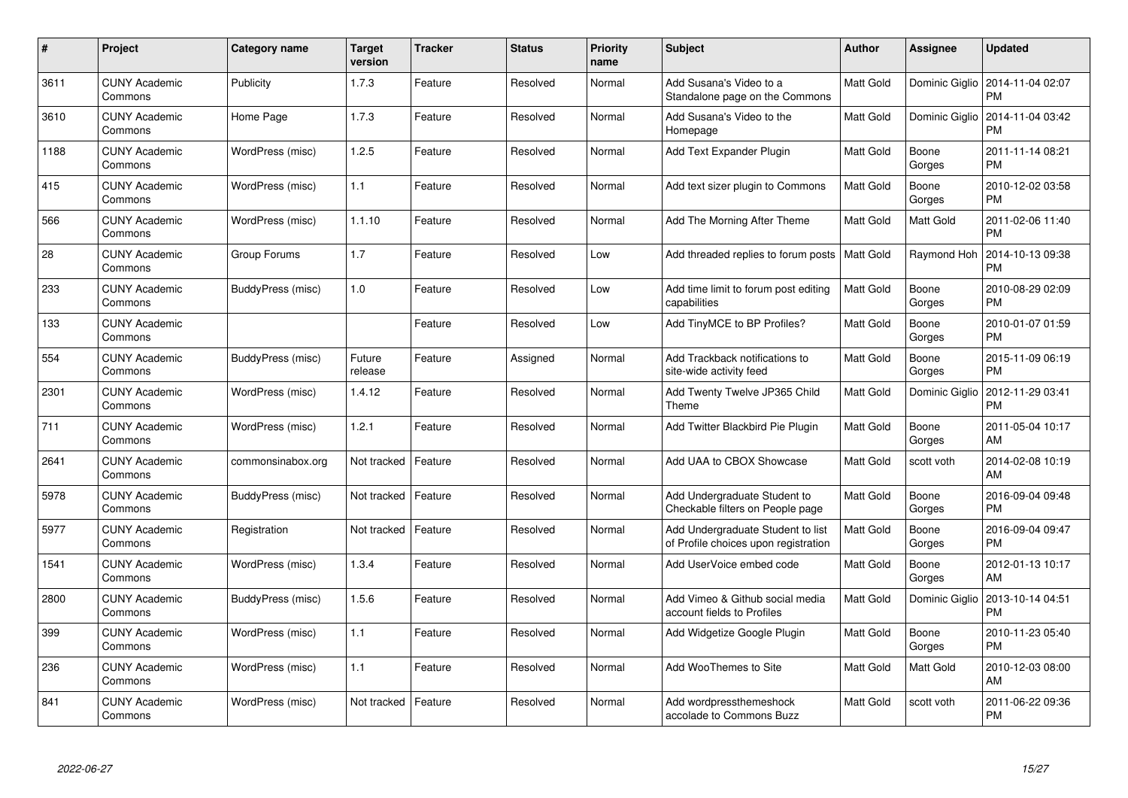| #    | Project                         | Category name     | <b>Target</b><br>version | <b>Tracker</b> | <b>Status</b> | <b>Priority</b><br>name | <b>Subject</b>                                                            | <b>Author</b>    | Assignee        | <b>Updated</b>                |
|------|---------------------------------|-------------------|--------------------------|----------------|---------------|-------------------------|---------------------------------------------------------------------------|------------------|-----------------|-------------------------------|
| 3611 | <b>CUNY Academic</b><br>Commons | Publicity         | 1.7.3                    | Feature        | Resolved      | Normal                  | Add Susana's Video to a<br>Standalone page on the Commons                 | Matt Gold        | Dominic Giglio  | 2014-11-04 02:07<br><b>PM</b> |
| 3610 | <b>CUNY Academic</b><br>Commons | Home Page         | 1.7.3                    | Feature        | Resolved      | Normal                  | Add Susana's Video to the<br>Homepage                                     | Matt Gold        | Dominic Giglio  | 2014-11-04 03:42<br><b>PM</b> |
| 1188 | <b>CUNY Academic</b><br>Commons | WordPress (misc)  | 1.2.5                    | Feature        | Resolved      | Normal                  | Add Text Expander Plugin                                                  | Matt Gold        | Boone<br>Gorges | 2011-11-14 08:21<br><b>PM</b> |
| 415  | <b>CUNY Academic</b><br>Commons | WordPress (misc)  | 1.1                      | Feature        | Resolved      | Normal                  | Add text sizer plugin to Commons                                          | Matt Gold        | Boone<br>Gorges | 2010-12-02 03:58<br><b>PM</b> |
| 566  | <b>CUNY Academic</b><br>Commons | WordPress (misc)  | 1.1.10                   | Feature        | Resolved      | Normal                  | Add The Morning After Theme                                               | Matt Gold        | Matt Gold       | 2011-02-06 11:40<br><b>PM</b> |
| 28   | <b>CUNY Academic</b><br>Commons | Group Forums      | 1.7                      | Feature        | Resolved      | Low                     | Add threaded replies to forum posts                                       | <b>Matt Gold</b> | Raymond Hoh     | 2014-10-13 09:38<br><b>PM</b> |
| 233  | <b>CUNY Academic</b><br>Commons | BuddyPress (misc) | 1.0                      | Feature        | Resolved      | Low                     | Add time limit to forum post editing<br>capabilities                      | Matt Gold        | Boone<br>Gorges | 2010-08-29 02:09<br><b>PM</b> |
| 133  | <b>CUNY Academic</b><br>Commons |                   |                          | Feature        | Resolved      | Low                     | Add TinyMCE to BP Profiles?                                               | Matt Gold        | Boone<br>Gorges | 2010-01-07 01:59<br><b>PM</b> |
| 554  | <b>CUNY Academic</b><br>Commons | BuddyPress (misc) | Future<br>release        | Feature        | Assigned      | Normal                  | Add Trackback notifications to<br>site-wide activity feed                 | Matt Gold        | Boone<br>Gorges | 2015-11-09 06:19<br><b>PM</b> |
| 2301 | <b>CUNY Academic</b><br>Commons | WordPress (misc)  | 1.4.12                   | Feature        | Resolved      | Normal                  | Add Twenty Twelve JP365 Child<br>Theme                                    | Matt Gold        | Dominic Giglio  | 2012-11-29 03:41<br><b>PM</b> |
| 711  | <b>CUNY Academic</b><br>Commons | WordPress (misc)  | 1.2.1                    | Feature        | Resolved      | Normal                  | Add Twitter Blackbird Pie Plugin                                          | Matt Gold        | Boone<br>Gorges | 2011-05-04 10:17<br>AM        |
| 2641 | <b>CUNY Academic</b><br>Commons | commonsinabox.org | Not tracked              | Feature        | Resolved      | Normal                  | Add UAA to CBOX Showcase                                                  | Matt Gold        | scott voth      | 2014-02-08 10:19<br>AM        |
| 5978 | <b>CUNY Academic</b><br>Commons | BuddyPress (misc) | Not tracked              | Feature        | Resolved      | Normal                  | Add Undergraduate Student to<br>Checkable filters on People page          | Matt Gold        | Boone<br>Gorges | 2016-09-04 09:48<br><b>PM</b> |
| 5977 | <b>CUNY Academic</b><br>Commons | Registration      | Not tracked              | Feature        | Resolved      | Normal                  | Add Undergraduate Student to list<br>of Profile choices upon registration | Matt Gold        | Boone<br>Gorges | 2016-09-04 09:47<br><b>PM</b> |
| 1541 | <b>CUNY Academic</b><br>Commons | WordPress (misc)  | 1.3.4                    | Feature        | Resolved      | Normal                  | Add UserVoice embed code                                                  | Matt Gold        | Boone<br>Gorges | 2012-01-13 10:17<br>AM        |
| 2800 | <b>CUNY Academic</b><br>Commons | BuddyPress (misc) | 1.5.6                    | Feature        | Resolved      | Normal                  | Add Vimeo & Github social media<br>account fields to Profiles             | Matt Gold        | Dominic Giglio  | 2013-10-14 04:51<br><b>PM</b> |
| 399  | <b>CUNY Academic</b><br>Commons | WordPress (misc)  | 1.1                      | Feature        | Resolved      | Normal                  | Add Widgetize Google Plugin                                               | Matt Gold        | Boone<br>Gorges | 2010-11-23 05:40<br><b>PM</b> |
| 236  | <b>CUNY Academic</b><br>Commons | WordPress (misc)  | $1.1$                    | Feature        | Resolved      | Normal                  | Add WooThemes to Site                                                     | Matt Gold        | Matt Gold       | 2010-12-03 08:00<br>AM        |
| 841  | <b>CUNY Academic</b><br>Commons | WordPress (misc)  | Not tracked              | Feature        | Resolved      | Normal                  | Add wordpressthemeshock<br>accolade to Commons Buzz                       | <b>Matt Gold</b> | scott voth      | 2011-06-22 09:36<br><b>PM</b> |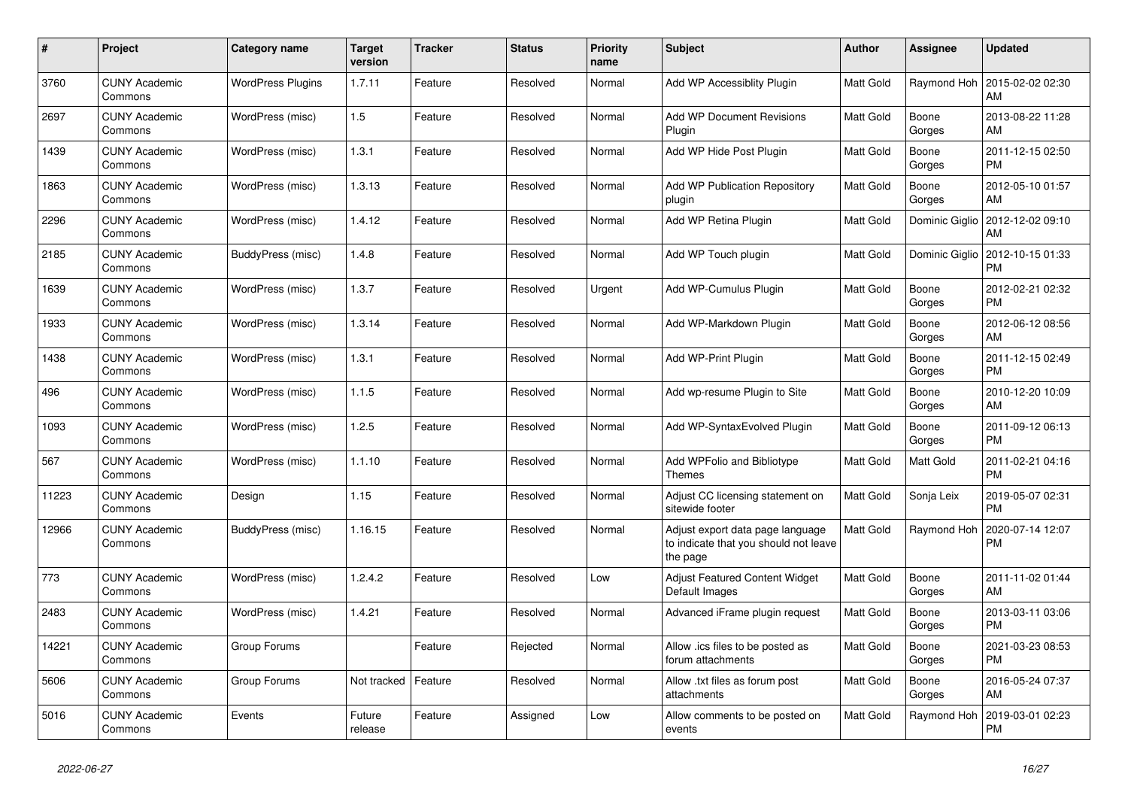| #     | Project                         | <b>Category name</b>     | <b>Target</b><br>version | <b>Tracker</b> | <b>Status</b> | <b>Priority</b><br>name | <b>Subject</b>                                                                        | <b>Author</b>    | Assignee        | <b>Updated</b>                |
|-------|---------------------------------|--------------------------|--------------------------|----------------|---------------|-------------------------|---------------------------------------------------------------------------------------|------------------|-----------------|-------------------------------|
| 3760  | <b>CUNY Academic</b><br>Commons | <b>WordPress Plugins</b> | 1.7.11                   | Feature        | Resolved      | Normal                  | Add WP Accessiblity Plugin                                                            | Matt Gold        | Raymond Hoh     | 2015-02-02 02:30<br>AM        |
| 2697  | <b>CUNY Academic</b><br>Commons | WordPress (misc)         | 1.5                      | Feature        | Resolved      | Normal                  | <b>Add WP Document Revisions</b><br>Plugin                                            | Matt Gold        | Boone<br>Gorges | 2013-08-22 11:28<br>AM        |
| 1439  | <b>CUNY Academic</b><br>Commons | WordPress (misc)         | 1.3.1                    | Feature        | Resolved      | Normal                  | Add WP Hide Post Plugin                                                               | Matt Gold        | Boone<br>Gorges | 2011-12-15 02:50<br><b>PM</b> |
| 1863  | <b>CUNY Academic</b><br>Commons | WordPress (misc)         | 1.3.13                   | Feature        | Resolved      | Normal                  | Add WP Publication Repository<br>plugin                                               | <b>Matt Gold</b> | Boone<br>Gorges | 2012-05-10 01:57<br>AM        |
| 2296  | <b>CUNY Academic</b><br>Commons | WordPress (misc)         | 1.4.12                   | Feature        | Resolved      | Normal                  | Add WP Retina Plugin                                                                  | Matt Gold        | Dominic Giglio  | 2012-12-02 09:10<br>AM        |
| 2185  | <b>CUNY Academic</b><br>Commons | BuddyPress (misc)        | 1.4.8                    | Feature        | Resolved      | Normal                  | Add WP Touch plugin                                                                   | Matt Gold        | Dominic Giglio  | 2012-10-15 01:33<br><b>PM</b> |
| 1639  | <b>CUNY Academic</b><br>Commons | WordPress (misc)         | 1.3.7                    | Feature        | Resolved      | Urgent                  | Add WP-Cumulus Plugin                                                                 | Matt Gold        | Boone<br>Gorges | 2012-02-21 02:32<br><b>PM</b> |
| 1933  | <b>CUNY Academic</b><br>Commons | WordPress (misc)         | 1.3.14                   | Feature        | Resolved      | Normal                  | Add WP-Markdown Plugin                                                                | Matt Gold        | Boone<br>Gorges | 2012-06-12 08:56<br>AM        |
| 1438  | <b>CUNY Academic</b><br>Commons | WordPress (misc)         | 1.3.1                    | Feature        | Resolved      | Normal                  | Add WP-Print Plugin                                                                   | Matt Gold        | Boone<br>Gorges | 2011-12-15 02:49<br><b>PM</b> |
| 496   | <b>CUNY Academic</b><br>Commons | WordPress (misc)         | 1.1.5                    | Feature        | Resolved      | Normal                  | Add wp-resume Plugin to Site                                                          | Matt Gold        | Boone<br>Gorges | 2010-12-20 10:09<br>AM        |
| 1093  | <b>CUNY Academic</b><br>Commons | WordPress (misc)         | 1.2.5                    | Feature        | Resolved      | Normal                  | Add WP-SyntaxEvolved Plugin                                                           | Matt Gold        | Boone<br>Gorges | 2011-09-12 06:13<br><b>PM</b> |
| 567   | <b>CUNY Academic</b><br>Commons | WordPress (misc)         | 1.1.10                   | Feature        | Resolved      | Normal                  | Add WPFolio and Bibliotype<br>Themes                                                  | Matt Gold        | Matt Gold       | 2011-02-21 04:16<br><b>PM</b> |
| 11223 | <b>CUNY Academic</b><br>Commons | Design                   | 1.15                     | Feature        | Resolved      | Normal                  | Adjust CC licensing statement on<br>sitewide footer                                   | Matt Gold        | Sonja Leix      | 2019-05-07 02:31<br><b>PM</b> |
| 12966 | <b>CUNY Academic</b><br>Commons | BuddyPress (misc)        | 1.16.15                  | Feature        | Resolved      | Normal                  | Adjust export data page language<br>to indicate that you should not leave<br>the page | Matt Gold        | Raymond Hoh     | 2020-07-14 12:07<br><b>PM</b> |
| 773   | <b>CUNY Academic</b><br>Commons | WordPress (misc)         | 1.2.4.2                  | Feature        | Resolved      | Low                     | <b>Adjust Featured Content Widget</b><br>Default Images                               | Matt Gold        | Boone<br>Gorges | 2011-11-02 01:44<br>AM        |
| 2483  | <b>CUNY Academic</b><br>Commons | WordPress (misc)         | 1.4.21                   | Feature        | Resolved      | Normal                  | Advanced iFrame plugin request                                                        | Matt Gold        | Boone<br>Gorges | 2013-03-11 03:06<br><b>PM</b> |
| 14221 | <b>CUNY Academic</b><br>Commons | Group Forums             |                          | Feature        | Rejected      | Normal                  | Allow .ics files to be posted as<br>forum attachments                                 | Matt Gold        | Boone<br>Gorges | 2021-03-23 08:53<br><b>PM</b> |
| 5606  | <b>CUNY Academic</b><br>Commons | Group Forums             | Not tracked              | Feature        | Resolved      | Normal                  | Allow .txt files as forum post<br>attachments                                         | Matt Gold        | Boone<br>Gorges | 2016-05-24 07:37<br>AM        |
| 5016  | <b>CUNY Academic</b><br>Commons | Events                   | Future<br>release        | Feature        | Assigned      | Low                     | Allow comments to be posted on<br>events                                              | Matt Gold        | Raymond Hoh     | 2019-03-01 02:23<br><b>PM</b> |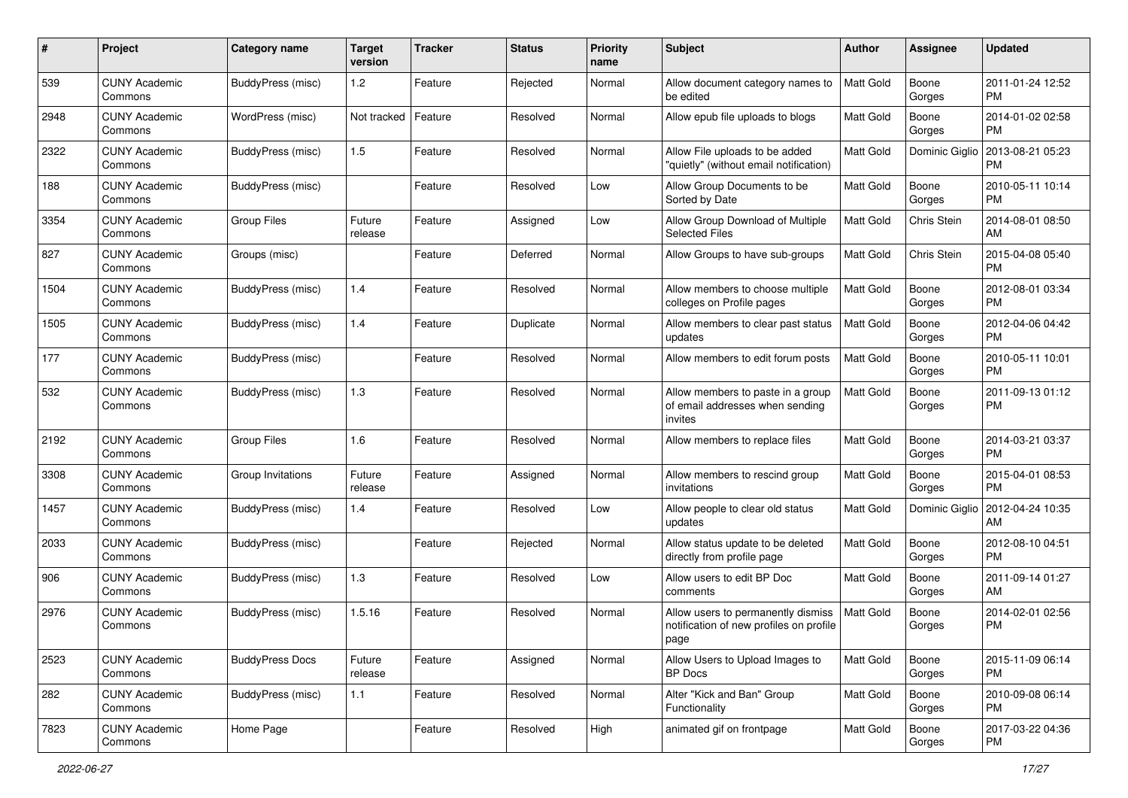| #    | Project                         | <b>Category name</b>   | <b>Target</b><br>version | <b>Tracker</b> | <b>Status</b> | <b>Priority</b><br>name | Subject                                                                               | Author           | <b>Assignee</b> | <b>Updated</b>                |
|------|---------------------------------|------------------------|--------------------------|----------------|---------------|-------------------------|---------------------------------------------------------------------------------------|------------------|-----------------|-------------------------------|
| 539  | <b>CUNY Academic</b><br>Commons | BuddyPress (misc)      | 1.2                      | Feature        | Rejected      | Normal                  | Allow document category names to<br>be edited                                         | Matt Gold        | Boone<br>Gorges | 2011-01-24 12:52<br><b>PM</b> |
| 2948 | <b>CUNY Academic</b><br>Commons | WordPress (misc)       | Not tracked              | Feature        | Resolved      | Normal                  | Allow epub file uploads to blogs                                                      | Matt Gold        | Boone<br>Gorges | 2014-01-02 02:58<br>PM        |
| 2322 | CUNY Academic<br>Commons        | BuddyPress (misc)      | 1.5                      | Feature        | Resolved      | Normal                  | Allow File uploads to be added<br>"quietly" (without email notification)              | Matt Gold        | Dominic Giglio  | 2013-08-21 05:23<br><b>PM</b> |
| 188  | <b>CUNY Academic</b><br>Commons | BuddyPress (misc)      |                          | Feature        | Resolved      | Low                     | Allow Group Documents to be<br>Sorted by Date                                         | Matt Gold        | Boone<br>Gorges | 2010-05-11 10:14<br>РM        |
| 3354 | <b>CUNY Academic</b><br>Commons | <b>Group Files</b>     | Future<br>release        | Feature        | Assigned      | Low                     | Allow Group Download of Multiple<br><b>Selected Files</b>                             | Matt Gold        | Chris Stein     | 2014-08-01 08:50<br>AM        |
| 827  | <b>CUNY Academic</b><br>Commons | Groups (misc)          |                          | Feature        | Deferred      | Normal                  | Allow Groups to have sub-groups                                                       | Matt Gold        | Chris Stein     | 2015-04-08 05:40<br><b>PM</b> |
| 1504 | <b>CUNY Academic</b><br>Commons | BuddyPress (misc)      | 1.4                      | Feature        | Resolved      | Normal                  | Allow members to choose multiple<br>colleges on Profile pages                         | Matt Gold        | Boone<br>Gorges | 2012-08-01 03:34<br><b>PM</b> |
| 1505 | <b>CUNY Academic</b><br>Commons | BuddyPress (misc)      | 1.4                      | Feature        | Duplicate     | Normal                  | Allow members to clear past status<br>updates                                         | <b>Matt Gold</b> | Boone<br>Gorges | 2012-04-06 04:42<br>РM        |
| 177  | <b>CUNY Academic</b><br>Commons | BuddyPress (misc)      |                          | Feature        | Resolved      | Normal                  | Allow members to edit forum posts                                                     | Matt Gold        | Boone<br>Gorges | 2010-05-11 10:01<br><b>PM</b> |
| 532  | CUNY Academic<br>Commons        | BuddyPress (misc)      | 1.3                      | Feature        | Resolved      | Normal                  | Allow members to paste in a group<br>of email addresses when sending<br>invites       | Matt Gold        | Boone<br>Gorges | 2011-09-13 01:12<br><b>PM</b> |
| 2192 | <b>CUNY Academic</b><br>Commons | <b>Group Files</b>     | 1.6                      | Feature        | Resolved      | Normal                  | Allow members to replace files                                                        | Matt Gold        | Boone<br>Gorges | 2014-03-21 03:37<br><b>PM</b> |
| 3308 | <b>CUNY Academic</b><br>Commons | Group Invitations      | Future<br>release        | Feature        | Assigned      | Normal                  | Allow members to rescind group<br>invitations                                         | <b>Matt Gold</b> | Boone<br>Gorges | 2015-04-01 08:53<br><b>PM</b> |
| 1457 | <b>CUNY Academic</b><br>Commons | BuddyPress (misc)      | 1.4                      | Feature        | Resolved      | Low                     | Allow people to clear old status<br>updates                                           | Matt Gold        | Dominic Giglio  | 2012-04-24 10:35<br>AM        |
| 2033 | <b>CUNY Academic</b><br>Commons | BuddyPress (misc)      |                          | Feature        | Rejected      | Normal                  | Allow status update to be deleted<br>directly from profile page                       | Matt Gold        | Boone<br>Gorges | 2012-08-10 04:51<br><b>PM</b> |
| 906  | CUNY Academic<br>Commons        | BuddyPress (misc)      | 1.3                      | Feature        | Resolved      | Low                     | Allow users to edit BP Doc<br>comments                                                | <b>Matt Gold</b> | Boone<br>Gorges | 2011-09-14 01:27<br>AM        |
| 2976 | <b>CUNY Academic</b><br>Commons | BuddyPress (misc)      | 1.5.16                   | Feature        | Resolved      | Normal                  | Allow users to permanently dismiss<br>notification of new profiles on profile<br>page | <b>Matt Gold</b> | Boone<br>Gorges | 2014-02-01 02:56<br><b>PM</b> |
| 2523 | <b>CUNY Academic</b><br>Commons | <b>BuddyPress Docs</b> | Future<br>release        | Feature        | Assigned      | Normal                  | Allow Users to Upload Images to<br>BP Docs                                            | Matt Gold        | Boone<br>Gorges | 2015-11-09 06:14<br>РM        |
| 282  | <b>CUNY Academic</b><br>Commons | BuddyPress (misc)      | $1.1$                    | Feature        | Resolved      | Normal                  | Alter "Kick and Ban" Group<br>Functionality                                           | Matt Gold        | Boone<br>Gorges | 2010-09-08 06:14<br><b>PM</b> |
| 7823 | <b>CUNY Academic</b><br>Commons | Home Page              |                          | Feature        | Resolved      | High                    | animated gif on frontpage                                                             | Matt Gold        | Boone<br>Gorges | 2017-03-22 04:36<br><b>PM</b> |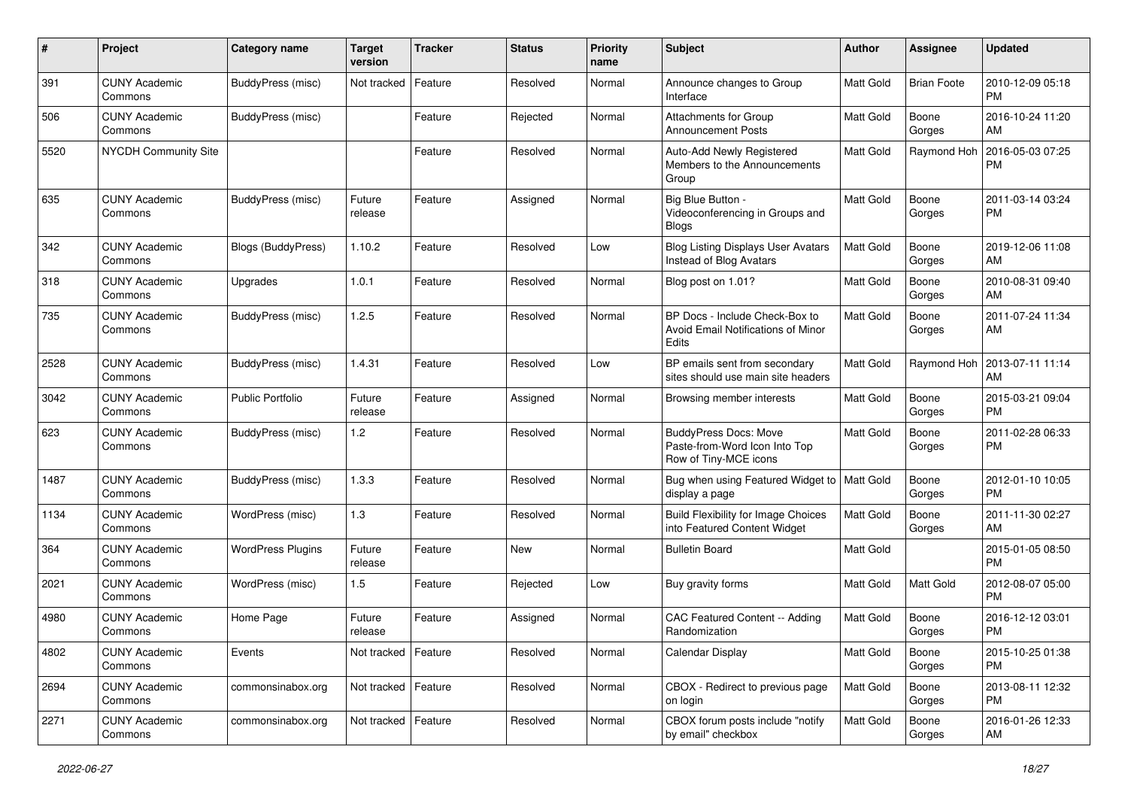| #    | Project                         | <b>Category name</b>     | <b>Target</b><br>version | <b>Tracker</b> | <b>Status</b> | <b>Priority</b><br>name | Subject                                                                                | Author           | Assignee           | <b>Updated</b>                |
|------|---------------------------------|--------------------------|--------------------------|----------------|---------------|-------------------------|----------------------------------------------------------------------------------------|------------------|--------------------|-------------------------------|
| 391  | <b>CUNY Academic</b><br>Commons | BuddyPress (misc)        | Not tracked              | Feature        | Resolved      | Normal                  | Announce changes to Group<br>Interface                                                 | Matt Gold        | <b>Brian Foote</b> | 2010-12-09 05:18<br><b>PM</b> |
| 506  | <b>CUNY Academic</b><br>Commons | BuddyPress (misc)        |                          | Feature        | Rejected      | Normal                  | <b>Attachments for Group</b><br>Announcement Posts                                     | Matt Gold        | Boone<br>Gorges    | 2016-10-24 11:20<br>AM        |
| 5520 | <b>NYCDH Community Site</b>     |                          |                          | Feature        | Resolved      | Normal                  | Auto-Add Newly Registered<br>Members to the Announcements<br>Group                     | Matt Gold        | Raymond Hoh        | 2016-05-03 07:25<br><b>PM</b> |
| 635  | <b>CUNY Academic</b><br>Commons | BuddyPress (misc)        | Future<br>release        | Feature        | Assigned      | Normal                  | Big Blue Button -<br>Videoconferencing in Groups and<br>Blogs                          | Matt Gold        | Boone<br>Gorges    | 2011-03-14 03:24<br><b>PM</b> |
| 342  | <b>CUNY Academic</b><br>Commons | Blogs (BuddyPress)       | 1.10.2                   | Feature        | Resolved      | Low                     | <b>Blog Listing Displays User Avatars</b><br>Instead of Blog Avatars                   | Matt Gold        | Boone<br>Gorges    | 2019-12-06 11:08<br>AM        |
| 318  | <b>CUNY Academic</b><br>Commons | Upgrades                 | 1.0.1                    | Feature        | Resolved      | Normal                  | Blog post on 1.01?                                                                     | <b>Matt Gold</b> | Boone<br>Gorges    | 2010-08-31 09:40<br>AM        |
| 735  | <b>CUNY Academic</b><br>Commons | BuddyPress (misc)        | 1.2.5                    | Feature        | Resolved      | Normal                  | BP Docs - Include Check-Box to<br>Avoid Email Notifications of Minor<br>Edits          | Matt Gold        | Boone<br>Gorges    | 2011-07-24 11:34<br>AM        |
| 2528 | <b>CUNY Academic</b><br>Commons | BuddyPress (misc)        | 1.4.31                   | Feature        | Resolved      | Low                     | BP emails sent from secondary<br>sites should use main site headers                    | Matt Gold        | Raymond Hoh        | 2013-07-11 11:14<br>AM        |
| 3042 | <b>CUNY Academic</b><br>Commons | <b>Public Portfolio</b>  | Future<br>release        | Feature        | Assigned      | Normal                  | Browsing member interests                                                              | Matt Gold        | Boone<br>Gorges    | 2015-03-21 09:04<br><b>PM</b> |
| 623  | <b>CUNY Academic</b><br>Commons | BuddyPress (misc)        | 1.2                      | Feature        | Resolved      | Normal                  | <b>BuddyPress Docs: Move</b><br>Paste-from-Word Icon Into Top<br>Row of Tiny-MCE icons | Matt Gold        | Boone<br>Gorges    | 2011-02-28 06:33<br><b>PM</b> |
| 1487 | <b>CUNY Academic</b><br>Commons | BuddyPress (misc)        | 1.3.3                    | Feature        | Resolved      | Normal                  | Bug when using Featured Widget to<br>display a page                                    | Matt Gold        | Boone<br>Gorges    | 2012-01-10 10:05<br><b>PM</b> |
| 1134 | <b>CUNY Academic</b><br>Commons | WordPress (misc)         | 1.3                      | Feature        | Resolved      | Normal                  | <b>Build Flexibility for Image Choices</b><br>into Featured Content Widget             | Matt Gold        | Boone<br>Gorges    | 2011-11-30 02:27<br>AM        |
| 364  | <b>CUNY Academic</b><br>Commons | <b>WordPress Plugins</b> | Future<br>release        | Feature        | New           | Normal                  | <b>Bulletin Board</b>                                                                  | Matt Gold        |                    | 2015-01-05 08:50<br><b>PM</b> |
| 2021 | <b>CUNY Academic</b><br>Commons | WordPress (misc)         | 1.5                      | Feature        | Rejected      | Low                     | Buy gravity forms                                                                      | Matt Gold        | Matt Gold          | 2012-08-07 05:00<br><b>PM</b> |
| 4980 | <b>CUNY Academic</b><br>Commons | Home Page                | Future<br>release        | Feature        | Assigned      | Normal                  | CAC Featured Content -- Adding<br>Randomization                                        | Matt Gold        | Boone<br>Gorges    | 2016-12-12 03:01<br>PM        |
| 4802 | <b>CUNY Academic</b><br>Commons | Events                   | Not tracked              | Feature        | Resolved      | Normal                  | Calendar Display                                                                       | Matt Gold        | Boone<br>Gorges    | 2015-10-25 01:38<br><b>PM</b> |
| 2694 | <b>CUNY Academic</b><br>Commons | commonsinabox.org        | Not tracked   Feature    |                | Resolved      | Normal                  | CBOX - Redirect to previous page<br>on Ioain                                           | Matt Gold        | Boone<br>Gorges    | 2013-08-11 12:32<br><b>PM</b> |
| 2271 | <b>CUNY Academic</b><br>Commons | commonsinabox.org        | Not tracked   Feature    |                | Resolved      | Normal                  | CBOX forum posts include "notify<br>by email" checkbox                                 | Matt Gold        | Boone<br>Gorges    | 2016-01-26 12:33<br>ΑM        |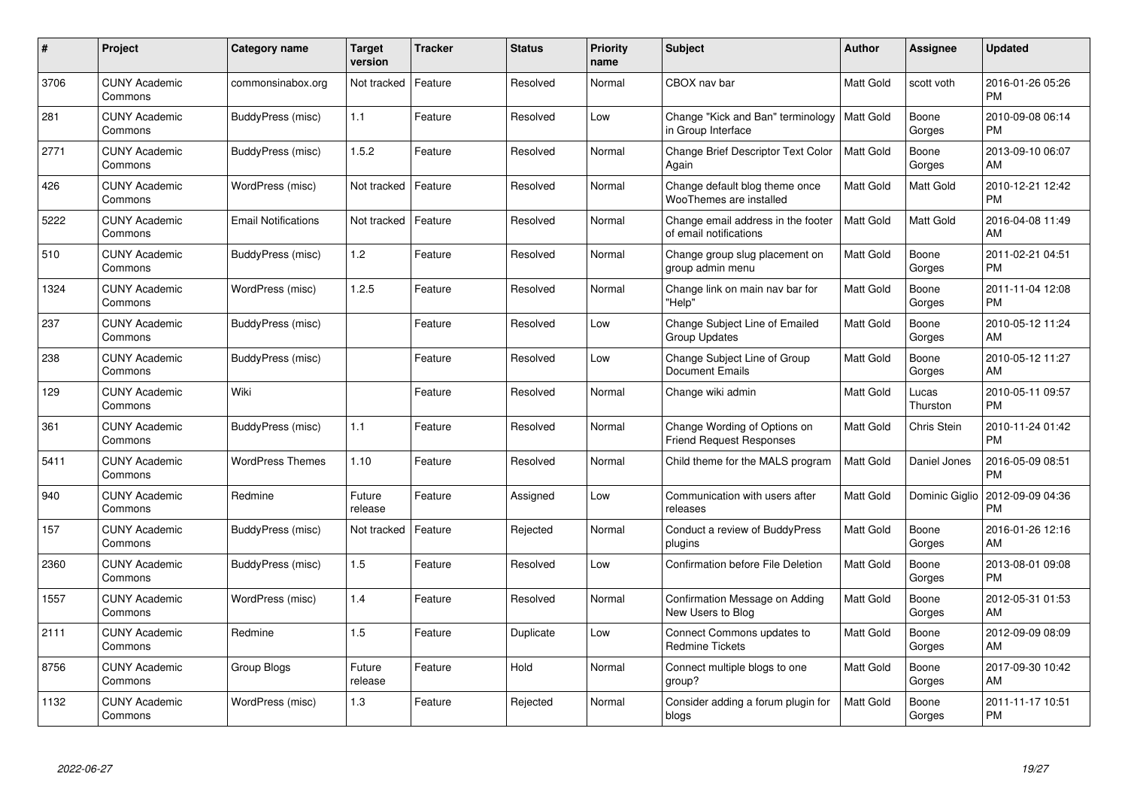| #    | Project                         | <b>Category name</b>       | <b>Target</b><br>version | <b>Tracker</b> | <b>Status</b> | <b>Priority</b><br>name | <b>Subject</b>                                                  | <b>Author</b>    | Assignee          | <b>Updated</b>                |
|------|---------------------------------|----------------------------|--------------------------|----------------|---------------|-------------------------|-----------------------------------------------------------------|------------------|-------------------|-------------------------------|
| 3706 | <b>CUNY Academic</b><br>Commons | commonsinabox.org          | Not tracked              | Feature        | Resolved      | Normal                  | CBOX nav bar                                                    | Matt Gold        | scott voth        | 2016-01-26 05:26<br><b>PM</b> |
| 281  | <b>CUNY Academic</b><br>Commons | BuddyPress (misc)          | 1.1                      | Feature        | Resolved      | Low                     | Change "Kick and Ban" terminology<br>in Group Interface         | <b>Matt Gold</b> | Boone<br>Gorges   | 2010-09-08 06:14<br><b>PM</b> |
| 2771 | <b>CUNY Academic</b><br>Commons | BuddyPress (misc)          | 1.5.2                    | Feature        | Resolved      | Normal                  | Change Brief Descriptor Text Color<br>Again                     | Matt Gold        | Boone<br>Gorges   | 2013-09-10 06:07<br>AM        |
| 426  | <b>CUNY Academic</b><br>Commons | WordPress (misc)           | Not tracked              | Feature        | Resolved      | Normal                  | Change default blog theme once<br>WooThemes are installed       | Matt Gold        | Matt Gold         | 2010-12-21 12:42<br><b>PM</b> |
| 5222 | <b>CUNY Academic</b><br>Commons | <b>Email Notifications</b> | Not tracked              | Feature        | Resolved      | Normal                  | Change email address in the footer<br>of email notifications    | <b>Matt Gold</b> | <b>Matt Gold</b>  | 2016-04-08 11:49<br>AM        |
| 510  | <b>CUNY Academic</b><br>Commons | BuddyPress (misc)          | 1.2                      | Feature        | Resolved      | Normal                  | Change group slug placement on<br>group admin menu              | <b>Matt Gold</b> | Boone<br>Gorges   | 2011-02-21 04:51<br><b>PM</b> |
| 1324 | <b>CUNY Academic</b><br>Commons | WordPress (misc)           | 1.2.5                    | Feature        | Resolved      | Normal                  | Change link on main nav bar for<br>"Help"                       | Matt Gold        | Boone<br>Gorges   | 2011-11-04 12:08<br><b>PM</b> |
| 237  | <b>CUNY Academic</b><br>Commons | BuddyPress (misc)          |                          | Feature        | Resolved      | Low                     | Change Subject Line of Emailed<br>Group Updates                 | Matt Gold        | Boone<br>Gorges   | 2010-05-12 11:24<br>AM        |
| 238  | <b>CUNY Academic</b><br>Commons | BuddyPress (misc)          |                          | Feature        | Resolved      | Low                     | Change Subject Line of Group<br><b>Document Emails</b>          | Matt Gold        | Boone<br>Gorges   | 2010-05-12 11:27<br>AM        |
| 129  | <b>CUNY Academic</b><br>Commons | Wiki                       |                          | Feature        | Resolved      | Normal                  | Change wiki admin                                               | Matt Gold        | Lucas<br>Thurston | 2010-05-11 09:57<br><b>PM</b> |
| 361  | <b>CUNY Academic</b><br>Commons | BuddyPress (misc)          | 1.1                      | Feature        | Resolved      | Normal                  | Change Wording of Options on<br><b>Friend Request Responses</b> | Matt Gold        | Chris Stein       | 2010-11-24 01:42<br><b>PM</b> |
| 5411 | <b>CUNY Academic</b><br>Commons | <b>WordPress Themes</b>    | 1.10                     | Feature        | Resolved      | Normal                  | Child theme for the MALS program                                | Matt Gold        | Daniel Jones      | 2016-05-09 08:51<br><b>PM</b> |
| 940  | <b>CUNY Academic</b><br>Commons | Redmine                    | Future<br>release        | Feature        | Assigned      | Low                     | Communication with users after<br>releases                      | Matt Gold        | Dominic Giglio    | 2012-09-09 04:36<br><b>PM</b> |
| 157  | <b>CUNY Academic</b><br>Commons | BuddyPress (misc)          | Not tracked              | Feature        | Rejected      | Normal                  | Conduct a review of BuddyPress<br>plugins                       | Matt Gold        | Boone<br>Gorges   | 2016-01-26 12:16<br>AM        |
| 2360 | <b>CUNY Academic</b><br>Commons | BuddyPress (misc)          | 1.5                      | Feature        | Resolved      | Low                     | <b>Confirmation before File Deletion</b>                        | Matt Gold        | Boone<br>Gorges   | 2013-08-01 09:08<br><b>PM</b> |
| 1557 | <b>CUNY Academic</b><br>Commons | WordPress (misc)           | 1.4                      | Feature        | Resolved      | Normal                  | Confirmation Message on Adding<br>New Users to Blog             | <b>Matt Gold</b> | Boone<br>Gorges   | 2012-05-31 01:53<br>AM        |
| 2111 | <b>CUNY Academic</b><br>Commons | Redmine                    | 1.5                      | Feature        | Duplicate     | Low                     | Connect Commons updates to<br><b>Redmine Tickets</b>            | Matt Gold        | Boone<br>Gorges   | 2012-09-09 08:09<br>AM        |
| 8756 | <b>CUNY Academic</b><br>Commons | Group Blogs                | Future<br>release        | Feature        | Hold          | Normal                  | Connect multiple blogs to one<br>group?                         | Matt Gold        | Boone<br>Gorges   | 2017-09-30 10:42<br>AM        |
| 1132 | <b>CUNY Academic</b><br>Commons | WordPress (misc)           | 1.3                      | Feature        | Rejected      | Normal                  | Consider adding a forum plugin for<br>blogs                     | Matt Gold        | Boone<br>Gorges   | 2011-11-17 10:51<br><b>PM</b> |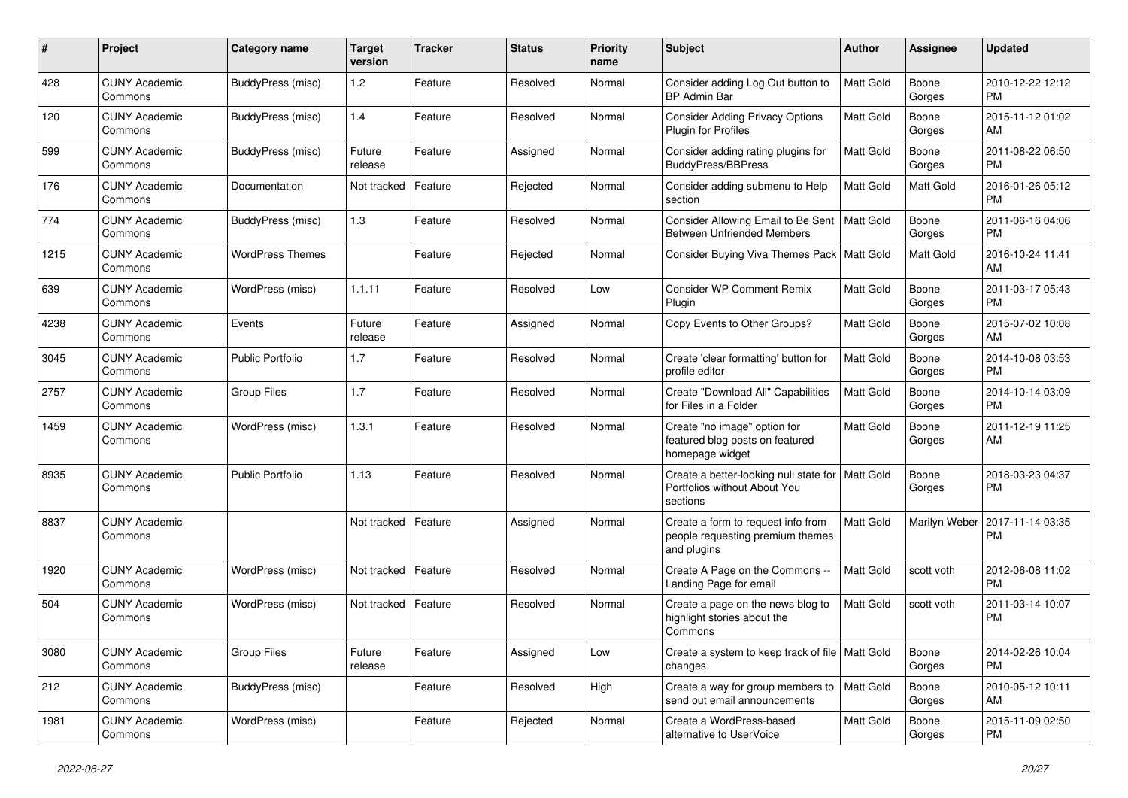| $\pmb{\#}$ | Project                         | Category name           | <b>Target</b><br>version | <b>Tracker</b> | <b>Status</b> | <b>Priority</b><br>name | Subject                                                                                        | Author           | Assignee        | <b>Updated</b>                |
|------------|---------------------------------|-------------------------|--------------------------|----------------|---------------|-------------------------|------------------------------------------------------------------------------------------------|------------------|-----------------|-------------------------------|
| 428        | <b>CUNY Academic</b><br>Commons | BuddyPress (misc)       | $1.2$                    | Feature        | Resolved      | Normal                  | Consider adding Log Out button to<br><b>BP Admin Bar</b>                                       | Matt Gold        | Boone<br>Gorges | 2010-12-22 12:12<br><b>PM</b> |
| 120        | <b>CUNY Academic</b><br>Commons | BuddyPress (misc)       | 1.4                      | Feature        | Resolved      | Normal                  | <b>Consider Adding Privacy Options</b><br>Plugin for Profiles                                  | Matt Gold        | Boone<br>Gorges | 2015-11-12 01:02<br>AM        |
| 599        | <b>CUNY Academic</b><br>Commons | BuddyPress (misc)       | Future<br>release        | Feature        | Assigned      | Normal                  | Consider adding rating plugins for<br><b>BuddyPress/BBPress</b>                                | <b>Matt Gold</b> | Boone<br>Gorges | 2011-08-22 06:50<br><b>PM</b> |
| 176        | <b>CUNY Academic</b><br>Commons | Documentation           | Not tracked              | Feature        | Rejected      | Normal                  | Consider adding submenu to Help<br>section                                                     | Matt Gold        | Matt Gold       | 2016-01-26 05:12<br><b>PM</b> |
| 774        | <b>CUNY Academic</b><br>Commons | BuddyPress (misc)       | $1.3$                    | Feature        | Resolved      | Normal                  | Consider Allowing Email to Be Sent   Matt Gold<br><b>Between Unfriended Members</b>            |                  | Boone<br>Gorges | 2011-06-16 04:06<br><b>PM</b> |
| 1215       | <b>CUNY Academic</b><br>Commons | <b>WordPress Themes</b> |                          | Feature        | Rejected      | Normal                  | Consider Buying Viva Themes Pack   Matt Gold                                                   |                  | Matt Gold       | 2016-10-24 11:41<br>AM        |
| 639        | <b>CUNY Academic</b><br>Commons | WordPress (misc)        | 1.1.11                   | Feature        | Resolved      | Low                     | <b>Consider WP Comment Remix</b><br>Plugin                                                     | Matt Gold        | Boone<br>Gorges | 2011-03-17 05:43<br><b>PM</b> |
| 4238       | <b>CUNY Academic</b><br>Commons | Events                  | Future<br>release        | Feature        | Assigned      | Normal                  | Copy Events to Other Groups?                                                                   | Matt Gold        | Boone<br>Gorges | 2015-07-02 10:08<br>AM        |
| 3045       | <b>CUNY Academic</b><br>Commons | <b>Public Portfolio</b> | 1.7                      | Feature        | Resolved      | Normal                  | Create 'clear formatting' button for<br>profile editor                                         | Matt Gold        | Boone<br>Gorges | 2014-10-08 03:53<br><b>PM</b> |
| 2757       | <b>CUNY Academic</b><br>Commons | <b>Group Files</b>      | 1.7                      | Feature        | Resolved      | Normal                  | Create "Download All" Capabilities<br>for Files in a Folder                                    | Matt Gold        | Boone<br>Gorges | 2014-10-14 03:09<br><b>PM</b> |
| 1459       | <b>CUNY Academic</b><br>Commons | WordPress (misc)        | 1.3.1                    | Feature        | Resolved      | Normal                  | Create "no image" option for<br>featured blog posts on featured<br>homepage widget             | Matt Gold        | Boone<br>Gorges | 2011-12-19 11:25<br>AM        |
| 8935       | <b>CUNY Academic</b><br>Commons | <b>Public Portfolio</b> | 1.13                     | Feature        | Resolved      | Normal                  | Create a better-looking null state for   Matt Gold<br>Portfolios without About You<br>sections |                  | Boone<br>Gorges | 2018-03-23 04:37<br>PM        |
| 8837       | <b>CUNY Academic</b><br>Commons |                         | Not tracked              | Feature        | Assigned      | Normal                  | Create a form to request info from<br>people requesting premium themes<br>and plugins          | Matt Gold        | Marilyn Weber   | 2017-11-14 03:35<br><b>PM</b> |
| 1920       | <b>CUNY Academic</b><br>Commons | WordPress (misc)        | Not tracked              | Feature        | Resolved      | Normal                  | Create A Page on the Commons --<br>Landing Page for email                                      | <b>Matt Gold</b> | scott voth      | 2012-06-08 11:02<br><b>PM</b> |
| 504        | <b>CUNY Academic</b><br>Commons | WordPress (misc)        | Not tracked              | Feature        | Resolved      | Normal                  | Create a page on the news blog to<br>highlight stories about the<br>Commons                    | Matt Gold        | scott voth      | 2011-03-14 10:07<br><b>PM</b> |
| 3080       | <b>CUNY Academic</b><br>Commons | Group Files             | Future<br>release        | Feature        | Assigned      | Low                     | Create a system to keep track of file   Matt Gold<br>changes                                   |                  | Boone<br>Gorges | 2014-02-26 10:04<br>PM        |
| 212        | <b>CUNY Academic</b><br>Commons | BuddyPress (misc)       |                          | Feature        | Resolved      | High                    | Create a way for group members to   Matt Gold<br>send out email announcements                  |                  | Boone<br>Gorges | 2010-05-12 10:11<br>AM        |
| 1981       | <b>CUNY Academic</b><br>Commons | WordPress (misc)        |                          | Feature        | Rejected      | Normal                  | Create a WordPress-based<br>alternative to UserVoice                                           | Matt Gold        | Boone<br>Gorges | 2015-11-09 02:50<br>PM        |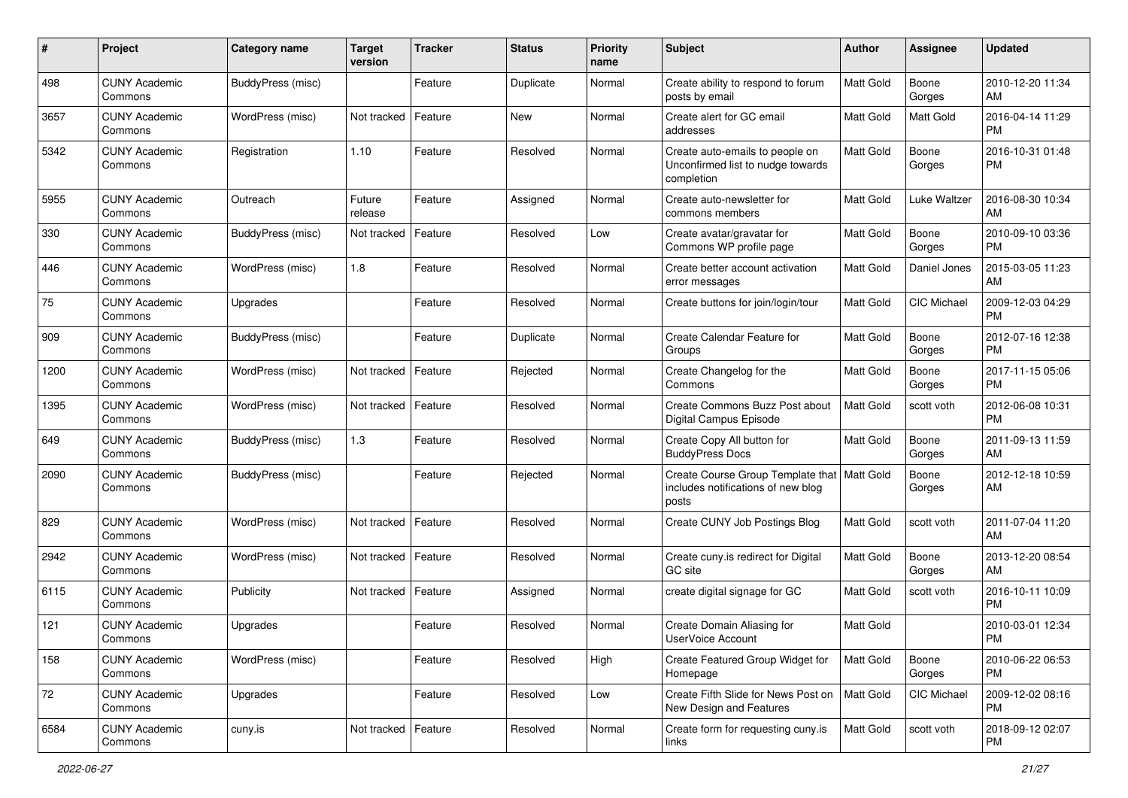| $\pmb{\#}$ | Project                         | <b>Category name</b> | <b>Target</b><br>version | <b>Tracker</b> | <b>Status</b> | <b>Priority</b><br>name | Subject                                                                                      | Author           | Assignee         | <b>Updated</b>                |
|------------|---------------------------------|----------------------|--------------------------|----------------|---------------|-------------------------|----------------------------------------------------------------------------------------------|------------------|------------------|-------------------------------|
| 498        | <b>CUNY Academic</b><br>Commons | BuddyPress (misc)    |                          | Feature        | Duplicate     | Normal                  | Create ability to respond to forum<br>posts by email                                         | Matt Gold        | Boone<br>Gorges  | 2010-12-20 11:34<br>AM        |
| 3657       | <b>CUNY Academic</b><br>Commons | WordPress (misc)     | Not tracked              | Feature        | New           | Normal                  | Create alert for GC email<br>addresses                                                       | <b>Matt Gold</b> | <b>Matt Gold</b> | 2016-04-14 11:29<br><b>PM</b> |
| 5342       | <b>CUNY Academic</b><br>Commons | Registration         | 1.10                     | Feature        | Resolved      | Normal                  | Create auto-emails to people on<br>Unconfirmed list to nudge towards<br>completion           | <b>Matt Gold</b> | Boone<br>Gorges  | 2016-10-31 01:48<br><b>PM</b> |
| 5955       | <b>CUNY Academic</b><br>Commons | Outreach             | Future<br>release        | Feature        | Assigned      | Normal                  | Create auto-newsletter for<br>commons members                                                | Matt Gold        | Luke Waltzer     | 2016-08-30 10:34<br>AM        |
| 330        | <b>CUNY Academic</b><br>Commons | BuddyPress (misc)    | Not tracked              | Feature        | Resolved      | Low                     | Create avatar/gravatar for<br>Commons WP profile page                                        | <b>Matt Gold</b> | Boone<br>Gorges  | 2010-09-10 03:36<br><b>PM</b> |
| 446        | <b>CUNY Academic</b><br>Commons | WordPress (misc)     | 1.8                      | Feature        | Resolved      | Normal                  | Create better account activation<br>error messages                                           | Matt Gold        | Daniel Jones     | 2015-03-05 11:23<br>AM        |
| 75         | <b>CUNY Academic</b><br>Commons | Upgrades             |                          | Feature        | Resolved      | Normal                  | Create buttons for join/login/tour                                                           | Matt Gold        | CIC Michael      | 2009-12-03 04:29<br><b>PM</b> |
| 909        | <b>CUNY Academic</b><br>Commons | BuddyPress (misc)    |                          | Feature        | Duplicate     | Normal                  | Create Calendar Feature for<br>Groups                                                        | Matt Gold        | Boone<br>Gorges  | 2012-07-16 12:38<br><b>PM</b> |
| 1200       | <b>CUNY Academic</b><br>Commons | WordPress (misc)     | Not tracked              | Feature        | Rejected      | Normal                  | Create Changelog for the<br>Commons                                                          | Matt Gold        | Boone<br>Gorges  | 2017-11-15 05:06<br><b>PM</b> |
| 1395       | <b>CUNY Academic</b><br>Commons | WordPress (misc)     | Not tracked              | Feature        | Resolved      | Normal                  | Create Commons Buzz Post about<br>Digital Campus Episode                                     | <b>Matt Gold</b> | scott voth       | 2012-06-08 10:31<br><b>PM</b> |
| 649        | CUNY Academic<br>Commons        | BuddyPress (misc)    | 1.3                      | Feature        | Resolved      | Normal                  | Create Copy All button for<br><b>BuddyPress Docs</b>                                         | Matt Gold        | Boone<br>Gorges  | 2011-09-13 11:59<br>AM        |
| 2090       | <b>CUNY Academic</b><br>Commons | BuddyPress (misc)    |                          | Feature        | Rejected      | Normal                  | Create Course Group Template that   Matt Gold<br>includes notifications of new blog<br>posts |                  | Boone<br>Gorges  | 2012-12-18 10:59<br>AM        |
| 829        | <b>CUNY Academic</b><br>Commons | WordPress (misc)     | Not tracked              | Feature        | Resolved      | Normal                  | Create CUNY Job Postings Blog                                                                | Matt Gold        | scott voth       | 2011-07-04 11:20<br>AM        |
| 2942       | <b>CUNY Academic</b><br>Commons | WordPress (misc)     | Not tracked              | Feature        | Resolved      | Normal                  | Create cuny.is redirect for Digital<br>GC site                                               | <b>Matt Gold</b> | Boone<br>Gorges  | 2013-12-20 08:54<br>AM        |
| 6115       | <b>CUNY Academic</b><br>Commons | Publicity            | Not tracked              | Feature        | Assigned      | Normal                  | create digital signage for GC                                                                | Matt Gold        | scott voth       | 2016-10-11 10:09<br><b>PM</b> |
| 121        | <b>CUNY Academic</b><br>Commons | Upgrades             |                          | Feature        | Resolved      | Normal                  | Create Domain Aliasing for<br>UserVoice Account                                              | Matt Gold        |                  | 2010-03-01 12:34<br>PM        |
| 158        | <b>CUNY Academic</b><br>Commons | WordPress (misc)     |                          | Feature        | Resolved      | High                    | Create Featured Group Widget for<br>Homepage                                                 | <b>Matt Gold</b> | Boone<br>Gorges  | 2010-06-22 06:53<br>PM        |
| 72         | <b>CUNY Academic</b><br>Commons | Upgrades             |                          | Feature        | Resolved      | Low                     | Create Fifth Slide for News Post on<br>New Design and Features                               | Matt Gold        | CIC Michael      | 2009-12-02 08:16<br><b>PM</b> |
| 6584       | <b>CUNY Academic</b><br>Commons | cuny.is              | Not tracked              | Feature        | Resolved      | Normal                  | Create form for requesting cuny.is<br>links                                                  | Matt Gold        | scott voth       | 2018-09-12 02:07<br>PM        |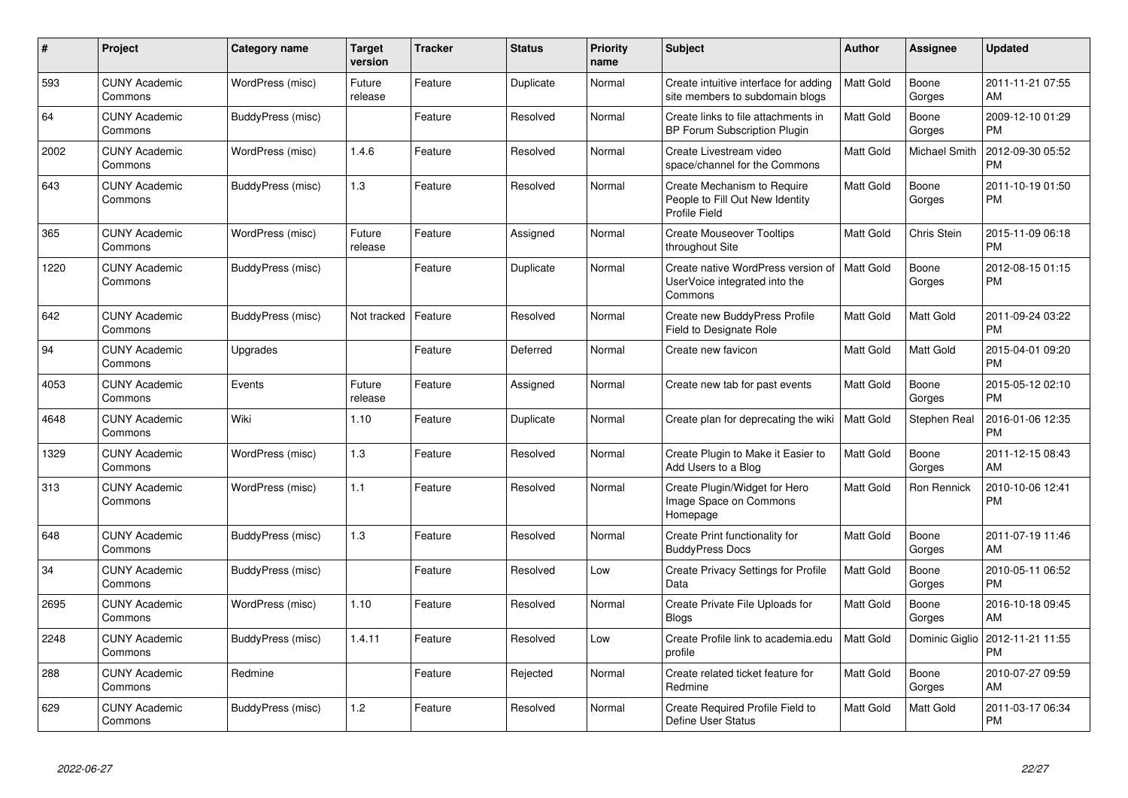| $\#$ | Project                         | <b>Category name</b> | <b>Target</b><br>version | <b>Tracker</b> | <b>Status</b> | <b>Priority</b><br>name | <b>Subject</b>                                                                         | Author    | Assignee             | <b>Updated</b>                |
|------|---------------------------------|----------------------|--------------------------|----------------|---------------|-------------------------|----------------------------------------------------------------------------------------|-----------|----------------------|-------------------------------|
| 593  | <b>CUNY Academic</b><br>Commons | WordPress (misc)     | Future<br>release        | Feature        | Duplicate     | Normal                  | Create intuitive interface for adding<br>site members to subdomain blogs               | Matt Gold | Boone<br>Gorges      | 2011-11-21 07:55<br>AM        |
| 64   | <b>CUNY Academic</b><br>Commons | BuddyPress (misc)    |                          | Feature        | Resolved      | Normal                  | Create links to file attachments in<br>BP Forum Subscription Plugin                    | Matt Gold | Boone<br>Gorges      | 2009-12-10 01:29<br><b>PM</b> |
| 2002 | <b>CUNY Academic</b><br>Commons | WordPress (misc)     | 1.4.6                    | Feature        | Resolved      | Normal                  | Create Livestream video<br>space/channel for the Commons                               | Matt Gold | <b>Michael Smith</b> | 2012-09-30 05:52<br><b>PM</b> |
| 643  | <b>CUNY Academic</b><br>Commons | BuddyPress (misc)    | 1.3                      | Feature        | Resolved      | Normal                  | Create Mechanism to Require<br>People to Fill Out New Identity<br><b>Profile Field</b> | Matt Gold | Boone<br>Gorges      | 2011-10-19 01:50<br><b>PM</b> |
| 365  | CUNY Academic<br>Commons        | WordPress (misc)     | Future<br>release        | Feature        | Assigned      | Normal                  | <b>Create Mouseover Tooltips</b><br>throughout Site                                    | Matt Gold | Chris Stein          | 2015-11-09 06:18<br>PM        |
| 1220 | <b>CUNY Academic</b><br>Commons | BuddyPress (misc)    |                          | Feature        | Duplicate     | Normal                  | Create native WordPress version of<br>UserVoice integrated into the<br>Commons         | Matt Gold | Boone<br>Gorges      | 2012-08-15 01:15<br><b>PM</b> |
| 642  | <b>CUNY Academic</b><br>Commons | BuddyPress (misc)    | Not tracked              | Feature        | Resolved      | Normal                  | Create new BuddyPress Profile<br><b>Field to Designate Role</b>                        | Matt Gold | Matt Gold            | 2011-09-24 03:22<br><b>PM</b> |
| 94   | <b>CUNY Academic</b><br>Commons | Upgrades             |                          | Feature        | Deferred      | Normal                  | Create new favicon                                                                     | Matt Gold | Matt Gold            | 2015-04-01 09:20<br><b>PM</b> |
| 4053 | <b>CUNY Academic</b><br>Commons | Events               | Future<br>release        | Feature        | Assigned      | Normal                  | Create new tab for past events                                                         | Matt Gold | Boone<br>Gorges      | 2015-05-12 02:10<br><b>PM</b> |
| 4648 | <b>CUNY Academic</b><br>Commons | Wiki                 | 1.10                     | Feature        | Duplicate     | Normal                  | Create plan for deprecating the wiki                                                   | Matt Gold | Stephen Real         | 2016-01-06 12:35<br>PM        |
| 1329 | <b>CUNY Academic</b><br>Commons | WordPress (misc)     | 1.3                      | Feature        | Resolved      | Normal                  | Create Plugin to Make it Easier to<br>Add Users to a Blog                              | Matt Gold | Boone<br>Gorges      | 2011-12-15 08:43<br>AM        |
| 313  | <b>CUNY Academic</b><br>Commons | WordPress (misc)     | 1.1                      | Feature        | Resolved      | Normal                  | Create Plugin/Widget for Hero<br>Image Space on Commons<br>Homepage                    | Matt Gold | Ron Rennick          | 2010-10-06 12:41<br><b>PM</b> |
| 648  | <b>CUNY Academic</b><br>Commons | BuddyPress (misc)    | 1.3                      | Feature        | Resolved      | Normal                  | Create Print functionality for<br><b>BuddyPress Docs</b>                               | Matt Gold | Boone<br>Gorges      | 2011-07-19 11:46<br>AM        |
| 34   | <b>CUNY Academic</b><br>Commons | BuddyPress (misc)    |                          | Feature        | Resolved      | Low                     | <b>Create Privacy Settings for Profile</b><br>Data                                     | Matt Gold | Boone<br>Gorges      | 2010-05-11 06:52<br><b>PM</b> |
| 2695 | <b>CUNY Academic</b><br>Commons | WordPress (misc)     | 1.10                     | Feature        | Resolved      | Normal                  | Create Private File Uploads for<br><b>Blogs</b>                                        | Matt Gold | Boone<br>Gorges      | 2016-10-18 09:45<br>AM        |
| 2248 | <b>CUNY Academic</b><br>Commons | BuddyPress (misc)    | 1.4.11                   | Feature        | Resolved      | Low                     | Create Profile link to academia.edu<br>profile                                         | Matt Gold | Dominic Giglio       | 2012-11-21 11:55<br>PM        |
| 288  | <b>CUNY Academic</b><br>Commons | Redmine              |                          | Feature        | Rejected      | Normal                  | Create related ticket feature for<br>Redmine                                           | Matt Gold | Boone<br>Gorges      | 2010-07-27 09:59<br>AM        |
| 629  | <b>CUNY Academic</b><br>Commons | BuddyPress (misc)    | 1.2                      | Feature        | Resolved      | Normal                  | Create Required Profile Field to<br>Define User Status                                 | Matt Gold | Matt Gold            | 2011-03-17 06:34<br><b>PM</b> |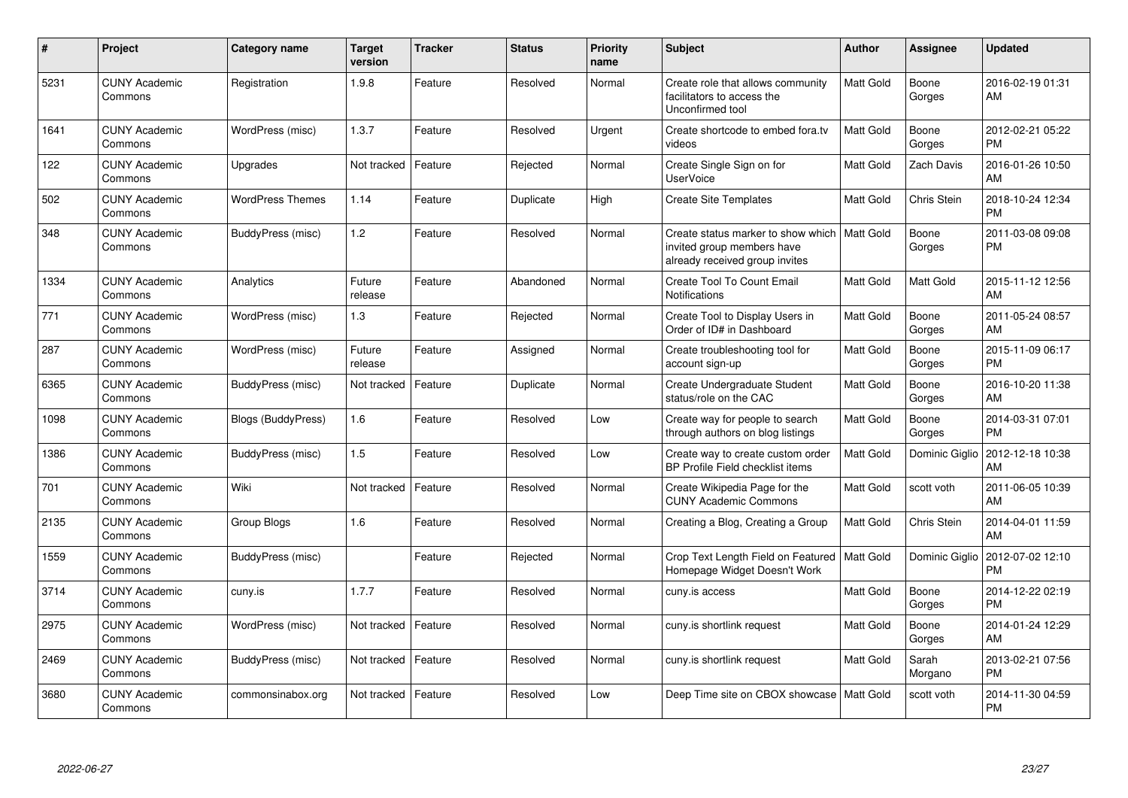| $\#$ | Project                         | Category name           | <b>Target</b><br>version | <b>Tracker</b> | <b>Status</b> | <b>Priority</b><br>name | <b>Subject</b>                                                                                     | <b>Author</b>    | Assignee         | <b>Updated</b>                |
|------|---------------------------------|-------------------------|--------------------------|----------------|---------------|-------------------------|----------------------------------------------------------------------------------------------------|------------------|------------------|-------------------------------|
| 5231 | <b>CUNY Academic</b><br>Commons | Registration            | 1.9.8                    | Feature        | Resolved      | Normal                  | Create role that allows community<br>facilitators to access the<br>Unconfirmed tool                | Matt Gold        | Boone<br>Gorges  | 2016-02-19 01:31<br>AM        |
| 1641 | <b>CUNY Academic</b><br>Commons | WordPress (misc)        | 1.3.7                    | Feature        | Resolved      | Urgent                  | Create shortcode to embed fora.tv<br>videos                                                        | Matt Gold        | Boone<br>Gorges  | 2012-02-21 05:22<br><b>PM</b> |
| 122  | <b>CUNY Academic</b><br>Commons | Upgrades                | Not tracked              | Feature        | Rejected      | Normal                  | Create Single Sign on for<br><b>UserVoice</b>                                                      | Matt Gold        | Zach Davis       | 2016-01-26 10:50<br>AM        |
| 502  | <b>CUNY Academic</b><br>Commons | <b>WordPress Themes</b> | 1.14                     | Feature        | Duplicate     | High                    | <b>Create Site Templates</b>                                                                       | Matt Gold        | Chris Stein      | 2018-10-24 12:34<br><b>PM</b> |
| 348  | <b>CUNY Academic</b><br>Commons | BuddyPress (misc)       | 1.2                      | Feature        | Resolved      | Normal                  | Create status marker to show which<br>invited group members have<br>already received group invites | <b>Matt Gold</b> | Boone<br>Gorges  | 2011-03-08 09:08<br><b>PM</b> |
| 1334 | <b>CUNY Academic</b><br>Commons | Analytics               | Future<br>release        | Feature        | Abandoned     | Normal                  | Create Tool To Count Email<br><b>Notifications</b>                                                 | Matt Gold        | Matt Gold        | 2015-11-12 12:56<br>AM        |
| 771  | <b>CUNY Academic</b><br>Commons | WordPress (misc)        | 1.3                      | Feature        | Rejected      | Normal                  | Create Tool to Display Users in<br>Order of ID# in Dashboard                                       | Matt Gold        | Boone<br>Gorges  | 2011-05-24 08:57<br>AM        |
| 287  | <b>CUNY Academic</b><br>Commons | WordPress (misc)        | Future<br>release        | Feature        | Assigned      | Normal                  | Create troubleshooting tool for<br>account sign-up                                                 | Matt Gold        | Boone<br>Gorges  | 2015-11-09 06:17<br><b>PM</b> |
| 6365 | CUNY Academic<br>Commons        | BuddyPress (misc)       | Not tracked              | Feature        | Duplicate     | Normal                  | Create Undergraduate Student<br>status/role on the CAC                                             | Matt Gold        | Boone<br>Gorges  | 2016-10-20 11:38<br>AM        |
| 1098 | <b>CUNY Academic</b><br>Commons | Blogs (BuddyPress)      | 1.6                      | Feature        | Resolved      | Low                     | Create way for people to search<br>through authors on blog listings                                | Matt Gold        | Boone<br>Gorges  | 2014-03-31 07:01<br><b>PM</b> |
| 1386 | <b>CUNY Academic</b><br>Commons | BuddyPress (misc)       | 1.5                      | Feature        | Resolved      | Low                     | Create way to create custom order<br>BP Profile Field checklist items                              | Matt Gold        | Dominic Giglio   | 2012-12-18 10:38<br>AM        |
| 701  | <b>CUNY Academic</b><br>Commons | Wiki                    | Not tracked              | Feature        | Resolved      | Normal                  | Create Wikipedia Page for the<br><b>CUNY Academic Commons</b>                                      | Matt Gold        | scott voth       | 2011-06-05 10:39<br>AM        |
| 2135 | <b>CUNY Academic</b><br>Commons | Group Blogs             | 1.6                      | Feature        | Resolved      | Normal                  | Creating a Blog, Creating a Group                                                                  | Matt Gold        | Chris Stein      | 2014-04-01 11:59<br>AM        |
| 1559 | CUNY Academic<br>Commons        | BuddyPress (misc)       |                          | Feature        | Rejected      | Normal                  | Crop Text Length Field on Featured<br>Homepage Widget Doesn't Work                                 | Matt Gold        | Dominic Giglio   | 2012-07-02 12:10<br><b>PM</b> |
| 3714 | <b>CUNY Academic</b><br>Commons | cuny.is                 | 1.7.7                    | Feature        | Resolved      | Normal                  | cuny.is access                                                                                     | Matt Gold        | Boone<br>Gorges  | 2014-12-22 02:19<br><b>PM</b> |
| 2975 | <b>CUNY Academic</b><br>Commons | WordPress (misc)        | Not tracked              | Feature        | Resolved      | Normal                  | cuny.is shortlink request                                                                          | Matt Gold        | Boone<br>Gorges  | 2014-01-24 12:29<br>AM        |
| 2469 | <b>CUNY Academic</b><br>Commons | BuddyPress (misc)       | Not tracked              | Feature        | Resolved      | Normal                  | cuny.is shortlink request                                                                          | Matt Gold        | Sarah<br>Morgano | 2013-02-21 07:56<br><b>PM</b> |
| 3680 | <b>CUNY Academic</b><br>Commons | commonsinabox.org       | Not tracked              | Feature        | Resolved      | Low                     | Deep Time site on CBOX showcase                                                                    | Matt Gold        | scott voth       | 2014-11-30 04:59<br>PM        |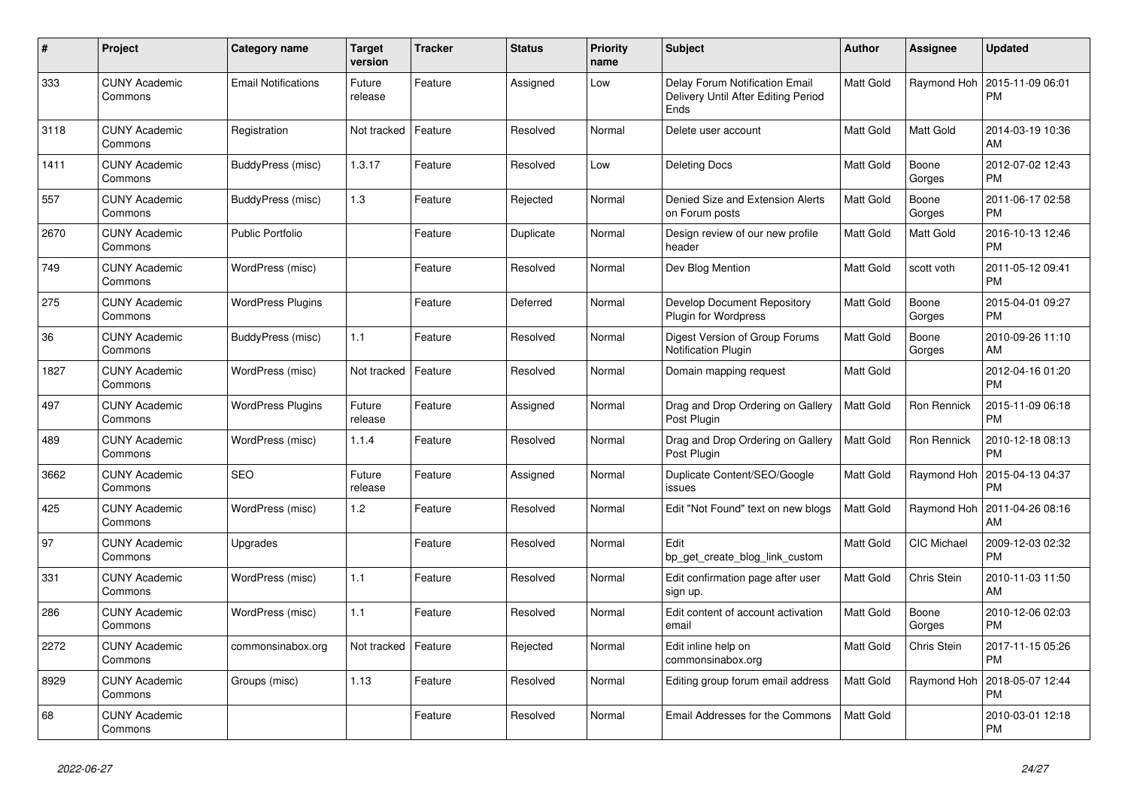| $\#$ | Project                         | <b>Category name</b>       | <b>Target</b><br>version | <b>Tracker</b> | <b>Status</b> | <b>Priority</b><br>name | <b>Subject</b>                                                                | <b>Author</b> | Assignee           | <b>Updated</b>                |
|------|---------------------------------|----------------------------|--------------------------|----------------|---------------|-------------------------|-------------------------------------------------------------------------------|---------------|--------------------|-------------------------------|
| 333  | <b>CUNY Academic</b><br>Commons | <b>Email Notifications</b> | Future<br>release        | Feature        | Assigned      | Low                     | Delay Forum Notification Email<br>Delivery Until After Editing Period<br>Ends | Matt Gold     | Raymond Hoh        | 2015-11-09 06:01<br><b>PM</b> |
| 3118 | <b>CUNY Academic</b><br>Commons | Registration               | Not tracked              | Feature        | Resolved      | Normal                  | Delete user account                                                           | Matt Gold     | Matt Gold          | 2014-03-19 10:36<br>AM        |
| 1411 | <b>CUNY Academic</b><br>Commons | BuddyPress (misc)          | 1.3.17                   | Feature        | Resolved      | Low                     | Deleting Docs                                                                 | Matt Gold     | Boone<br>Gorges    | 2012-07-02 12:43<br><b>PM</b> |
| 557  | <b>CUNY Academic</b><br>Commons | BuddyPress (misc)          | 1.3                      | Feature        | Rejected      | Normal                  | Denied Size and Extension Alerts<br>on Forum posts                            | Matt Gold     | Boone<br>Gorges    | 2011-06-17 02:58<br><b>PM</b> |
| 2670 | <b>CUNY Academic</b><br>Commons | <b>Public Portfolio</b>    |                          | Feature        | Duplicate     | Normal                  | Design review of our new profile<br>header                                    | Matt Gold     | Matt Gold          | 2016-10-13 12:46<br><b>PM</b> |
| 749  | <b>CUNY Academic</b><br>Commons | WordPress (misc)           |                          | Feature        | Resolved      | Normal                  | Dev Blog Mention                                                              | Matt Gold     | scott voth         | 2011-05-12 09:41<br><b>PM</b> |
| 275  | <b>CUNY Academic</b><br>Commons | <b>WordPress Plugins</b>   |                          | Feature        | Deferred      | Normal                  | Develop Document Repository<br><b>Plugin for Wordpress</b>                    | Matt Gold     | Boone<br>Gorges    | 2015-04-01 09:27<br><b>PM</b> |
| 36   | <b>CUNY Academic</b><br>Commons | BuddyPress (misc)          | 1.1                      | Feature        | Resolved      | Normal                  | Digest Version of Group Forums<br><b>Notification Plugin</b>                  | Matt Gold     | Boone<br>Gorges    | 2010-09-26 11:10<br>AM        |
| 1827 | <b>CUNY Academic</b><br>Commons | WordPress (misc)           | Not tracked              | Feature        | Resolved      | Normal                  | Domain mapping request                                                        | Matt Gold     |                    | 2012-04-16 01:20<br><b>PM</b> |
| 497  | <b>CUNY Academic</b><br>Commons | <b>WordPress Plugins</b>   | Future<br>release        | Feature        | Assigned      | Normal                  | Drag and Drop Ordering on Gallery<br>Post Plugin                              | Matt Gold     | Ron Rennick        | 2015-11-09 06:18<br><b>PM</b> |
| 489  | <b>CUNY Academic</b><br>Commons | WordPress (misc)           | 1.1.4                    | Feature        | Resolved      | Normal                  | Drag and Drop Ordering on Gallery<br>Post Plugin                              | Matt Gold     | Ron Rennick        | 2010-12-18 08:13<br><b>PM</b> |
| 3662 | <b>CUNY Academic</b><br>Commons | <b>SEO</b>                 | Future<br>release        | Feature        | Assigned      | Normal                  | Duplicate Content/SEO/Google<br>issues                                        | Matt Gold     | Raymond Hoh        | 2015-04-13 04:37<br><b>PM</b> |
| 425  | <b>CUNY Academic</b><br>Commons | WordPress (misc)           | 1.2                      | Feature        | Resolved      | Normal                  | Edit "Not Found" text on new blogs                                            | Matt Gold     | Raymond Hoh        | 2011-04-26 08:16<br>AM        |
| 97   | <b>CUNY Academic</b><br>Commons | Upgrades                   |                          | Feature        | Resolved      | Normal                  | Edit<br>bp_get_create_blog_link_custom                                        | Matt Gold     | <b>CIC Michael</b> | 2009-12-03 02:32<br><b>PM</b> |
| 331  | <b>CUNY Academic</b><br>Commons | WordPress (misc)           | 1.1                      | Feature        | Resolved      | Normal                  | Edit confirmation page after user<br>sign up.                                 | Matt Gold     | Chris Stein        | 2010-11-03 11:50<br>AM        |
| 286  | <b>CUNY Academic</b><br>Commons | WordPress (misc)           | 1.1                      | Feature        | Resolved      | Normal                  | Edit content of account activation<br>email                                   | Matt Gold     | Boone<br>Gorges    | 2010-12-06 02:03<br><b>PM</b> |
| 2272 | <b>CUNY Academic</b><br>Commons | commonsinabox.org          | Not tracked              | Feature        | Rejected      | Normal                  | Edit inline help on<br>commonsinabox.org                                      | Matt Gold     | Chris Stein        | 2017-11-15 05:26<br>PM        |
| 8929 | <b>CUNY Academic</b><br>Commons | Groups (misc)              | 1.13                     | Feature        | Resolved      | Normal                  | Editing group forum email address                                             | Matt Gold     | Raymond Hoh        | 2018-05-07 12:44<br>PM        |
| 68   | <b>CUNY Academic</b><br>Commons |                            |                          | Feature        | Resolved      | Normal                  | <b>Email Addresses for the Commons</b>                                        | Matt Gold     |                    | 2010-03-01 12:18<br><b>PM</b> |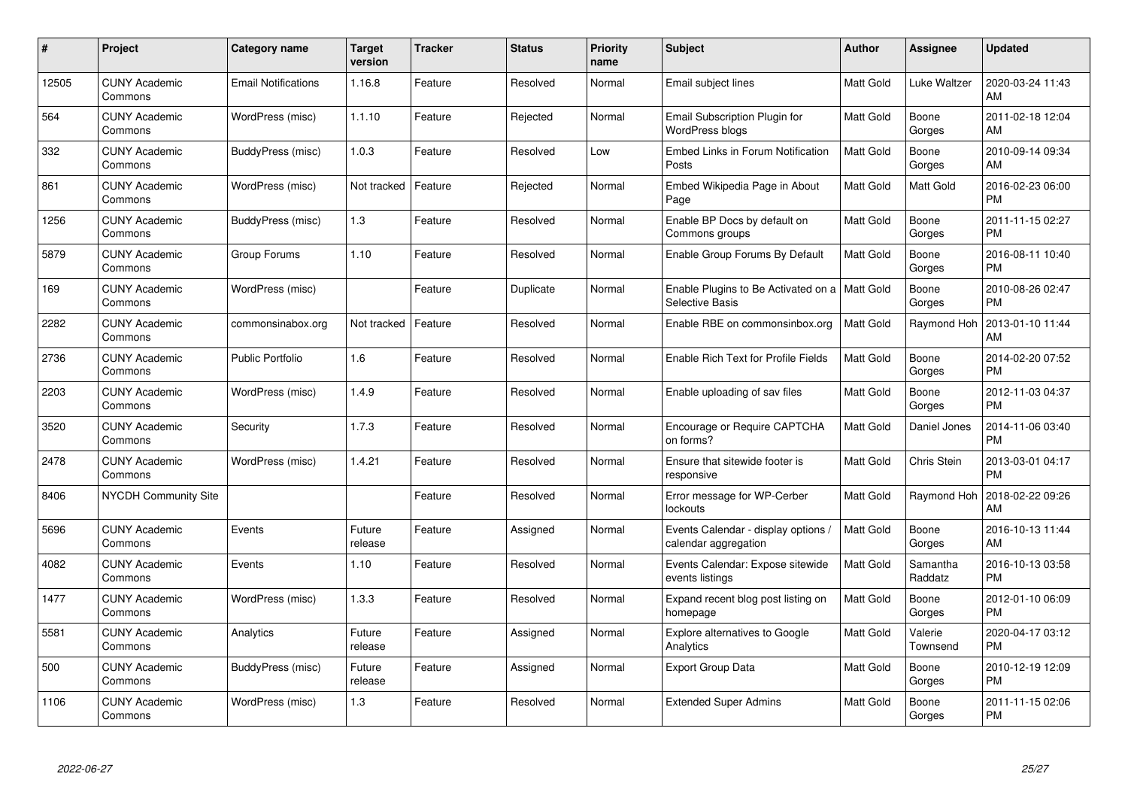| #     | <b>Project</b>                  | <b>Category name</b>       | <b>Target</b><br>version | <b>Tracker</b> | <b>Status</b> | <b>Priority</b><br>name | <b>Subject</b>                                                     | <b>Author</b>    | Assignee            | <b>Updated</b>                |
|-------|---------------------------------|----------------------------|--------------------------|----------------|---------------|-------------------------|--------------------------------------------------------------------|------------------|---------------------|-------------------------------|
| 12505 | <b>CUNY Academic</b><br>Commons | <b>Email Notifications</b> | 1.16.8                   | Feature        | Resolved      | Normal                  | Email subject lines                                                | Matt Gold        | Luke Waltzer        | 2020-03-24 11:43<br>AM        |
| 564   | <b>CUNY Academic</b><br>Commons | WordPress (misc)           | 1.1.10                   | Feature        | Rejected      | Normal                  | <b>Email Subscription Plugin for</b><br>WordPress blogs            | Matt Gold        | Boone<br>Gorges     | 2011-02-18 12:04<br>AM        |
| 332   | <b>CUNY Academic</b><br>Commons | BuddyPress (misc)          | 1.0.3                    | Feature        | Resolved      | Low                     | <b>Embed Links in Forum Notification</b><br>Posts                  | Matt Gold        | Boone<br>Gorges     | 2010-09-14 09:34<br>AM        |
| 861   | <b>CUNY Academic</b><br>Commons | WordPress (misc)           | Not tracked              | Feature        | Rejected      | Normal                  | Embed Wikipedia Page in About<br>Page                              | Matt Gold        | Matt Gold           | 2016-02-23 06:00<br><b>PM</b> |
| 1256  | <b>CUNY Academic</b><br>Commons | BuddyPress (misc)          | 1.3                      | Feature        | Resolved      | Normal                  | Enable BP Docs by default on<br>Commons groups                     | Matt Gold        | Boone<br>Gorges     | 2011-11-15 02:27<br><b>PM</b> |
| 5879  | <b>CUNY Academic</b><br>Commons | Group Forums               | 1.10                     | Feature        | Resolved      | Normal                  | Enable Group Forums By Default                                     | Matt Gold        | Boone<br>Gorges     | 2016-08-11 10:40<br><b>PM</b> |
| 169   | <b>CUNY Academic</b><br>Commons | WordPress (misc)           |                          | Feature        | Duplicate     | Normal                  | Enable Plugins to Be Activated on a   Matt Gold<br>Selective Basis |                  | Boone<br>Gorges     | 2010-08-26 02:47<br><b>PM</b> |
| 2282  | <b>CUNY Academic</b><br>Commons | commonsinabox.org          | Not tracked              | Feature        | Resolved      | Normal                  | Enable RBE on commonsinbox.org                                     | Matt Gold        | Raymond Hoh         | 2013-01-10 11:44<br>AM        |
| 2736  | <b>CUNY Academic</b><br>Commons | <b>Public Portfolio</b>    | 1.6                      | Feature        | Resolved      | Normal                  | Enable Rich Text for Profile Fields                                | <b>Matt Gold</b> | Boone<br>Gorges     | 2014-02-20 07:52<br><b>PM</b> |
| 2203  | <b>CUNY Academic</b><br>Commons | WordPress (misc)           | 1.4.9                    | Feature        | Resolved      | Normal                  | Enable uploading of sav files                                      | Matt Gold        | Boone<br>Gorges     | 2012-11-03 04:37<br><b>PM</b> |
| 3520  | <b>CUNY Academic</b><br>Commons | Security                   | 1.7.3                    | Feature        | Resolved      | Normal                  | Encourage or Require CAPTCHA<br>on forms?                          | Matt Gold        | Daniel Jones        | 2014-11-06 03:40<br><b>PM</b> |
| 2478  | <b>CUNY Academic</b><br>Commons | WordPress (misc)           | 1.4.21                   | Feature        | Resolved      | Normal                  | Ensure that sitewide footer is<br>responsive                       | Matt Gold        | Chris Stein         | 2013-03-01 04:17<br><b>PM</b> |
| 8406  | NYCDH Community Site            |                            |                          | Feature        | Resolved      | Normal                  | Error message for WP-Cerber<br>lockouts                            | Matt Gold        | Raymond Hoh         | 2018-02-22 09:26<br>AM        |
| 5696  | <b>CUNY Academic</b><br>Commons | Events                     | Future<br>release        | Feature        | Assigned      | Normal                  | Events Calendar - display options<br>calendar aggregation          | Matt Gold        | Boone<br>Gorges     | 2016-10-13 11:44<br>AM        |
| 4082  | <b>CUNY Academic</b><br>Commons | Events                     | 1.10                     | Feature        | Resolved      | Normal                  | Events Calendar: Expose sitewide<br>events listings                | Matt Gold        | Samantha<br>Raddatz | 2016-10-13 03:58<br><b>PM</b> |
| 1477  | <b>CUNY Academic</b><br>Commons | WordPress (misc)           | 1.3.3                    | Feature        | Resolved      | Normal                  | Expand recent blog post listing on<br>homepage                     | <b>Matt Gold</b> | Boone<br>Gorges     | 2012-01-10 06:09<br><b>PM</b> |
| 5581  | <b>CUNY Academic</b><br>Commons | Analytics                  | Future<br>release        | Feature        | Assigned      | Normal                  | Explore alternatives to Google<br>Analytics                        | Matt Gold        | Valerie<br>Townsend | 2020-04-17 03:12<br><b>PM</b> |
| 500   | <b>CUNY Academic</b><br>Commons | BuddyPress (misc)          | Future<br>release        | Feature        | Assigned      | Normal                  | <b>Export Group Data</b>                                           | Matt Gold        | Boone<br>Gorges     | 2010-12-19 12:09<br><b>PM</b> |
| 1106  | <b>CUNY Academic</b><br>Commons | WordPress (misc)           | 1.3                      | Feature        | Resolved      | Normal                  | <b>Extended Super Admins</b>                                       | Matt Gold        | Boone<br>Gorges     | 2011-11-15 02:06<br>PM        |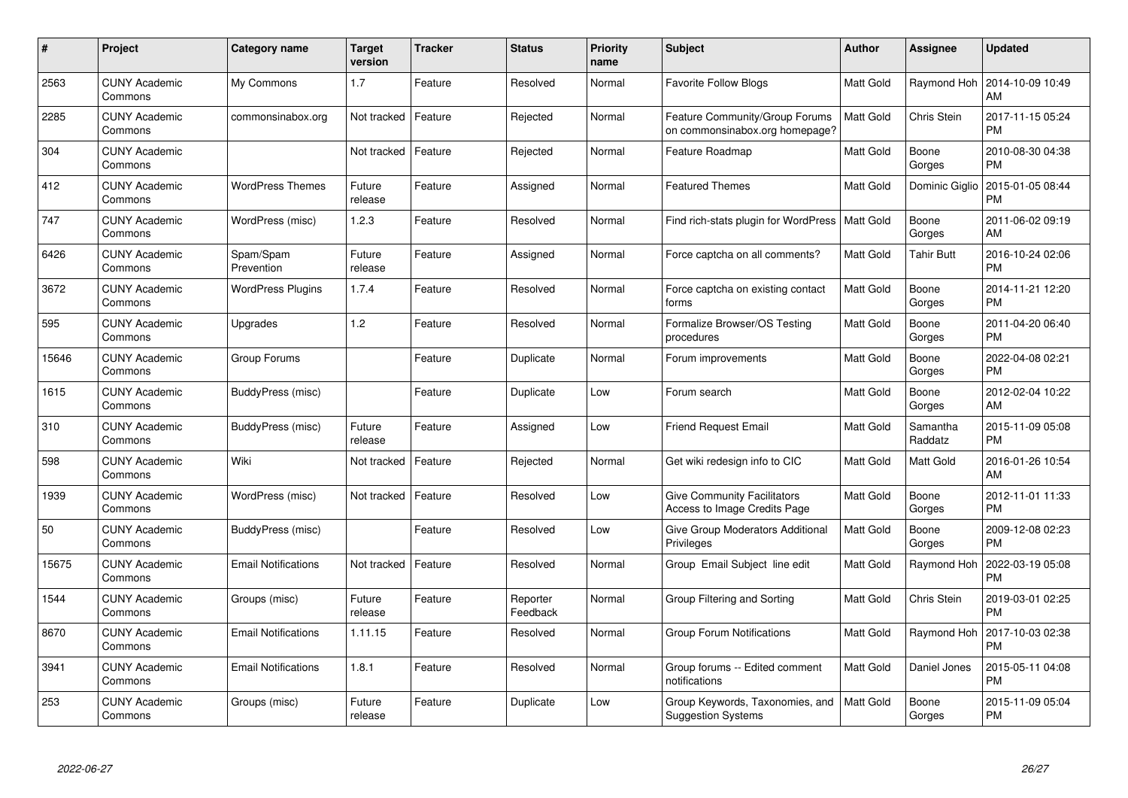| $\#$  | Project                         | Category name              | <b>Target</b><br>version | <b>Tracker</b> | <b>Status</b>        | <b>Priority</b><br>name | <b>Subject</b>                                                     | <b>Author</b>    | Assignee            | <b>Updated</b>                       |
|-------|---------------------------------|----------------------------|--------------------------|----------------|----------------------|-------------------------|--------------------------------------------------------------------|------------------|---------------------|--------------------------------------|
| 2563  | <b>CUNY Academic</b><br>Commons | My Commons                 | 1.7                      | Feature        | Resolved             | Normal                  | <b>Favorite Follow Blogs</b>                                       | Matt Gold        |                     | Raymond Hoh   2014-10-09 10:49<br>AM |
| 2285  | <b>CUNY Academic</b><br>Commons | commonsinabox.org          | Not tracked              | Feature        | Rejected             | Normal                  | Feature Community/Group Forums<br>on commonsinabox.org homepage?   | Matt Gold        | Chris Stein         | 2017-11-15 05:24<br><b>PM</b>        |
| 304   | <b>CUNY Academic</b><br>Commons |                            | Not tracked              | Feature        | Rejected             | Normal                  | Feature Roadmap                                                    | <b>Matt Gold</b> | Boone<br>Gorges     | 2010-08-30 04:38<br><b>PM</b>        |
| 412   | CUNY Academic<br>Commons        | <b>WordPress Themes</b>    | Future<br>release        | Feature        | Assigned             | Normal                  | <b>Featured Themes</b>                                             | Matt Gold        | Dominic Giglio      | 2015-01-05 08:44<br><b>PM</b>        |
| 747   | <b>CUNY Academic</b><br>Commons | WordPress (misc)           | 1.2.3                    | Feature        | Resolved             | Normal                  | Find rich-stats plugin for WordPress   Matt Gold                   |                  | Boone<br>Gorges     | 2011-06-02 09:19<br>AM               |
| 6426  | <b>CUNY Academic</b><br>Commons | Spam/Spam<br>Prevention    | Future<br>release        | Feature        | Assigned             | Normal                  | Force captcha on all comments?                                     | Matt Gold        | Tahir Butt          | 2016-10-24 02:06<br><b>PM</b>        |
| 3672  | <b>CUNY Academic</b><br>Commons | <b>WordPress Plugins</b>   | 1.7.4                    | Feature        | Resolved             | Normal                  | Force captcha on existing contact<br>forms                         | Matt Gold        | Boone<br>Gorges     | 2014-11-21 12:20<br><b>PM</b>        |
| 595   | <b>CUNY Academic</b><br>Commons | Upgrades                   | 1.2                      | Feature        | Resolved             | Normal                  | Formalize Browser/OS Testing<br>procedures                         | Matt Gold        | Boone<br>Gorges     | 2011-04-20 06:40<br><b>PM</b>        |
| 15646 | <b>CUNY Academic</b><br>Commons | Group Forums               |                          | Feature        | Duplicate            | Normal                  | Forum improvements                                                 | Matt Gold        | Boone<br>Gorges     | 2022-04-08 02:21<br><b>PM</b>        |
| 1615  | <b>CUNY Academic</b><br>Commons | BuddyPress (misc)          |                          | Feature        | Duplicate            | Low                     | Forum search                                                       | Matt Gold        | Boone<br>Gorges     | 2012-02-04 10:22<br>AM               |
| 310   | <b>CUNY Academic</b><br>Commons | BuddyPress (misc)          | Future<br>release        | Feature        | Assigned             | Low                     | <b>Friend Request Email</b>                                        | Matt Gold        | Samantha<br>Raddatz | 2015-11-09 05:08<br><b>PM</b>        |
| 598   | <b>CUNY Academic</b><br>Commons | Wiki                       | Not tracked              | Feature        | Rejected             | Normal                  | Get wiki redesign info to CIC                                      | Matt Gold        | Matt Gold           | 2016-01-26 10:54<br>AM               |
| 1939  | <b>CUNY Academic</b><br>Commons | WordPress (misc)           | Not tracked              | Feature        | Resolved             | Low                     | <b>Give Community Facilitators</b><br>Access to Image Credits Page | Matt Gold        | Boone<br>Gorges     | 2012-11-01 11:33<br><b>PM</b>        |
| 50    | <b>CUNY Academic</b><br>Commons | BuddyPress (misc)          |                          | Feature        | Resolved             | Low                     | Give Group Moderators Additional<br>Privileges                     | Matt Gold        | Boone<br>Gorges     | 2009-12-08 02:23<br>РM               |
| 15675 | CUNY Academic<br>Commons        | <b>Email Notifications</b> | Not tracked              | Feature        | Resolved             | Normal                  | Group Email Subject line edit                                      | Matt Gold        | Raymond Hoh         | 2022-03-19 05:08<br><b>PM</b>        |
| 1544  | <b>CUNY Academic</b><br>Commons | Groups (misc)              | Future<br>release        | Feature        | Reporter<br>Feedback | Normal                  | Group Filtering and Sorting                                        | <b>Matt Gold</b> | Chris Stein         | 2019-03-01 02:25<br><b>PM</b>        |
| 8670  | <b>CUNY Academic</b><br>Commons | <b>Email Notifications</b> | 1.11.15                  | Feature        | Resolved             | Normal                  | <b>Group Forum Notifications</b>                                   | Matt Gold        | Raymond Hoh         | 2017-10-03 02:38<br><b>PM</b>        |
| 3941  | <b>CUNY Academic</b><br>Commons | <b>Email Notifications</b> | 1.8.1                    | Feature        | Resolved             | Normal                  | Group forums -- Edited comment<br>notifications                    | Matt Gold        | Daniel Jones        | 2015-05-11 04:08<br><b>PM</b>        |
| 253   | CUNY Academic<br>Commons        | Groups (misc)              | Future<br>release        | Feature        | Duplicate            | Low                     | Group Keywords, Taxonomies, and<br><b>Suggestion Systems</b>       | <b>Matt Gold</b> | Boone<br>Gorges     | 2015-11-09 05:04<br>PM               |